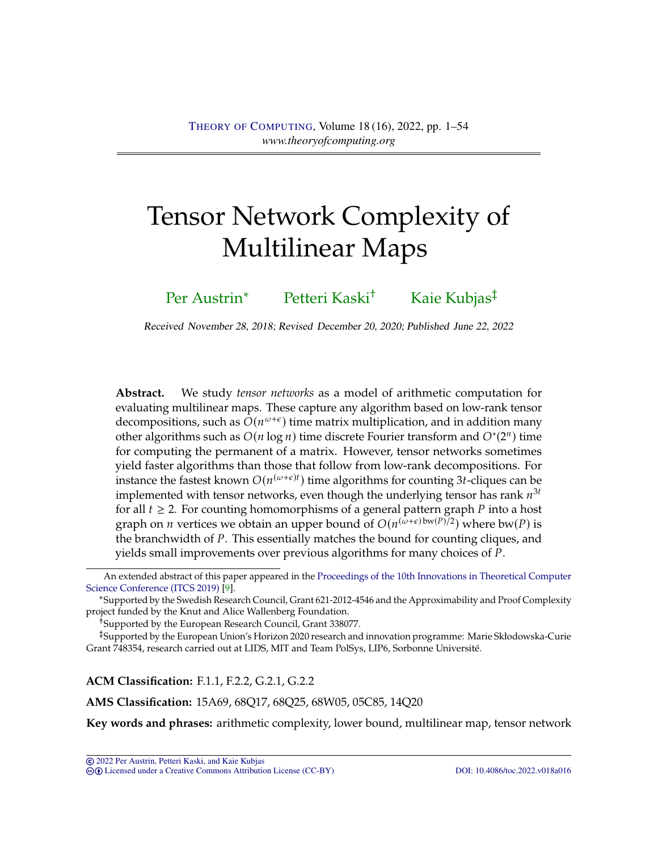# <span id="page-0-0"></span>Tensor Network Complexity of Multilinear Maps

[Per Austrin](#page-52-0)<sup>∗</sup> [Petteri Kaski](#page-52-1)<sup>†</sup> [Kaie Kubjas](#page-52-2)<sup>‡</sup>

Received November 28, 2018; Revised December 20, 2020; Published June 22, 2022

**Abstract.** We study *tensor networks* as a model of arithmetic computation for evaluating multilinear maps. These capture any algorithm based on low-rank tensor decompositions, such as  $O(n^{\omega+\epsilon})$  time matrix multiplication, and in addition many<br>other algorithms such as  $O(n \log n)$  time discrete Fourier transform and  $O^*(2^n)$  time other algorithms such as  $O(n \log n)$  time discrete Fourier transform and  $O^*(2^n)$  time<br>for computing the permanent of a matrix. However, tonsor peruvales sometimes for computing the permanent of a matrix. However, tensor networks sometimes yield faster algorithms than those that follow from low-rank decompositions. For instance the fastest known  $O(n^{(\omega+\epsilon)t})$  time algorithms for counting 3t-cliques can be implemented with topsor patworks, even though the underlying topsor has rank  $n^{3t}$ implemented with tensor networks, even though the underlying tensor has rank  $n^{3t}$ <br>for all  $t > 2$ . For counting homomorphisms of a general pattern graph  $P$  into a host for all  $t \geq 2$ . For counting homomorphisms of a general pattern graph P into a host graph on *n* vertices we obtain an upper bound of  $O(n^{(\omega+\epsilon)bw(P)/2})$  where bw(*P*) is<br>the branchwidth of *P*. This essentially matches the bound for counting cliques, and the branchwidth of  $P$ . This essentially matches the bound for counting cliques, and yields small improvements over previous algorithms for many choices of P.

†Supported by the European Research Council, Grant 338077.

‡Supported by the European Union's Horizon 2020 research and innovation programme: Marie Skłodowska-Curie Grant 748354, research carried out at LIDS, MIT and Team PolSys, LIP6, Sorbonne Université.

**ACM Classification:** F.1.1, F.2.2, G.2.1, G.2.2

**AMS Classification:** 15A69, 68Q17, 68Q25, 68W05, 05C85, 14Q20

**Key words and phrases:** arithmetic complexity, lower bound, multilinear map, tensor network

An extended abstract of this paper appeared in the [Proceedings of the 10th Innovations in Theoretical Computer](https://drops.dagstuhl.de/opus/portals/lipics/index.php?semnr=16098) [Science Conference \(ITCS 2019\)](https://drops.dagstuhl.de/opus/portals/lipics/index.php?semnr=16098) [\[9\]](#page-44-0).

<sup>∗</sup>Supported by the Swedish Research Council, Grant 621-2012-4546 and the Approximability and Proof Complexity project funded by the Knut and Alice Wallenberg Foundation.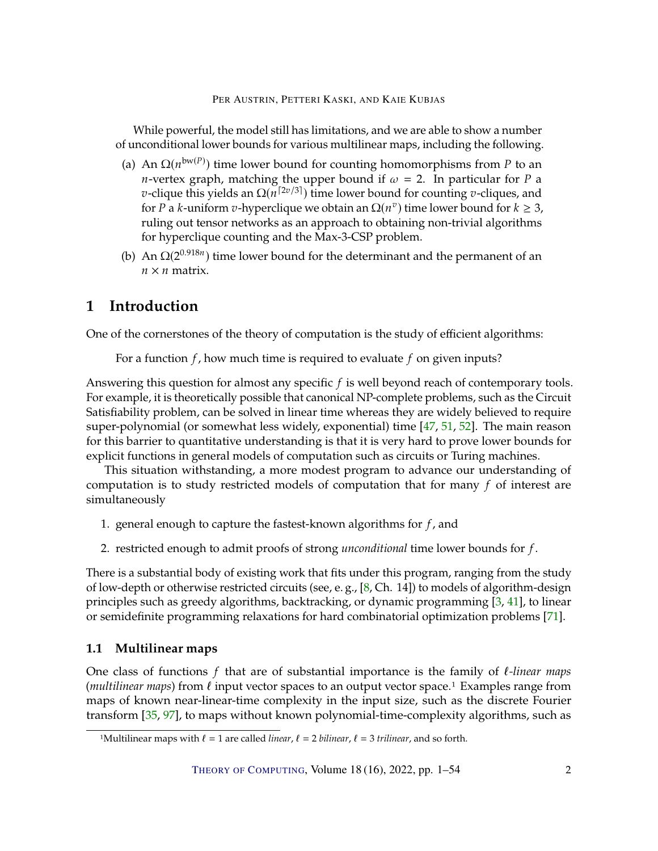<span id="page-1-0"></span>While powerful, the model still has limitations, and we are able to show a number of unconditional lower bounds for various multilinear maps, including the following.

- (a) An  $\Omega(n^{bw(P)})$  time lower bound for counting homomorphisms from *P* to an *n*-vortex graph, matching the upper bound if  $\omega = 2$ . In particular for *P* a *n*-vertex graph, matching the upper bound if  $\omega = 2$ . In particular for *P* a *v*-clique this yields an  $\Omega(n^{[2v/3]})$  time lower bound for counting *v*-cliques, and for *P* a *k*-uniform *v*-hyperclique we obtain an  $\Omega(n^v)$  time lower bound for  $k \geq 3$ , ruling out tensor networks as an approach to obtaining non-trivial algorithms for hyperclique counting and the Max-3-CSP problem.
- (b) An  $\Omega(2^{0.918n})$  time lower bound for the determinant and the permanent of an  $n \times n$  matrix.

# **1 Introduction**

One of the cornerstones of the theory of computation is the study of efficient algorithms:

For a function  $f$ , how much time is required to evaluate  $f$  on given inputs?

Answering this question for almost any specific  $f$  is well beyond reach of contemporary tools. For example, it is theoretically possible that canonical NP-complete problems, such as the Circuit Satisfiability problem, can be solved in linear time whereas they are widely believed to require super-polynomial (or somewhat less widely, exponential) time [\[47,](#page-47-0) [51,](#page-48-0) [52\]](#page-48-1). The main reason for this barrier to quantitative understanding is that it is very hard to prove lower bounds for explicit functions in general models of computation such as circuits or Turing machines.

This situation withstanding, a more modest program to advance our understanding of computation is to study restricted models of computation that for many  $f$  of interest are simultaneously

- 1. general enough to capture the fastest-known algorithms for  $f$ , and
- 2. restricted enough to admit proofs of strong *unconditional* time lower bounds for f.

There is a substantial body of existing work that fits under this program, ranging from the study of low-depth or otherwise restricted circuits (see, e. g., [\[8,](#page-44-1) Ch. 14]) to models of algorithm-design principles such as greedy algorithms, backtracking, or dynamic programming [\[3,](#page-44-2) [41\]](#page-47-1), to linear or semidefinite programming relaxations for hard combinatorial optimization problems [\[71\]](#page-49-0).

# **1.1 Multilinear maps**

One class of functions 𝑓 that are of substantial importance is the family of ℓ*-linear maps* (*multilinear maps*) from  $ℓ$  input vector spaces to an output vector space.<sup>1</sup> Examples range from maps of known near-linear-time complexity in the input size, such as the discrete Fourier transform [\[35,](#page-47-2) [97\]](#page-51-0), to maps without known polynomial-time-complexity algorithms, such as

<sup>&</sup>lt;sup>1</sup>Multilinear maps with  $\ell = 1$  are called *linear*,  $\ell = 2$  *bilinear*,  $\ell = 3$  *trilinear*, and so forth.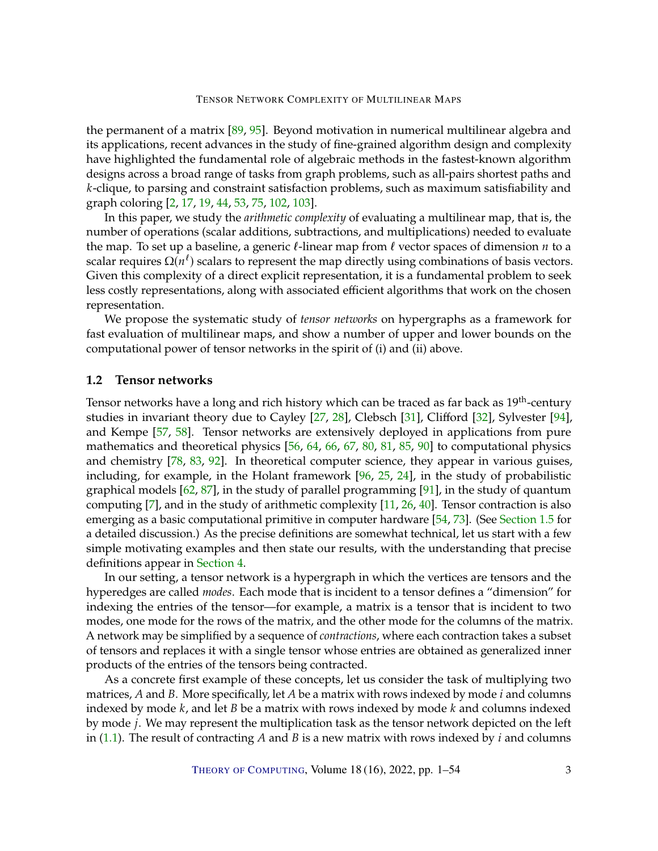<span id="page-2-1"></span>the permanent of a matrix [\[89,](#page-51-1) [95\]](#page-51-2). Beyond motivation in numerical multilinear algebra and its applications, recent advances in the study of fine-grained algorithm design and complexity have highlighted the fundamental role of algebraic methods in the fastest-known algorithm designs across a broad range of tasks from graph problems, such as all-pairs shortest paths and k-clique, to parsing and constraint satisfaction problems, such as maximum satisfiability and graph coloring [\[2,](#page-44-3) [17,](#page-45-0) [19,](#page-45-1) [44,](#page-47-3) [53,](#page-48-2) [75,](#page-50-0) [102,](#page-52-3) [103\]](#page-52-4).

In this paper, we study the *arithmetic complexity* of evaluating a multilinear map, that is, the number of operations (scalar additions, subtractions, and multiplications) needed to evaluate the map. To set up a baseline, a generic  $\ell$ -linear map from  $\ell$  vector spaces of dimension  $n$  to a scalar requires  $\Omega(n^{\ell})$  scalars to represent the map directly using combinations of basis vectors.<br>Civen this complexity of a direct explicit representation, it is a fundamental problem to sook. Given this complexity of a direct explicit representation, it is a fundamental problem to seek less costly representations, along with associated efficient algorithms that work on the chosen representation.

We propose the systematic study of *tensor networks* on hypergraphs as a framework for fast evaluation of multilinear maps, and show a number of upper and lower bounds on the computational power of tensor networks in the spirit of (i) and (ii) above.

# <span id="page-2-0"></span>**1.2 Tensor networks**

Tensor networks have a long and rich history which can be traced as far back as 19<sup>th</sup>-century studies in invariant theory due to Cayley [\[27,](#page-46-0) [28\]](#page-46-1), Clebsch [\[31\]](#page-46-2), Clifford [\[32\]](#page-46-3), Sylvester [\[94\]](#page-51-3), and Kempe [\[57,](#page-48-3) [58\]](#page-48-4). Tensor networks are extensively deployed in applications from pure mathematics and theoretical physics [\[56,](#page-48-5) [64,](#page-49-1) [66,](#page-49-2) [67,](#page-49-3) [80,](#page-50-1) [81,](#page-50-2) [85,](#page-50-3) [90\]](#page-51-4) to computational physics and chemistry [\[78,](#page-50-4) [83,](#page-50-5) [92\]](#page-51-5). In theoretical computer science, they appear in various guises, including, for example, in the Holant framework [\[96,](#page-51-6) [25,](#page-46-4) [24\]](#page-46-5), in the study of probabilistic graphical models  $[62, 87]$  $[62, 87]$ , in the study of parallel programming  $[91]$ , in the study of quantum computing [\[7\]](#page-44-4), and in the study of arithmetic complexity [\[11,](#page-45-2) [26,](#page-46-6) [40\]](#page-47-4). Tensor contraction is also emerging as a basic computational primitive in computer hardware [\[54,](#page-48-6) [73\]](#page-50-6). (See [Section](#page-9-0) [1.5](#page-9-0) for a detailed discussion.) As the precise definitions are somewhat technical, let us start with a few simple motivating examples and then state our results, with the understanding that precise definitions appear in [Section](#page-17-0) [4.](#page-17-0)

In our setting, a tensor network is a hypergraph in which the vertices are tensors and the hyperedges are called *modes*. Each mode that is incident to a tensor defines a "dimension" for indexing the entries of the tensor—for example, a matrix is a tensor that is incident to two modes, one mode for the rows of the matrix, and the other mode for the columns of the matrix. A network may be simplified by a sequence of *contractions*, where each contraction takes a subset of tensors and replaces it with a single tensor whose entries are obtained as generalized inner products of the entries of the tensors being contracted.

As a concrete first example of these concepts, let us consider the task of multiplying two matrices,  $A$  and  $B$ . More specifically, let  $A$  be a matrix with rows indexed by mode  $i$  and columns indexed by mode  $k$ , and let  $B$  be a matrix with rows indexed by mode  $k$  and columns indexed by mode *j*. We may represent the multiplication task as the tensor network depicted on the left in [\(1.1\)](#page-3-0). The result of contracting A and B is a new matrix with rows indexed by  $i$  and columns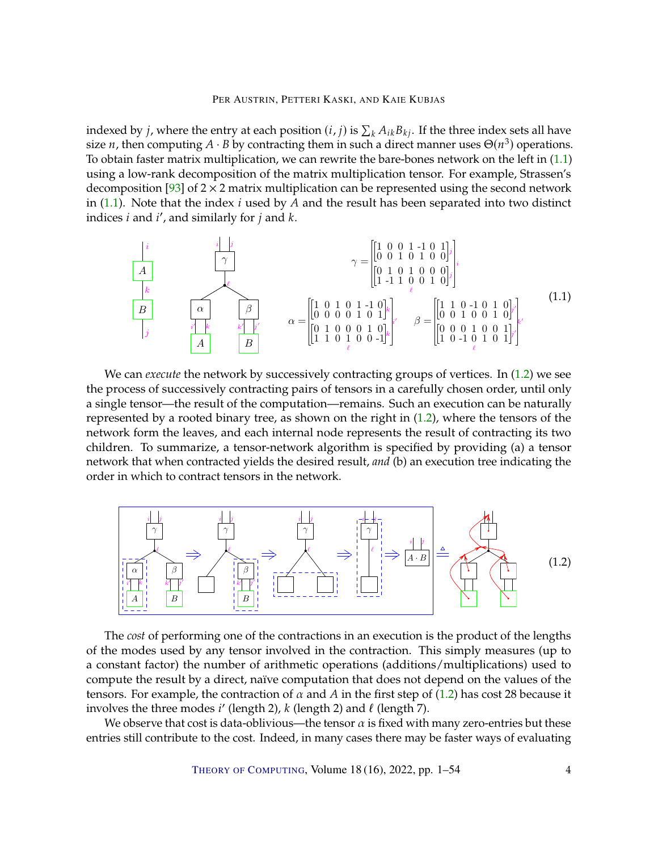<span id="page-3-2"></span>indexed by *j*, where the entry at each position  $(i, j)$  is  $\sum_k A_{ik} B_{kj}$ . If the three index sets all have<br>size *n*, then computing  $A_j$ . B by contracting them in such a direct manner uses  $\Theta(u^3)$  operations size *n*, then computing  $A \cdot B$  by contracting them in such a direct manner uses  $\Theta(n^3)$  operations.<br>To obtain faster matrix multiplication, we can rewrite the bare-bones network on the left in (1,1) To obtain faster matrix multiplication, we can rewrite the bare-bones network on the left in  $(1.1)$ using a low-rank decomposition of the matrix multiplication tensor. For example, Strassen's decomposition [\[93\]](#page-51-9) of  $2 \times 2$  matrix multiplication can be represented using the second network in  $(1.1)$ . Note that the index *i* used by *A* and the result has been separated into two distinct indices *i* and *i'*, and similarly for *j* and *k*.

<span id="page-3-0"></span>
$$
\begin{array}{c|c}\ni & & i & j \\
\hline\nA & & & \\
\hline\nA & & & \\
\hline\nB & & & \\
\hline\n\beta & & & \\
\hline\n\beta & & & \\
\hline\n\beta & & & \\
\hline\n\beta & & & \\
\hline\n\beta & & & \\
\hline\n\beta & & & \\
\hline\n\beta & & & \\
\hline\n\beta & & & \\
\hline\n\beta & & & \\
\hline\n\beta & & & \\
\hline\n\beta & & & \\
\hline\n\beta & & & \\
\hline\n\beta & & & \\
\hline\n\beta & & & \\
\hline\n\beta & & & \\
\hline\n\beta & & & \\
\hline\n\beta & & & \\
\hline\n\beta & & & \\
\hline\n\beta & & & \\
\hline\n\beta & & & \\
\hline\n\beta & & & \\
\hline\n\beta & & & \\
\hline\n\beta & & & \\
\hline\n\beta & & & \\
\hline\n\alpha & & & \\
\hline\n\beta & & & \\
\hline\n\alpha & & & \\
\hline\n\beta & & & \\
\hline\n\alpha & & & \\
\hline\n\beta & & & \\
\hline\n\alpha & & & \\
\hline\n\beta & & & \\
\hline\n\alpha & & & \\
\hline\n\beta & & & \\
\hline\n\alpha & & & \\
\hline\n\beta & & & \\
\hline\n\alpha & & & \\
\hline\n\beta & & & \\
\hline\n\alpha & & & \\
\hline\n\alpha & & & \\
\hline\n\beta & & & \\
\hline\n\alpha & & & \\
\hline\n\alpha & & & \\
\hline\n\
$$

We can *execute* the network by successively contracting groups of vertices. In [\(1.2\)](#page-3-1) we see the process of successively contracting pairs of tensors in a carefully chosen order, until only a single tensor—the result of the computation—remains. Such an execution can be naturally represented by a rooted binary tree, as shown on the right in  $(1.2)$ , where the tensors of the network form the leaves, and each internal node represents the result of contracting its two children. To summarize, a tensor-network algorithm is specified by providing (a) a tensor network that when contracted yields the desired result, *and* (b) an execution tree indicating the order in which to contract tensors in the network.

<span id="page-3-1"></span>

The *cost* of performing one of the contractions in an execution is the product of the lengths of the modes used by any tensor involved in the contraction. This simply measures (up to a constant factor) the number of arithmetic operations (additions/multiplications) used to compute the result by a direct, naïve computation that does not depend on the values of the tensors. For example, the contraction of  $\alpha$  and  $A$  in the first step of [\(1.2\)](#page-3-1) has cost 28 because it involves the three modes *i'* (length 2), *k* (length 2) and  $\ell$  (length 7).<br>We observe that cost is data-oblivious—the tensor  $\alpha$  is fixed with

We observe that cost is data-oblivious—the tensor  $\alpha$  is fixed with many zero-entries but these entries still contribute to the cost. Indeed, in many cases there may be faster ways of evaluating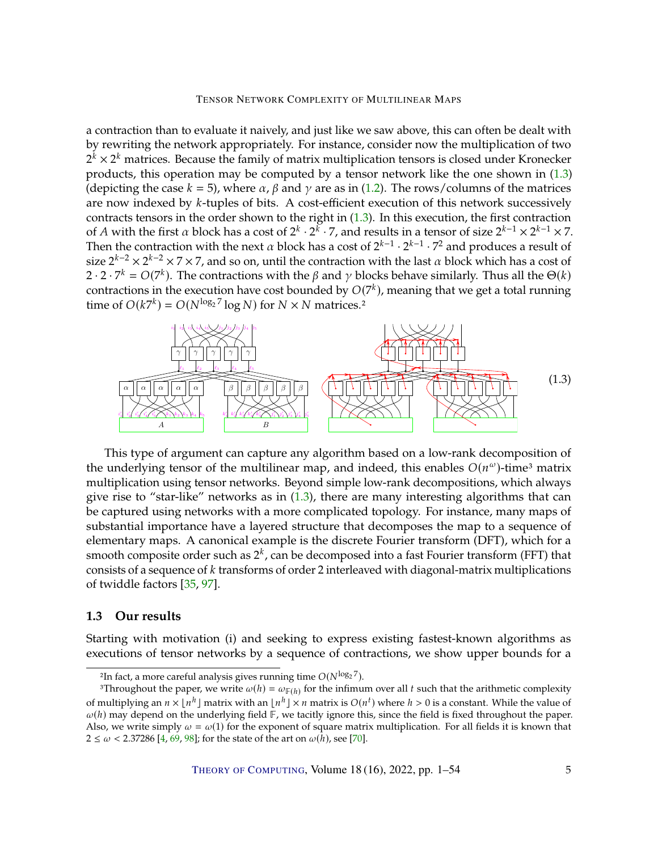<span id="page-4-2"></span>a contraction than to evaluate it naively, and just like we saw above, this can often be dealt with by rewriting the network appropriately. For instance, consider now the multiplication of two  $2^{\bar{k}} \times 2^k$  matrices. Because the family of matrix multiplication tensors is closed under Kronecker products, this operation may be computed by a tensor network like the one shown in [\(1.3\)](#page-4-0) (depicting the case  $k = 5$ ), where  $\alpha$ ,  $\beta$  and  $\gamma$  are as in [\(1.2\)](#page-3-1). The rows/columns of the matrices are now indexed by k-tuples of bits. A cost-efficient execution of this network successively contracts tensors in the order shown to the right in [\(1.3\)](#page-4-0). In this execution, the first contraction of A with the first  $\alpha$  block has a cost of  $2^k \cdot 2^k \cdot 7$ , and results in a tensor of size  $2^{k-1} \times 2^{k-1} \times 7$ .<br>Then the contraction with the poxt  $\alpha$  block has a cost of  $2^{k-1} \cdot 7^{k-1} \cdot 7^2$  and produces a resul Then the contraction with the next  $\alpha$  block has a cost of  $2^{k-1}\cdot 2^{k-1}\cdot 7^2$  and produces a result of size  $2^{k-2} \times 2^{k-2} \times 7 \times 7$ , and so on, until the contraction with the last  $\alpha$  block which has a cost of  $2 \cdot 2 \cdot 7^k = O(7^k)$ . The contractions with the  $\beta$  and  $\gamma$  blocks behave similarly. Thus all the  $\Theta(k)$ <br>contractions in the execution have cost bounded by  $O(7^k)$ , meaning that we get a total running contractions in the execution have cost bounded by  $O(7^k)$ , meaning that we get a total running<br>time of  $O(k7^k) - O(N^{\log_2 7} \log N)$  for  $N \times N$  matrices 2 time of  $O(k7^k) = O(N^{\log_2 7} \log N)$  for  $N \times N$  matrices.<sup>2</sup>

<span id="page-4-0"></span>

This type of argument can capture any algorithm based on a low-rank decomposition of the underlying tensor of the multilinear map, and indeed, this enables  $O(n^{\omega})$ -time<sup>3</sup> matrix<br>multiplication using tensor petworks. Beyond simple low-rank decompositions, which always multiplication using tensor networks. Beyond simple low-rank decompositions, which always give rise to "star-like" networks as in  $(1.3)$ , there are many interesting algorithms that can be captured using networks with a more complicated topology. For instance, many maps of substantial importance have a layered structure that decomposes the map to a sequence of elementary maps. A canonical example is the discrete Fourier transform (DFT), which for a smooth composite order such as  $2^k$ , can be decomposed into a fast Fourier transform (FFT) that consists of a sequence of  $k$  transforms of order 2 interleaved with diagonal-matrix multiplications of twiddle factors [\[35,](#page-47-2) [97\]](#page-51-0).

# <span id="page-4-1"></span>**1.3 Our results**

Starting with motivation (i) and seeking to express existing fastest-known algorithms as executions of tensor networks by a sequence of contractions, we show upper bounds for a

THEORY OF C[OMPUTING](http://dx.doi.org/10.4086/toc), Volume 18 (16), 2022, pp. 1–54 5

<sup>&</sup>lt;sup>2</sup>In fact, a more careful analysis gives running time  $O(N^{\log_2 7})$ .<br><sup>3</sup>Throughout the paper we write  $\omega(h) = \omega \in \mathbb{R}^n$  for the infimu

<sup>3</sup>Throughout the paper, we write  $\omega(h) = \omega_{\mathbb{F}(h)}$  for the infimum over all t such that the arithmetic complexity of multiplying an  $n \times \lfloor n^h \rfloor$  matrix with an  $\lfloor n^h \rfloor \times n$  matrix is  $O(n^t)$  where  $h > 0$  is a constant. While the value of  $\omega(h)$  may denote on the underlying field  $\mathbb{E}$  we tacitly ignore this, since the field is  $\omega(h)$  may depend on the underlying field  $\mathbb{F}$ , we tacitly ignore this, since the field is fixed throughout the paper. Also, we write simply  $\omega = \omega(1)$  for the exponent of square matrix multiplication. For all fields it is known that  $2 \le \omega < 2.37286$  [\[4,](#page-44-5) [69,](#page-49-5) [98\]](#page-51-10); for the state of the art on  $\omega(h)$ , see [\[70\]](#page-49-6).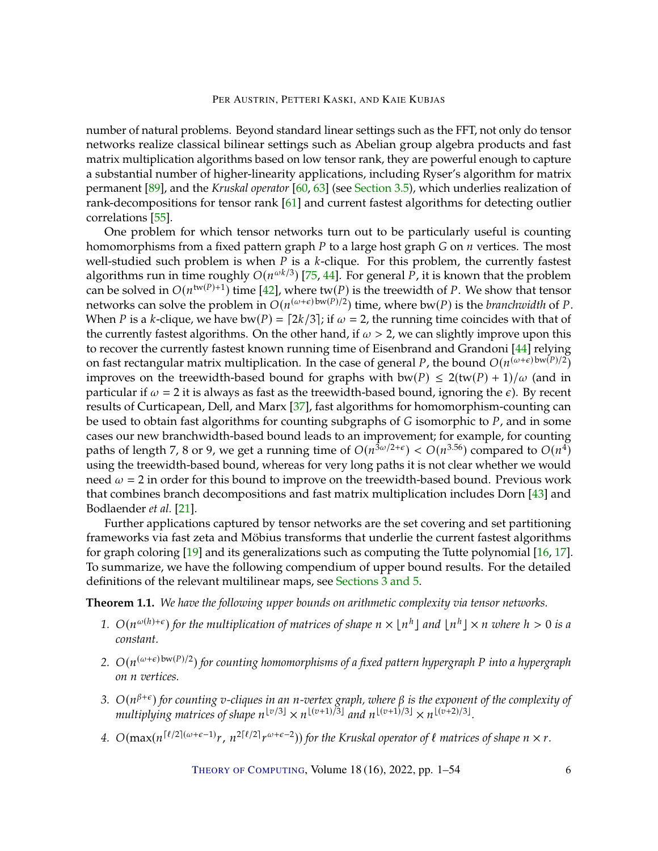<span id="page-5-1"></span>number of natural problems. Beyond standard linear settings such as the FFT, not only do tensor networks realize classical bilinear settings such as Abelian group algebra products and fast matrix multiplication algorithms based on low tensor rank, they are powerful enough to capture a substantial number of higher-linearity applications, including Ryser's algorithm for matrix permanent [\[89\]](#page-51-1), and the *Kruskal operator* [\[60,](#page-48-7) [63\]](#page-49-7) (see [Section](#page-15-0) [3.5\)](#page-15-0), which underlies realization of rank-decompositions for tensor rank [\[61\]](#page-49-8) and current fastest algorithms for detecting outlier correlations [\[55\]](#page-48-8).

One problem for which tensor networks turn out to be particularly useful is counting homomorphisms from a fixed pattern graph  $P$  to a large host graph  $G$  on  $n$  vertices. The most well-studied such problem is when  $P$  is a  $k$ -clique. For this problem, the currently fastest algorithms run in time roughly  $O(n^{\omega k/3})$  [\[75,](#page-50-0) [44\]](#page-47-3). For general P, it is known that the problem<br>can be solved in  $O(n^{\text{tw}(P)+1})$  time [42], where tw(P) is the treewidth of P. We show that tensor can be solved in  $O(n^{\text{tw}(P)+1})$  time [\[42\]](#page-47-5), where  $\text{tw}(P)$  is the treewidth of P. We show that tensor<br>petworks can solve the problem in  $O(n^{(\omega+\epsilon)}b^{\text{tw}(P)/2})$  time, where by (P) is the hranchwidth of P. networks can solve the problem in  $O(n^{(\omega+\epsilon)bw(P)/2})$  time, where bw(P) is the *branchwidth* of P.<br>When P is a k-clique we have by  $(P)$  =  $[2k/3]$ : if  $\omega$  = 2, the running time coincides with that of When P is a k-clique, we have bw(P) =  $[2k/3]$ ; if  $\omega = 2$ , the running time coincides with that of the currently fastest algorithms. On the other hand, if  $\omega > 2$ , we can slightly improve upon this to recover the currently fastest known running time of Eisenbrand and Grandoni [\[44\]](#page-47-3) relying on fast rectangular matrix multiplication. In the case of general P, the bound  $O(n^{(\omega+\epsilon)bw(P)/2})$ <br>improves on the treovidth-based bound for graphs with bw(P) < 2(tw(P) + 1)/ $\omega$  (and in improves on the treewidth-based bound for graphs with bw(P)  $\leq 2$ (tw(P) + 1)/ $\omega$  (and in particular if  $\omega = 2$  it is always as fast as the treewidth-based bound, ignoring the  $\epsilon$ ). By recent results of Curticapean, Dell, and Marx [\[37\]](#page-47-6), fast algorithms for homomorphism-counting can be used to obtain fast algorithms for counting subgraphs of  $G$  isomorphic to  $P$ , and in some cases our new branchwidth-based bound leads to an improvement; for example, for counting paths of length 7, 8 or 9, we get a running time of  $O(n^{3\omega/2+\epsilon}) < O(n^{3.56})$  compared to  $O(n^4)$ <br>using the trouvidth-based bound, whereas for yory long paths it is not clear whether we would using the treewidth-based bound, whereas for very long paths it is not clear whether we would need  $\omega = 2$  in order for this bound to improve on the treewidth-based bound. Previous work that combines branch decompositions and fast matrix multiplication includes Dorn [\[43\]](#page-47-7) and Bodlaender *et al.* [\[21\]](#page-45-3).

Further applications captured by tensor networks are the set covering and set partitioning frameworks via fast zeta and Möbius transforms that underlie the current fastest algorithms for graph coloring [\[19\]](#page-45-1) and its generalizations such as computing the Tutte polynomial [\[16,](#page-45-4) [17\]](#page-45-0). To summarize, we have the following compendium of upper bound results. For the detailed definitions of the relevant multilinear maps, see [Sections](#page-13-0) [3](#page-13-0) [and](#page-20-0) [5.](#page-20-0)

<span id="page-5-0"></span>**Theorem 1.1.** *We have the following upper bounds on arithmetic complexity via tensor networks.*

- 1.  $O(n^{\omega(h)+\epsilon})$  for the multiplication of matrices of shape  $n \times \lfloor n^h \rfloor$  and  $\lfloor n^h \rfloor \times n$  where  $h > 0$  is a constant *constant.*
- 2.  $O(n^{(\omega+\epsilon) \text{bw}(P)/2})$  for counting homomorphisms of a fixed pattern hypergraph P into a hypergraph *on n* vertices.
- 3.  $O(n^{\beta+\epsilon})$  for counting *v*-cliques in an *n*-vertex graph, where  $\beta$  is the exponent of the complexity of multiplying matrices of shape  $n^{\lfloor v/3 \rfloor} \times n^{\lfloor (v+1)/3 \rfloor}$  and  $n^{\lfloor (v+1)/3 \rfloor} \times n^{\lfloor (v+2)/3 \rfloor}$ multiplying matrices of shape  $n^{\lfloor v/3 \rfloor} \times n^{\lfloor (v+1)/3 \rfloor}$  and  $n^{\lfloor (v+1)/3 \rfloor} \times n^{\lfloor (v+2)/3 \rfloor}$ .
- 4.  $O(\max(n^{\lceil \ell/2 \rceil (\omega + \epsilon 1)} r, n^{2\lceil \ell/2 \rceil} r))$  $^{ω+ε-2}$ )) for the Kruskal operator of  $\ell$  matrices of shape  $n \times r$ .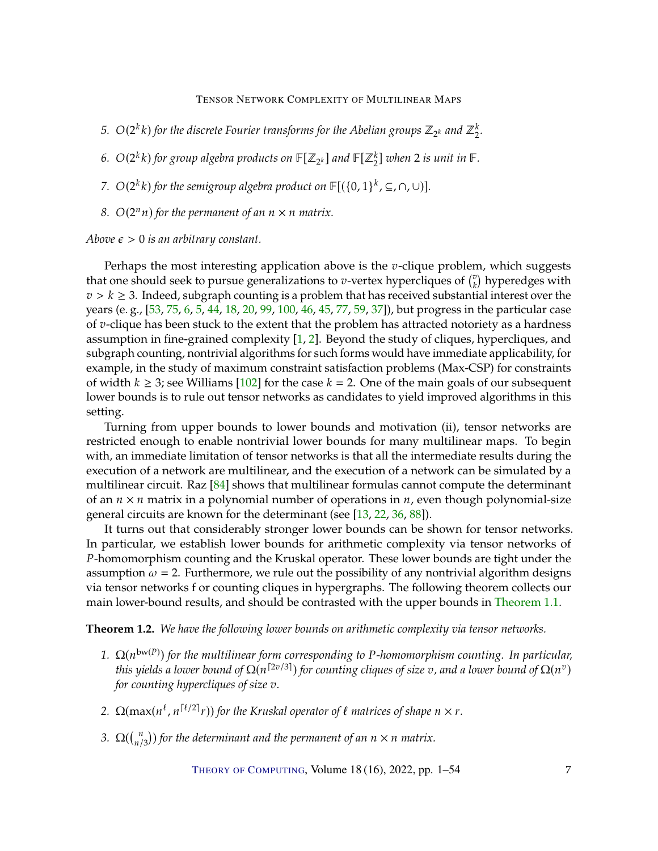- <span id="page-6-1"></span>5.  $O(2^k k)$  for the discrete Fourier transforms for the Abelian groups  $\mathbb{Z}_{2^k}$  and  $\mathbb{Z}_2^k$ .
- 6.  $O(2^k k)$  for group algebra products on  $\mathbb{F}[Z_{2^k}]$  and  $\mathbb{F}[Z_2^k]$  when 2 is unit in  $\mathbb{F}.$
- *7.*  $O(2^k k)$  for the semigroup algebra product on  $\mathbb{F}[(\{0,1\}^k,\subseteq,\cap,\cup)]$ .
- 8.  $O(2^n n)$  for the permanent of an  $n \times n$  matrix.

#### *Above*  $\epsilon > 0$  *is an arbitrary constant.*

Perhaps the most interesting application above is the  $v$ -clique problem, which suggests that one should seek to pursue generalizations to *v*-vertex hypercliques of  $\binom{v}{k}$  hyperedges with  $z \geq k \geq 3$ . Indeed, subgraph counting is a problem that has received substantial interest over the  $v > k \geq 3$ . Indeed, subgraph counting is a problem that has received substantial interest over the verses in the particular case years (e. g., [\[53,](#page-48-2) [75,](#page-50-0) [6,](#page-44-6) [5,](#page-44-7) [44,](#page-47-3) [18,](#page-45-5) [20,](#page-45-6) [99,](#page-51-11) [100,](#page-51-12) [46,](#page-47-8) [45,](#page-47-9) [77,](#page-50-7) [59,](#page-48-9) [37\]](#page-47-6)), but progress in the particular case of  $v$ -clique has been stuck to the extent that the problem has attracted notoriety as a hardness assumption in fine-grained complexity [\[1,](#page-44-8) [2\]](#page-44-3). Beyond the study of cliques, hypercliques, and subgraph counting, nontrivial algorithms for such forms would have immediate applicability, for example, in the study of maximum constraint satisfaction problems (Max-CSP) for constraints of width  $k \geq 3$ ; see Williams [\[102\]](#page-52-3) for the case  $k = 2$ . One of the main goals of our subsequent lower bounds is to rule out tensor networks as candidates to yield improved algorithms in this setting.

Turning from upper bounds to lower bounds and motivation (ii), tensor networks are restricted enough to enable nontrivial lower bounds for many multilinear maps. To begin with, an immediate limitation of tensor networks is that all the intermediate results during the execution of a network are multilinear, and the execution of a network can be simulated by a multilinear circuit. Raz [\[84\]](#page-50-8) shows that multilinear formulas cannot compute the determinant of an  $n \times n$  matrix in a polynomial number of operations in  $n$ , even though polynomial-size general circuits are known for the determinant (see [\[13,](#page-45-7) [22,](#page-45-8) [36,](#page-47-10) [88\]](#page-51-13)).

It turns out that considerably stronger lower bounds can be shown for tensor networks. In particular, we establish lower bounds for arithmetic complexity via tensor networks of P-homomorphism counting and the Kruskal operator. These lower bounds are tight under the assumption  $\omega = 2$ . Furthermore, we rule out the possibility of any nontrivial algorithm designs via tensor networks f or counting cliques in hypergraphs. The following theorem collects our main lower-bound results, and should be contrasted with the upper bounds in [Theorem](#page-5-0) [1.1.](#page-5-0)

<span id="page-6-0"></span>**Theorem 1.2.** *We have the following lower bounds on arithmetic complexity via tensor networks.*

- *1.*  $\Omega(n^{bw(P)})$  for the multilinear form corresponding to P-homomorphism counting. In particular, this vields a lower hound of  $O(n^{2v/3})$  for counting cliques of size  $v$ , and a lower hound of  $O(n^v)$ . *this yields a lower bound of*  $\Omega(n^{[2v/3]})$  *for counting cliques of size v, and a lower bound of*  $\Omega(n^v)$ <br>for counting hypercliques of size *z for counting hypercliques of size v.*
- 2.  $\Omega(\max(n^{\ell}, n^{\lceil \ell/2 \rceil} r))$  *for the Kruskal operator of*  $\ell$  *matrices of shape*  $n \times r$ *.*
- 3.  $\Omega(\binom{n}{n/3})$  for the determinant and the permanent of an  $n \times n$  matrix.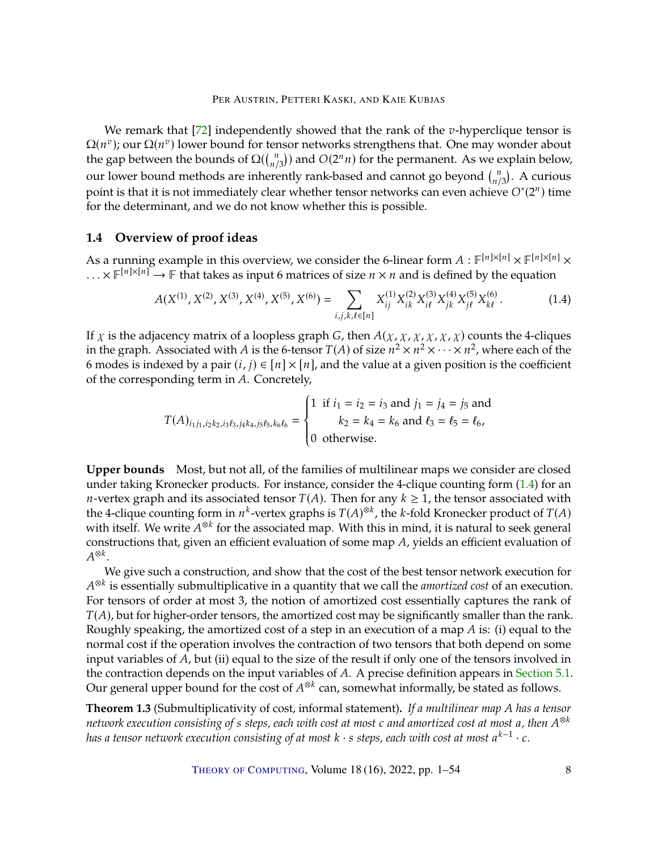<span id="page-7-3"></span>We remark that  $[72]$  independently showed that the rank of the v-hyperclique tensor is  $\Omega(n^v)$ ; our  $\Omega(n^v)$  lower bound for tensor networks strengthens that. One may wonder about the gap botycon the bounds of  $O((n^n))$  and  $O(2^n n)$  for the permanent. As we explain below the gap between the bounds of  $\Omega(\binom{n}{n/3})$  and  $O(2^n n)$  for the permanent. As we explain below, our lower bound methods are inherently rank-based and cannot go beyond  $\binom{n}{n/3}$ . A curious bur lower bound methods are inherently rank-based and cannot go beyond  $\binom{n}{3}$ . A curious point is that it is not immediately clear whether tensor networks can even achieve  $O^*(2^n)$  time for the determinant and we do no for the determinant, and we do not know whether this is possible.

# <span id="page-7-2"></span>**1.4 Overview of proof ideas**

As a running example in this overview, we consider the 6-linear form  $A : \mathbb{F}^{[n] \times [n]} \times \mathbb{F}^{[n] \times [n]} \times \times \mathbb{F}^{[n] \times [n]} \times \mathbb{F}^{[n] \times [n]} \times \mathbb{F}^{[n]}$ ...  $\times \mathbb{F}^{[n] \times [n]} \rightarrow \mathbb{F}$  that takes as input 6 matrices of size  $n \times n$  and is defined by the equation

<span id="page-7-0"></span>
$$
A(X^{(1)}, X^{(2)}, X^{(3)}, X^{(4)}, X^{(5)}, X^{(6)}) = \sum_{i,j,k,\ell \in [n]} X_{ij}^{(1)} X_{ik}^{(2)} X_{i\ell}^{(3)} X_{j\ell}^{(4)} X_{j\ell}^{(5)} X_{k\ell}^{(6)}.
$$
 (1.4)

If  $\chi$  is the adjacency matrix of a loopless graph G, then  $A(\chi, \chi, \chi, \chi, \chi)$  counts the 4-cliques in the graph. Associated with A is the 6-tensor  $T(A)$  of size  $n^2 \times n^2 \times \cdots \times n^2$ , where each of the 6 modes is indexed by a pair  $(i, j) \in [n] \times [n]$ , and the value at a given position is the coefficient of the corresponding term in A. Concretely,

$$
T(A)_{i_1j_1,i_2k_2,i_3\ell_3,j_4k_4,j_5\ell_5,k_6\ell_6} = \begin{cases} 1 & \text{if } i_1 = i_2 = i_3 \text{ and } j_1 = j_4 = j_5 \text{ and } \\ & k_2 = k_4 = k_6 \text{ and } \ell_3 = \ell_5 = \ell_6, \\ 0 & \text{otherwise.} \end{cases}
$$

J.

**Upper bounds** Most, but not all, of the families of multilinear maps we consider are closed under taking Kronecker products. For instance, consider the 4-clique counting form [\(1.4\)](#page-7-0) for an *n*-vertex graph and its associated tensor  $T(A)$ . Then for any  $k \geq 1$ , the tensor associated with the 4-clique counting form in  $n^k$ -vertex graphs is  $T(A)^{\otimes k}$ , the k-fold Kronecker product of  $T(A)$ <br>with itself. We write  $A^{\otimes k}$  for the associated map. With this in mind, it is natural to seek general. with itself. We write  $A^{\otimes k}$  for the associated map. With this in mind, it is natural to seek general<br>constructions that given an efficient evaluation of some man A, violds an efficient evaluation of constructions that, given an efficient evaluation of some map  $A$ , yields an efficient evaluation of ⊗ $^k$ .

We give such a construction, and show that the cost of the best tensor network execution for For tensors of order at most 3, the notion of amortized cost essentially captures the rank of <sup>⊗k</sup> is essentially submultiplicative in a quantity that we call the *amortized cost* of an execution.  $T(A)$ , but for higher-order tensors, the amortized cost may be significantly smaller than the rank. Roughly speaking, the amortized cost of a step in an execution of a map  $A$  is: (i) equal to the normal cost if the operation involves the contraction of two tensors that both depend on some input variables of  $A$ , but (ii) equal to the size of the result if only one of the tensors involved in the contraction depends on the input variables of  $A$ . A precise definition appears in [Section](#page-20-1) [5.1.](#page-20-1) Our general upper bound for the cost of  $A^{\otimes k}$  can, somewhat informally, be stated as follows.

<span id="page-7-1"></span>**Theorem 1.3** (Submultiplicativity of cost, informal statement). If a multilinear map A has a tensor *network execution consisting of s steps, each with cost at most c and amortized cost at most a, then*  $A^{\otimes k}$ <br>has a tensor network execution consisting of at most k  $\cdot$  s steps, each with cost at most a<sup>k–1</sup>  $\cdot$  c *has a tensor network execution consisting of at most*  $k \cdot s$  *steps, each with cost at most a*<sup> $k-1$ </sup> · *c*.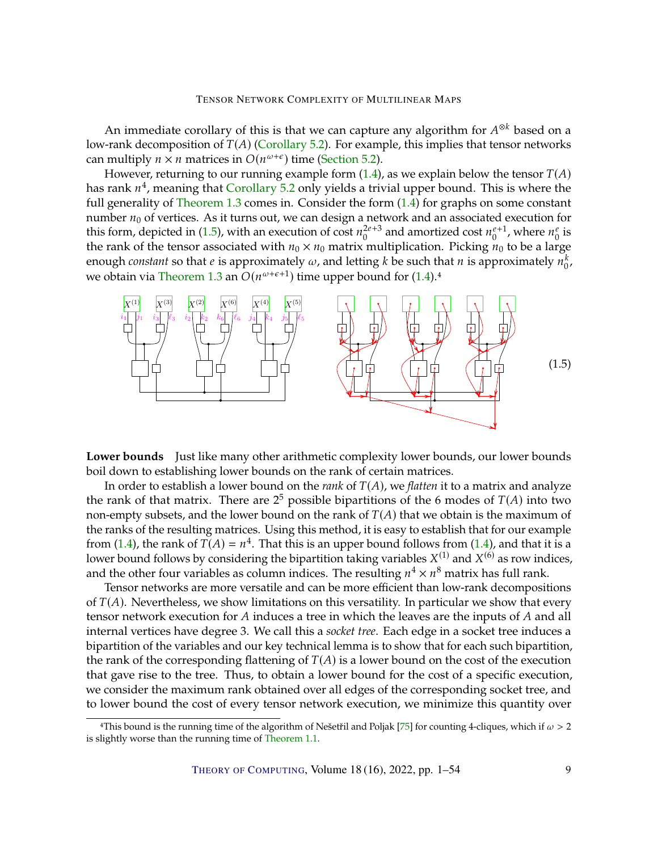<span id="page-8-1"></span>An immediate corollary of this is that we can capture any algorithm for  $A^{\otimes k}$  based on a<br>stank decomposition of  $T(A)$  (Corollary 5.2). For example, this implies that topsor potycrics low-rank decomposition of  $T(A)$  [\(Corollary](#page-23-0) [5.2\)](#page-23-0). For example, this implies that tensor networks can multiply  $n \times n$  matrices in  $O(n^{\omega+\epsilon})$  time [\(Section](#page-23-1) [5.2\)](#page-23-1).<br>However returning to our running example form (1.4)

However, returning to our running example form  $(1.4)$ , as we explain below the tensor  $T(A)$ has rank  $n^4$ , meaning that [Corollary](#page-23-0) [5.2](#page-23-0) only yields a trivial upper bound. This is where the full generality of Theorem 1.3 comes in Consider the form (1.4) for graphs on some constant full generality of [Theorem](#page-7-1) [1.3](#page-7-1) comes in. Consider the form  $(1.4)$  for graphs on some constant number  $n_0$  of vertices. As it turns out, we can design a network and an associated execution for this form, depicted in [\(1.5\)](#page-8-0), with an execution of cost  $n_0^{2e+3}$  and amortized cost  $n_0^{e+1}$ , where  $n_0^e$  is the rank of the topsor associated with  $n_0 \times n_0$  matrix multiplication. Picking  $n_0$  to be a large the rank of the tensor associated with  $n_0 \times n_0$  matrix multiplication. Picking  $n_0$  to be a large enough *constant* so that *e* is approximately  $\omega$ , and letting *k* be such that *n* is approximately  $n_0^k$ , we obtain via [Theorem](#page-7-1) [1.3](#page-7-1) an  $O(n^{\omega+\epsilon+1})$  time upper bound for [\(1.4\)](#page-7-0).<sup>4</sup>

<span id="page-8-0"></span>

**Lower bounds** Just like many other arithmetic complexity lower bounds, our lower bounds boil down to establishing lower bounds on the rank of certain matrices.

In order to establish a lower bound on the *rank* of  $T(A)$ , we *flatten* it to a matrix and analyze the rank of that matrix. There are  $2^5$  possible bipartitions of the 6 modes of  $T(A)$  into two<br>pop-empty subsets, and the lower bound on the rank of  $T(A)$  that we obtain is the maximum of non-empty subsets, and the lower bound on the rank of  $T(A)$  that we obtain is the maximum of the ranks of the resulting matrices. Using this method, it is easy to establish that for our example from [\(1.4\)](#page-7-0), the rank of  $\overline{T}(A) = n^4$ . That this is an upper bound follows from (1.4), and that it is a lower bound follows by considering the binartition taking variables  $X^{(1)}$  and  $X^{(6)}$  as row indices lower bound follows by considering the bipartition taking variables  $X^{(1)}$  and  $X^{(6)}$  as row indices, and the other four variables as column indices. The resulting  $n^4 \times n^8$  matrix has full rank.<br>Tensor petworks are more versatile and can be more efficient than low-rank decomposity

Tensor networks are more versatile and can be more efficient than low-rank decompositions of  $T(A)$ . Nevertheless, we show limitations on this versatility. In particular we show that every tensor network execution for  $A$  induces a tree in which the leaves are the inputs of  $A$  and all internal vertices have degree 3. We call this a *socket tree*. Each edge in a socket tree induces a bipartition of the variables and our key technical lemma is to show that for each such bipartition, the rank of the corresponding flattening of  $T(A)$  is a lower bound on the cost of the execution that gave rise to the tree. Thus, to obtain a lower bound for the cost of a specific execution, we consider the maximum rank obtained over all edges of the corresponding socket tree, and to lower bound the cost of every tensor network execution, we minimize this quantity over

<sup>&</sup>lt;sup>4</sup>This bound is the running time of the algorithm of Nešetřil and Poljak [\[75\]](#page-50-0) for counting 4-cliques, which if  $\omega > 2$ is slightly worse than the running time of [Theorem](#page-5-0) [1.1.](#page-5-0)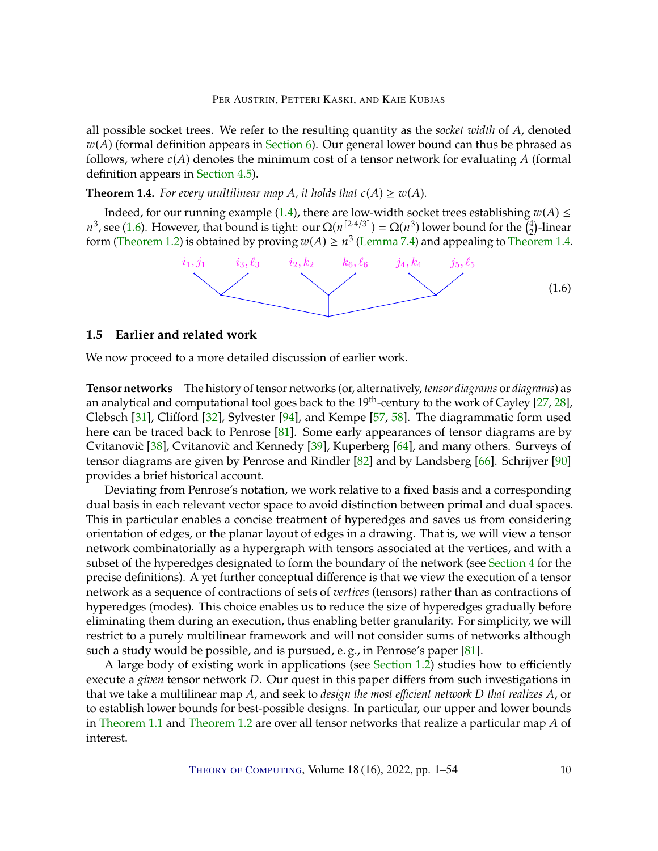<span id="page-9-3"></span>all possible socket trees. We refer to the resulting quantity as the *socket width* of A, denoted  $w(A)$  (formal definition appears in [Section](#page-34-0) [6\)](#page-34-0). Our general lower bound can thus be phrased as follows, where  $c(A)$  denotes the minimum cost of a tensor network for evaluating A (formal definition appears in [Section](#page-19-0) [4.5\)](#page-19-0).

<span id="page-9-2"></span>**Theorem 1.4.** *For every multilinear map A, it holds that*  $c(A) \geq w(A)$ *.* 

Indeed, for our running example [\(1.4\)](#page-7-0), there are low-width socket trees establishing  $w(A) \le$ <sup>3</sup>, see [\(1.6\)](#page-9-1). However, that bound is tight: our  $\Omega(n^{[2\cdot4/3]}) = \Omega(n^3)$  lower bound for the  $\binom{4}{2}$ -linear prompt (Theorem 1. form [\(Theorem](#page-6-0) [1.2\)](#page-6-0) is obtained by proving  $w(A) \ge n^3$  [\(Lemma](#page-39-0) [7.4\)](#page-39-0) and appealing to [Theorem](#page-9-2) [1.4.](#page-9-2)  $_2^4$ )-linear

<span id="page-9-1"></span>

## <span id="page-9-0"></span>**1.5 Earlier and related work**

We now proceed to a more detailed discussion of earlier work.

**Tensor networks** The history of tensor networks (or, alternatively, *tensor diagrams* or *diagrams*) as an analytical and computational tool goes back to the  $19<sup>th</sup>$ -century to the work of Cayley [\[27,](#page-46-0) [28\]](#page-46-1), Clebsch [\[31\]](#page-46-2), Clifford [\[32\]](#page-46-3), Sylvester [\[94\]](#page-51-3), and Kempe [\[57,](#page-48-3) [58\]](#page-48-4). The diagrammatic form used here can be traced back to Penrose [\[81\]](#page-50-2). Some early appearances of tensor diagrams are by Cvitanovic  $\left[ 38 \right]$ , Cvitanovic and Kennedy  $\left[ 39 \right]$ , Kuperberg  $\left[ 64 \right]$ , and many others. Surveys of tensor diagrams are given by Penrose and Rindler [\[82\]](#page-50-9) and by Landsberg [\[66\]](#page-49-2). Schrijver [\[90\]](#page-51-4) provides a brief historical account.

Deviating from Penrose's notation, we work relative to a fixed basis and a corresponding dual basis in each relevant vector space to avoid distinction between primal and dual spaces. This in particular enables a concise treatment of hyperedges and saves us from considering orientation of edges, or the planar layout of edges in a drawing. That is, we will view a tensor network combinatorially as a hypergraph with tensors associated at the vertices, and with a subset of the hyperedges designated to form the boundary of the network (see [Section](#page-17-0) [4](#page-17-0) for the precise definitions). A yet further conceptual difference is that we view the execution of a tensor network as a sequence of contractions of sets of *vertices* (tensors) rather than as contractions of hyperedges (modes). This choice enables us to reduce the size of hyperedges gradually before eliminating them during an execution, thus enabling better granularity. For simplicity, we will restrict to a purely multilinear framework and will not consider sums of networks although such a study would be possible, and is pursued, e. g., in Penrose's paper [\[81\]](#page-50-2).

A large body of existing work in applications (see [Section](#page-2-0) [1.2\)](#page-2-0) studies how to efficiently execute a *given* tensor network *D*. Our quest in this paper differs from such investigations in that we take a multilinear map A, and seek to *design the most efficient network D that realizes A*, or to establish lower bounds for best-possible designs. In particular, our upper and lower bounds in [Theorem](#page-6-0) [1.1](#page-5-0) and Theorem [1.2](#page-6-0) are over all tensor networks that realize a particular map  $A$  of interest.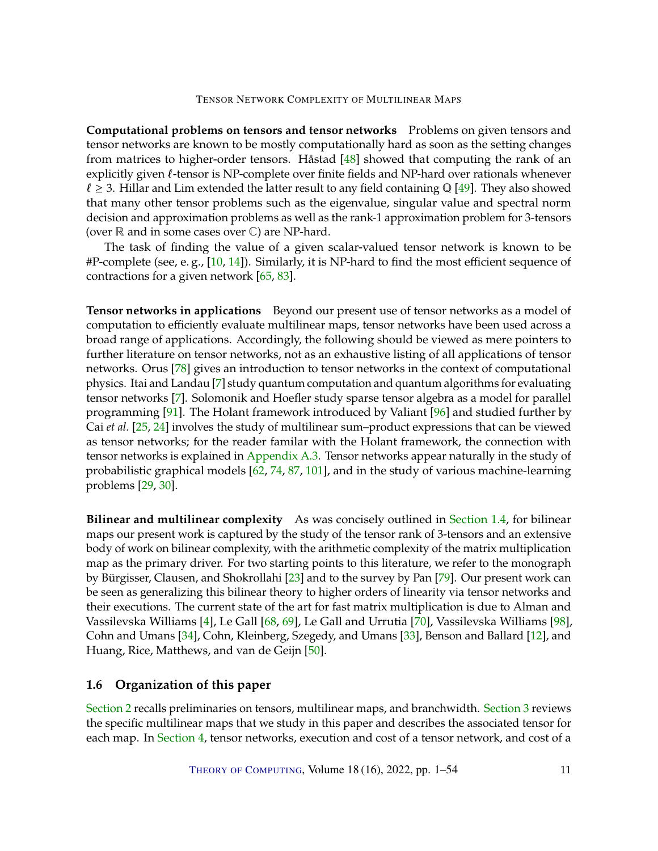<span id="page-10-0"></span>**Computational problems on tensors and tensor networks** Problems on given tensors and tensor networks are known to be mostly computationally hard as soon as the setting changes from matrices to higher-order tensors. Håstad [\[48\]](#page-48-10) showed that computing the rank of an explicitly given  $\ell$ -tensor is NP-complete over finite fields and NP-hard over rationals whenever  $\ell \geq 3$ . Hillar and Lim extended the latter result to any field containing Q [\[49\]](#page-48-11). They also showed that many other tensor problems such as the eigenvalue, singular value and spectral norm decision and approximation problems as well as the rank-1 approximation problem for 3-tensors (over  $\mathbb R$  and in some cases over  $\mathbb C$ ) are NP-hard.

The task of finding the value of a given scalar-valued tensor network is known to be #P-complete (see, e.g.,  $[10, 14]$  $[10, 14]$ ). Similarly, it is NP-hard to find the most efficient sequence of contractions for a given network [\[65,](#page-49-10) [83\]](#page-50-5).

**Tensor networks in applications** Beyond our present use of tensor networks as a model of computation to efficiently evaluate multilinear maps, tensor networks have been used across a broad range of applications. Accordingly, the following should be viewed as mere pointers to further literature on tensor networks, not as an exhaustive listing of all applications of tensor networks. Orus [\[78\]](#page-50-4) gives an introduction to tensor networks in the context of computational physics. Itai and Landau [\[7\]](#page-44-4) study quantum computation and quantum algorithms for evaluating tensor networks [\[7\]](#page-44-4). Solomonik and Hoefler study sparse tensor algebra as a model for parallel programming [\[91\]](#page-51-8). The Holant framework introduced by Valiant [\[96\]](#page-51-6) and studied further by Cai *et al.* [\[25,](#page-46-4) [24\]](#page-46-5) involves the study of multilinear sum–product expressions that can be viewed as tensor networks; for the reader familar with the Holant framework, the connection with tensor networks is explained in [Appendix](#page-43-0) [A.3.](#page-43-0) Tensor networks appear naturally in the study of probabilistic graphical models [\[62,](#page-49-4) [74,](#page-50-10) [87,](#page-51-7) [101\]](#page-52-5), and in the study of various machine-learning problems [\[29,](#page-46-7) [30\]](#page-46-8).

**Bilinear and multilinear complexity** As was concisely outlined in [Section](#page-7-2) [1.4,](#page-7-2) for bilinear maps our present work is captured by the study of the tensor rank of 3-tensors and an extensive body of work on bilinear complexity, with the arithmetic complexity of the matrix multiplication map as the primary driver. For two starting points to this literature, we refer to the monograph by Bürgisser, Clausen, and Shokrollahi [\[23\]](#page-46-9) and to the survey by Pan [\[79\]](#page-50-11). Our present work can be seen as generalizing this bilinear theory to higher orders of linearity via tensor networks and their executions. The current state of the art for fast matrix multiplication is due to Alman and Vassilevska Williams [\[4\]](#page-44-5), Le Gall [\[68,](#page-49-11) [69\]](#page-49-5), Le Gall and Urrutia [\[70\]](#page-49-6), Vassilevska Williams [\[98\]](#page-51-10), Cohn and Umans [\[34\]](#page-46-10), Cohn, Kleinberg, Szegedy, and Umans [\[33\]](#page-46-11), Benson and Ballard [\[12\]](#page-45-10), and Huang, Rice, Matthews, and van de Geijn [\[50\]](#page-48-12).

# **1.6 Organization of this paper**

[Section](#page-11-0) [2](#page-11-0) recalls preliminaries on tensors, multilinear maps, and branchwidth. [Section](#page-13-0) [3](#page-13-0) reviews the specific multilinear maps that we study in this paper and describes the associated tensor for each map. In [Section](#page-17-0) [4,](#page-17-0) tensor networks, execution and cost of a tensor network, and cost of a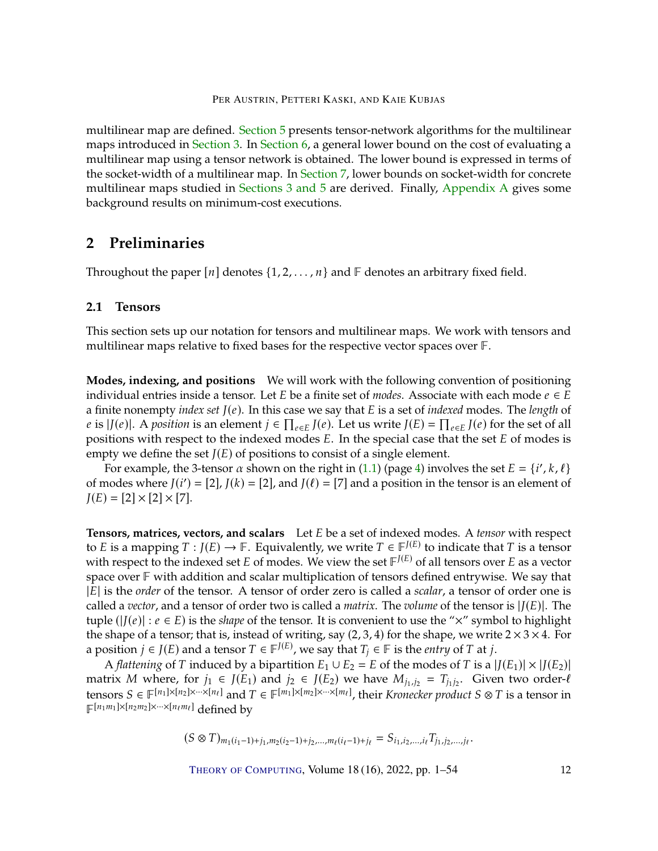multilinear map are defined. [Section](#page-20-0) [5](#page-20-0) presents tensor-network algorithms for the multilinear maps introduced in [Section](#page-13-0) [3.](#page-13-0) In [Section](#page-34-0) [6,](#page-34-0) a general lower bound on the cost of evaluating a multilinear map using a tensor network is obtained. The lower bound is expressed in terms of the socket-width of a multilinear map. In [Section](#page-37-0) [7,](#page-37-0) lower bounds on socket-width for concrete multilinear maps studied in [Sections](#page-13-0) [3](#page-13-0) [and](#page-20-0) [5](#page-20-0) are derived. Finally, [Appendix](#page-40-0) [A](#page-40-0) gives some background results on minimum-cost executions.

# <span id="page-11-0"></span>**2 Preliminaries**

Throughout the paper  $[n]$  denotes  $\{1, 2, \ldots, n\}$  and  $\mathbb F$  denotes an arbitrary fixed field.

# **2.1 Tensors**

This section sets up our notation for tensors and multilinear maps. We work with tensors and multilinear maps relative to fixed bases for the respective vector spaces over  $\mathbb{F}$ .

**Modes, indexing, and positions** We will work with the following convention of positioning individual entries inside a tensor. Let  $E$  be a finite set of *modes*. Associate with each mode  $e \in E$ a finite nonempty *index set* 𝐽(𝑒). In this case we say that 𝐸 is a set of *indexed* modes. The *length* of e is  $|J(e)|$ . A *position* is an element  $j \in \prod_{e \in E} J(e)$ . Let us write  $J(E) = \prod_{e \in E} J(e)$  for the set of all positions with respect to the indexed modes F. In the special case that the set F of modes is positions with respect to the indexed modes  $E$ . In the special case that the set  $E$  of modes is empty we define the set  $J(E)$  of positions to consist of a single element.

For example, the 3-tensor  $\alpha$  shown on the right in [\(1.1\)](#page-3-0) (page [4\)](#page-3-0) involves the set  $E = \{i', k, \ell\}$ of modes where  $J(i') = [2]$ ,  $J(k) = [2]$ , and  $J(\ell) = [7]$  and a position in the tensor is an element of  $J(F) - [2] \times [7] \times [7]$  $J(E) = [2] \times [2] \times [7]$ .

<span id="page-11-1"></span>**Tensors, matrices, vectors, and scalars** Let *E* be a set of indexed modes. A *tensor* with respect to *E* is a mapping  $T : J(E) \to \mathbb{F}$ . Equivalently, we write  $T \in \mathbb{F}^{J(E)}$  to indicate that *T* is a tensor with respect to the indexed set *E* of modes. We view the set  $\mathbb{F}^{J(E)}$  of all tensors over *E* as a vector with respect to the indexed set  $E$  of modes. We view the set  $F^{J(E)}$  of all tensors over  $E$  as a vector<br>space over  $E$  with addition and scalar multiplication of tensors defined optrovise. We say that space over  $\mathbb F$  with addition and scalar multiplication of tensors defined entrywise. We say that <sup>|</sup>𝐸<sup>|</sup> is the *order* of the tensor. A tensor of order zero is called a *scalar*, a tensor of order one is called a *vector*, and a tensor of order two is called a *matrix*. The *volume* of the tensor is  $|J(E)|$ . The tuple ( $|J(e)| : e \in E$ ) is the *shape* of the tensor. It is convenient to use the "×" symbol to highlight the shape of a tensor; that is, instead of writing, say  $(2, 3, 4)$  for the shape, we write  $2 \times 3 \times 4$ . For a position  $j \in J(E)$  and a tensor  $T \in \mathbb{F}^{J(E)}$ , we say that  $T_j \in \mathbb{F}$  is the *entry* of  $T$  at  $j$ .<br>A flattening of  $T$  induced by a bipartition  $F_1 \cup F_2 = F$  of the modes of  $T$  is a l

A *flattening* of T induced by a bipartition  $E_1 \cup E_2 = E$  of the modes of T is a  $|J(E_1)| \times |J(E_2)|$ matrix *M* where, for  $j_1 \in J(E_1)$  and  $j_2 \in J(E_2)$  we have  $M_{j_1,j_2} = T_{j_1j_2}$ . Given two order-*l* tensors  $S \in \mathbb{F}^{[n_1] \times [n_2] \times \cdots \times [n_\ell]}$  and  $T \in \mathbb{F}^{[m_1] \times [m_2] \times \cdots \times [m_\ell]}$ , their *Kronecker product*  $S \otimes T$  is a tensor in  $\mathbb{F}^{[n_1m_1] \times [n_2m_2] \times \cdots \times [n_\ell m_\ell]}$  defined by  $\mathbb{F}^{[n_1m_1]\times[n_2m_2]\times\cdots\times[n_\ell m_\ell]}$  defined by

$$
(S \otimes T)_{m_1(i_1-1)+j_1,m_2(i_2-1)+j_2,\ldots,m_\ell(i_\ell-1)+j_\ell} = S_{i_1,i_2,\ldots,i_\ell} T_{j_1,j_2,\ldots,j_\ell}.
$$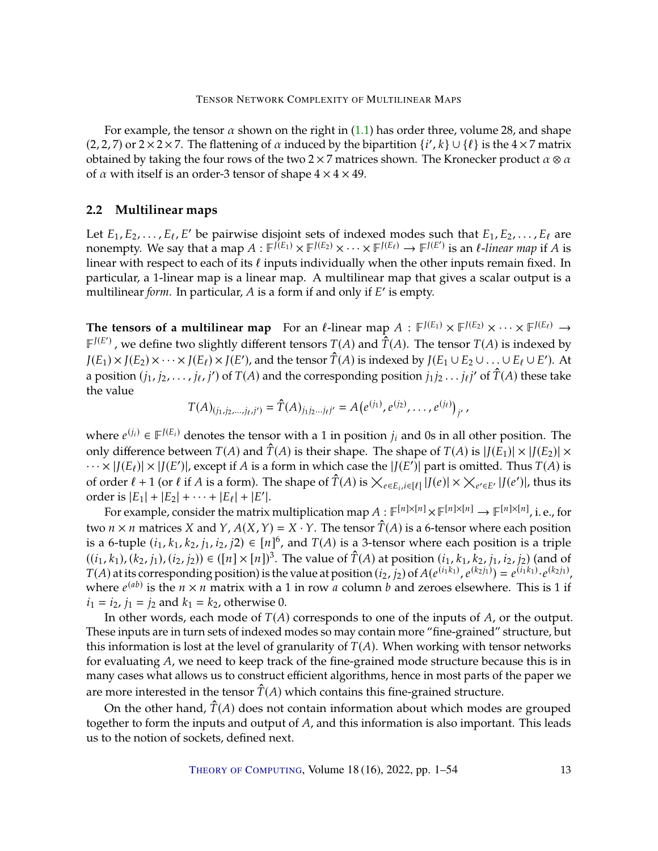For example, the tensor  $\alpha$  shown on the right in [\(1.1\)](#page-3-0) has order three, volume 28, and shape (2, 2, 7) or  $2 \times 2 \times 7$ . The flattening of  $\alpha$  induced by the bipartition  $\{i', k\} \cup \{\ell\}$  is the  $4 \times 7$  matrix obtained by taking the four rows of the two  $2 \times 7$  matrices shown. The Kronecker product  $\alpha \otimes \alpha$ obtained by taking the four rows of the two 2 × 7 matrices shown. The Kronecker product  $\alpha \otimes \alpha$ of  $\alpha$  with itself is an order-3 tensor of shape  $4 \times 4 \times 49$ .

# **2.2 Multilinear maps**

Let  $E_1, E_2, \ldots, E_\ell, E'$  be pairwise disjoint sets of indexed modes such that  $E_1, E_2, \ldots, E_\ell$  are nonempty. We say that a man  $A : E^{(E_1)} \times E^{(E_2)} \times \ldots \times E^{(E_\ell)} \to E^{(E)}$  is an *l*-linear man if A is nonempty. We say that a map  $A : \mathbb{F}^{j(E_1)} \times \mathbb{F}^{J(E_2)} \times \cdots \times \mathbb{F}^{J(E_\ell)} \to \mathbb{F}^{J(E')}$  is an  $\ell$ -linear map if A is<br>linear with respect to each of its  $\ell$  inputs individually when the other inputs remain fixed. In linear with respect to each of its  $\ell$  inputs individually when the other inputs remain fixed. In particular, a 1-linear map is a linear map. A multilinear map that gives a scalar output is a multilinear *form*. In particular, A is a form if and only if E' is empty.

**The tensors of a multilinear map** For an  $\ell$ -linear map  $A : \mathbb{F}^{J(E_1)} \times \mathbb{F}^{J(E_2)} \times \cdots \times \mathbb{F}^{J(E_\ell)} \to$ <br> $\mathbb{F}^{J(E)}$  are define two clickly different tensors  $T(A)$  and  $\hat{T}(A)$ . The tensor  $T(A)$  is indexed by  $F^{J(E')}$ , we define two slightly different tensors  $T(A)$  and  $\hat{T}(A)$ . The tensor  $T(A)$  is indexed by  $I(F_1 \cup F_2 \cup F_3) \times I(F_1) \times I(F_2) \times I(F_3)$ .  $J(E_1) \times J(E_2) \times \cdots \times J(E_\ell) \times J(E')$ , and the tensor  $\hat{T}(A)$  is indexed by  $J(E_1 \cup E_2 \cup \ldots \cup E_\ell \cup E')$ . At a position  $(j_1, j_2, \ldots, j_\ell, j')$  of  $T(A)$  and the corresponding position  $j_1 j_2 \ldots j_\ell j'$  of  $\hat{T}(A)$  these take the value

$$
T(A)_{(j_1,j_2,\ldots,j_\ell,j')}=\hat{T}(A)_{j_1j_2\ldots j_\ell j'}=A(e^{(j_1)},e^{(j_2)},\ldots,e^{(j_\ell)})_{j'},
$$

 $^{\prime}$ 

where  $e^{(j_i)} \in \mathbb{F}^{J(E_i)}$  denotes the tensor with a 1 in position  $j_i$  and 0s in all other position. The call  $\mathbb{F}^{J(E_i)}$ only difference between  $T(A)$  and  $\hat{T}(A)$  is their shape. The shape of  $T(A)$  is  $|J(E_1)| \times |J(E_2)| \times$  $\cdots \times |J(E_{\ell})| \times |J(E')|$ , except if A is a form in which case the  $|J(E')|$  part is omitted. Thus  $T(A)$  is a form of  $\hat{T}(A)$  is  $\cdots$   $\cdots$   $\cdots$   $\cdots$   $\cdots$   $\cdots$   $\cdots$   $\cdots$   $\cdots$   $\cdots$   $\cdots$   $\cdots$ of order  $\ell + 1$  (or  $\ell$  if A is a form). The shape of  $\hat{T}(A)$  is  $\times_{e \in E_i, i \in [\ell]} |J(e)| \times \times_{e' \in E'} |J(e')|$ , thus its order is  $|E_1| + |E_2| + \cdots + |E_\ell| + |E'|$ .<br>For example, consider the matrix

For example, consider the matrix multiplication map  $A : \mathbb{F}^{[n] \times [n]} \times \mathbb{F}^{[n] \times [n]} \to \mathbb{F}^{[n] \times [n]}$ , i. e., for two  $n \times n$  matrices X and Y,  $A(X, Y) = X \cdot Y$ . The tensor  $\hat{T}(A)$  is a 6-tensor where each position is a 6-tuple  $(i_1, k_1, k_2, j_1, i_2, j_2) \in [n]^6$ , and  $T(A)$  is a 3-tensor where each position is a triple  $((i, k_1), (i, i_2), (i, i_3)) \in ([n])^3$ . The value of  $\hat{T}(A)$  et position  $(i, k_1, k_2, i_3)$  (and of  $((i_1, k_1), (k_2, j_1), (i_2, j_2)) \in ([n] \times [n])^3$ . The value of  $\hat{T}(A)$  at position  $(i_1, k_1, k_2, j_1, i_2, j_2)$  (and of  $T(A)$ ) at its corresponding position is the value at position  $(i_2, i_2)$  of  $A(e^{i_1k_1}, e^{i_2j_1}) = e^{i_1k_1} \cdot e$  $T(A)$  at its corresponding position) is the value at position  $(i_2, j_2)$  of  $A(e^{(i_1 k_1)}, e^{(k_2 j_1)}) = e^{(i_1 k_1)} \cdot e^{(k_2 j_1)}$ , where  $e^{(ab)}$  is the  $n \times n$  matrix with a 1 in row *a* column *b* and zeroes elsewhere. This is 1 if  $i_1 = i_2$ ,  $j_1 = j_2$  and  $k_1 = k_2$ , otherwise 0.

In other words, each mode of  $T(A)$  corresponds to one of the inputs of  $A$ , or the output. These inputs are in turn sets of indexed modes so may contain more "fine-grained" structure, but this information is lost at the level of granularity of  $T(A)$ . When working with tensor networks for evaluating  $A$ , we need to keep track of the fine-grained mode structure because this is in many cases what allows us to construct efficient algorithms, hence in most parts of the paper we are more interested in the tensor  $\hat{T}(A)$  which contains this fine-grained structure.

On the other hand,  $\hat{T}(A)$  does not contain information about which modes are grouped together to form the inputs and output of  $A$ , and this information is also important. This leads us to the notion of sockets, defined next.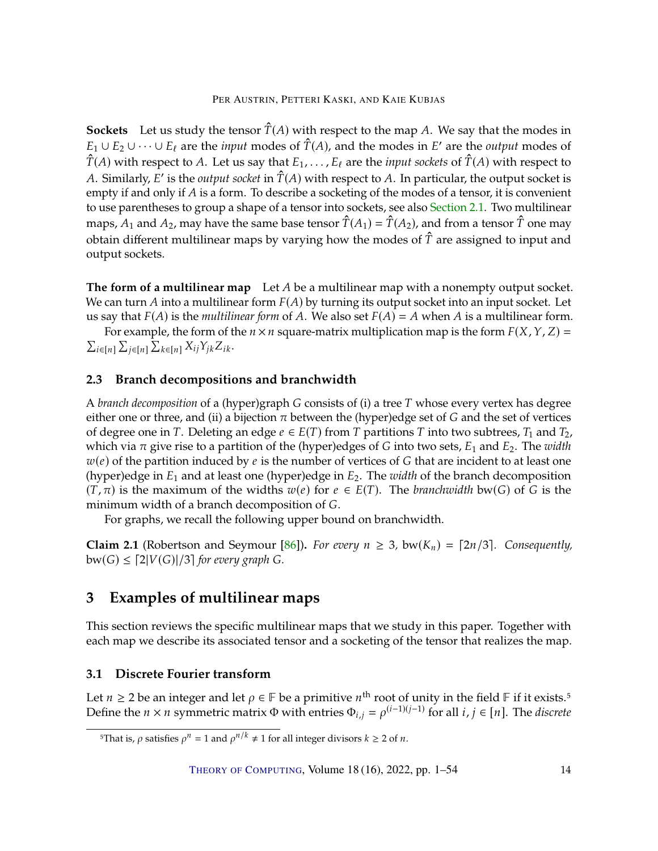<span id="page-13-2"></span>**Sockets** Let us study the tensor  $\hat{T}(A)$  with respect to the map A. We say that the modes in  $E_1 \cup E_2 \cup \cdots \cup E_\ell$  are the *input* modes of  $\hat{T}(A)$ , and the modes in  $E'$  are the *output* modes of  $\hat{T}(A)$ , with recogation of  $\hat{T}(A)$ , with recogation  $\hat{T}(A)$  with respect to A. Let us say that  $E_1, \ldots, E_\ell$  are the *input sockets* of  $\hat{T}(A)$  with respect to A. Similarly,  $E'$  is the *output socket* in  $\hat{T}(A)$  with respect to  $\hat{A}$ . In particular, the output socket is entity if and only if  $A$  is a form. To describe a socketing of the modes of a tensor it is convenient empty if and only if  $A$  is a form. To describe a socketing of the modes of a tensor, it is convenient to use parentheses to group a shape of a tensor into sockets, see also [Section](#page-11-1) [2.1.](#page-11-1) Two multilinear maps,  $A_1$  and  $A_2$ , may have the same base tensor  $\hat{T}(A_1) = \hat{T}(A_2)$ , and from a tensor  $\hat{T}$  one may obtain different multilinear maps by varying how the modes of  $\hat{T}$  are assigned to input and output sockets.

**The form of a multilinear map** Let A be a multilinear map with a nonempty output socket. We can turn A into a multilinear form  $F(A)$  by turning its output socket into an input socket. Let us say that  $F(A)$  is the *multilinear form* of A. We also set  $F(A) = A$  when A is a multilinear form.

For example, the form of the  $n \times n$  square-matrix multiplication map is the form  $F(X, Y, Z) =$  $i \in [n]$   $\sum_{j \in [n]} \sum_{k \in [n]} X_{ij} Y_{jk} Z_{ik}$ .

# **2.3 Branch decompositions and branchwidth**

A *branch decomposition* of a (hyper)graph G consists of (i) a tree T whose every vertex has degree either one or three, and (ii) a bijection  $\pi$  between the (hyper)edge set of G and the set of vertices of degree one in T. Deleting an edge  $e \in E(T)$  from T partitions T into two subtrees,  $T_1$  and  $T_2$ , which via  $\pi$  give rise to a partition of the (hyper)edges of G into two sets,  $E_1$  and  $E_2$ . The *width*  $w(e)$  of the partition induced by e is the number of vertices of G that are incident to at least one (hyper)edge in  $E_1$  and at least one (hyper)edge in  $E_2$ . The *width* of the branch decomposition  $(T, \pi)$  is the maximum of the widths  $w(e)$  for  $e \in E(T)$ . The *branchwidth* bw(*G*) of *G* is the minimum width of a branch decomposition of G.

For graphs, we recall the following upper bound on branchwidth.

**Claim 2.1** (Robertson and Seymour [\[86\]](#page-50-12)). *For every*  $n \geq 3$ , bw( $K_n$ ) = [2n/3]. *Consequently*,  $bw(G) \leq [2|V(G)|/3]$  for every graph G.

# <span id="page-13-0"></span>**3 Examples of multilinear maps**

This section reviews the specific multilinear maps that we study in this paper. Together with each map we describe its associated tensor and a socketing of the tensor that realizes the map.

# <span id="page-13-1"></span>**3.1 Discrete Fourier transform**

Let  $n \geq 2$  be an integer and let  $\rho \in \mathbb{F}$  be a primitive  $n^{\text{th}}$  root of unity in the field  $\mathbb{F}$  if it exists.<sup>5</sup><br>Define the  $n \times n$  symmetric matrix  $\Phi$  with entries  $\Phi_{i,j} = o^{(i-1)(j-1)}$  for all  $i, i \in [n]$ . T Define the  $n \times n$  symmetric matrix  $\Phi$  with entries  $\Phi_{i,j} = \rho^{(i-1)(j-1)}$  for all  $i, j \in [n]$ . The *discrete* 

<sup>&</sup>lt;sup>5</sup>That is,  $\rho$  satisfies  $\rho^n = 1$  and  $\rho^{n/k} \neq 1$  for all integer divisors  $k \geq 2$  of  $n$ .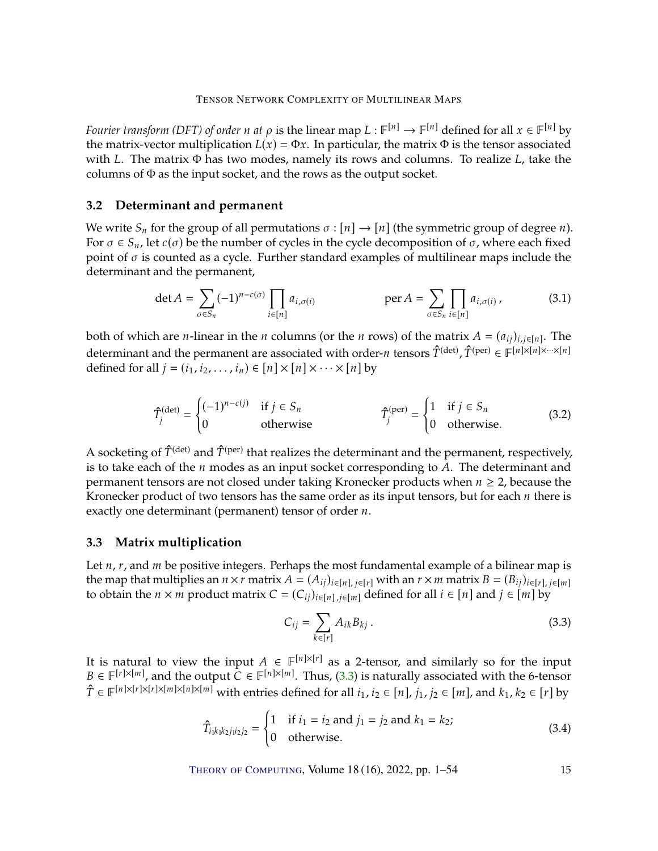*Fourier transform (DFT) of order n at*  $\rho$  is the linear map  $L : \mathbb{F}^{[n]} \to \mathbb{F}^{[n]}$  defined for all  $x \in \mathbb{F}^{[n]}$  by the matrix-vector multiplication  $L(x) = \Phi x$ . In particular, the matrix  $\Phi$  is the tonsor associa the matrix-vector multiplication  $L(x) = \Phi x$ . In particular, the matrix  $\Phi$  is the tensor associated with  $L$ . The matrix  $\Phi$  has two modes, namely its rows and columns. To realize  $L$ , take the columns of Φ as the input socket, and the rows as the output socket.

# **3.2 Determinant and permanent**

We write  $S_n$  for the group of all permutations  $\sigma : [n] \rightarrow [n]$  (the symmetric group of degree *n*). For  $\sigma \in S_n$ , let  $c(\sigma)$  be the number of cycles in the cycle decomposition of  $\sigma$ , where each fixed point of  $\sigma$  is counted as a cycle. Further standard examples of multilinear maps include the determinant and the permanent,

<span id="page-14-2"></span>
$$
\det A = \sum_{\sigma \in S_n} (-1)^{n-c(\sigma)} \prod_{i \in [n]} a_{i,\sigma(i)} \qquad \text{per } A = \sum_{\sigma \in S_n} \prod_{i \in [n]} a_{i,\sigma(i)} \,, \tag{3.1}
$$

both of which are *n*-linear in the *n* columns (or the *n* rows) of the matrix  $A = (a_{ij})_{i,j \in [n]}$ . The determinant and the permanent are associated with order-𝑛 tensors <sup>𝑇</sup>ˆ(det) , 𝑇ˆ(per) <sup>∈</sup> <sup>𝔽</sup> [𝑛]×[𝑛]×···×[𝑛] defined for all  $j = (i_1, i_2, \ldots, i_n) \in [n] \times [n] \times \cdots \times [n]$  by

$$
\hat{T}_j^{(\text{det})} = \begin{cases}\n(-1)^{n-c(j)} & \text{if } j \in S_n \\
0 & \text{otherwise}\n\end{cases} \qquad \qquad \hat{T}_j^{(\text{per})} = \begin{cases}\n1 & \text{if } j \in S_n \\
0 & \text{otherwise}\n\end{cases}
$$
\n(3.2)

A socketing of  $\hat{T}^{(det)}$  and  $\hat{T}^{(per)}$  that realizes the determinant and the permanent, respectively, is to take each of the *n* modes as an input socket corresponding to 4. The determinant and is to take each of the  $n$  modes as an input socket corresponding to  $A$ . The determinant and permanent tensors are not closed under taking Kronecker products when  $n \geq 2$ , because the Kronecker product of two tensors has the same order as its input tensors, but for each  $n$  there is exactly one determinant (permanent) tensor of order  $n$ .

# **3.3 Matrix multiplication**

Let  $n$ ,  $r$ , and  $m$  be positive integers. Perhaps the most fundamental example of a bilinear map is the map that multiplies an  $n \times r$  matrix  $A = (A_{ij})_{i \in [n], j \in [r]}$  with an  $r \times m$  matrix  $B = (B_{ij})_{i \in [r], j \in [m]}$ to obtain the  $n \times m$  product matrix  $C = (C_{ij})_{i \in [n], j \in [m]}$  defined for all  $i \in [n]$  and  $j \in [m]$  by

<span id="page-14-0"></span>
$$
C_{ij} = \sum_{k \in [r]} A_{ik} B_{kj} \,. \tag{3.3}
$$

It is natural to view the input  $A \in \mathbb{F}^{[n] \times [r]}$  as a 2-tensor, and similarly so for the input  $B \in \mathbb{F}^{[r] \times [m]}$  and the output  $C \in \mathbb{F}^{[n] \times [m]}$  Thus (3.3) is naturally associated with the 6-tensor  $B \in \mathbb{F}^{[r] \times [m]}$ , and the output  $C \in \mathbb{F}^{[n] \times [m]}$ . Thus, [\(3.3\)](#page-14-0) is naturally associated with the 6-tensor  $\hat{T} \in \mathbb{F}^{[n] \times [r] \times [m] \times [m] \times [m]}$  with entries defined for all  $i_1, i_2 \in [n]$ ,  $j_1, j_2 \in [m]$ , and  $k_1, k_2 \in [r]$  by

<span id="page-14-1"></span>
$$
\hat{T}_{i_1k_1k_2j_1i_2j_2} = \begin{cases}\n1 & \text{if } i_1 = i_2 \text{ and } j_1 = j_2 \text{ and } k_1 = k_2; \\
0 & \text{otherwise.}\n\end{cases}
$$
\n(3.4)

THEORY OF C[OMPUTING](http://dx.doi.org/10.4086/toc), Volume 18 (16), 2022, pp. 1–54 15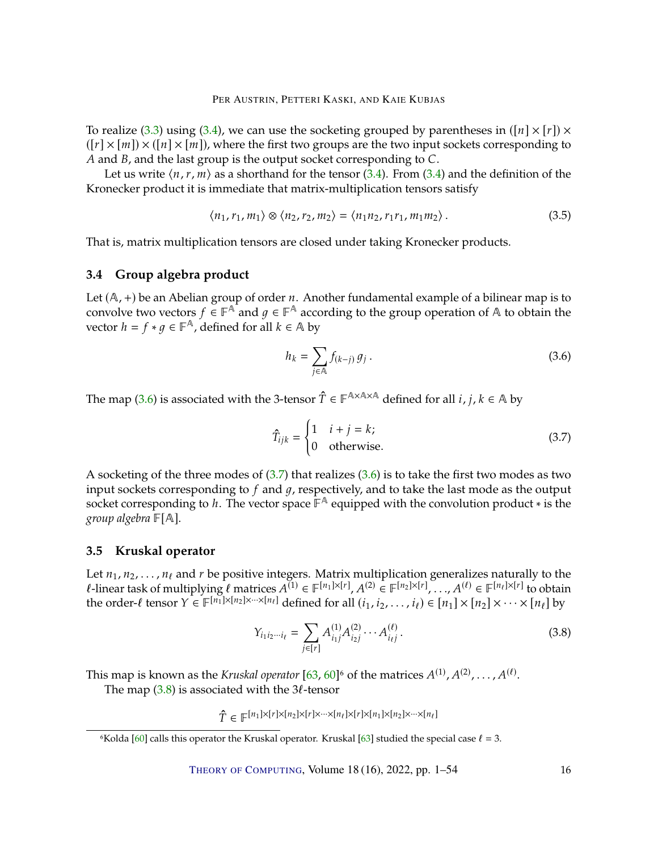<span id="page-15-5"></span>To realize [\(3.3\)](#page-14-0) using [\(3.4\)](#page-14-1), we can use the socketing grouped by parentheses in ( $[n] \times [r] \times$  $([r] \times [m]) \times ([n] \times [m])$ , where the first two groups are the two input sockets corresponding to  $A$  and  $B$ , and the last group is the output socket corresponding to  $C$ .

Let us write  $\langle n, r, m \rangle$  as a shorthand for the tensor [\(3.4\)](#page-14-1). From (3.4) and the definition of the Kronecker product it is immediate that matrix-multiplication tensors satisfy

<span id="page-15-4"></span>
$$
\langle n_1, r_1, m_1 \rangle \otimes \langle n_2, r_2, m_2 \rangle = \langle n_1 n_2, r_1 r_1, m_1 m_2 \rangle. \tag{3.5}
$$

That is, matrix multiplication tensors are closed under taking Kronecker products.

# **3.4 Group algebra product**

Let  $(A, +)$  be an Abelian group of order *n*. Another fundamental example of a bilinear map is to convolve two vectors  $f \in \mathbb{F}^{\mathbb{A}}$  and  $g \in \mathbb{F}^{\mathbb{A}}$  according to the group operation of  $\mathbb{A}$  to obtain the vector  $h = f * g \in \mathbb{F}^{\mathbb{A}}$  defined for all  $k \in \mathbb{A}$  by vector  $h = f * g \in \mathbb{F}^{\mathbb{A}}$ , defined for all  $k \in \mathbb{A}$  by

<span id="page-15-1"></span>
$$
h_k = \sum_{j \in \mathbb{A}} f_{(k-j)} g_j.
$$
 (3.6)

The map [\(3.6\)](#page-15-1) is associated with the 3-tensor  $\hat{T} \in \mathbb{F}^{A \times A \times A}$  defined for all  $i, j, k \in A$  by

<span id="page-15-2"></span>
$$
\hat{T}_{ijk} = \begin{cases}\n1 & i + j = k; \\
0 & \text{otherwise.}\n\end{cases}
$$
\n(3.7)

A socketing of the three modes of  $(3.7)$  that realizes  $(3.6)$  is to take the first two modes as two input sockets corresponding to  $f$  and  $g$ , respectively, and to take the last mode as the output socket corresponding to *h*. The vector space  $\mathbb{F}^{\mathbb{A}}$  equipped with the convolution product  $*$  is the *group algebra*  $\mathbb{F}[\mathbb{A}]$ .

# <span id="page-15-0"></span>**3.5 Kruskal operator**

Let  $n_1, n_2, \ldots, n_\ell$  and r be positive integers. Matrix multiplication generalizes naturally to the  $\ell$ -linear task of multiplying  $\ell$  matrices  $A^{(1)} \in \mathbb{F}^{[n_1] \times [r]}$ ,  $A^{(2)} \in \mathbb{F}^{[n_2] \times [r]}$ , ...,  $A^{(\ell)} \in \mathbb{F}^{[n_\ell] \times [r]}$  to obtain the order  $\ell$  tensor  $Y \in \mathbb{F}^{[n_1] \times [n_2] \times \cdots \times [n_\ell]}$  defined for all  $(i$ the order- $\ell$  tensor  $Y \in \mathbb{F}^{[n_1] \times [n_2] \times \cdots \times [n_\ell]}$  defined for all  $(i_1, i_2, \ldots, i_\ell) \in [n_1] \times [n_2] \times \cdots \times [n_\ell]$  by

<span id="page-15-3"></span>
$$
Y_{i_1 i_2 \cdots i_\ell} = \sum_{j \in [r]} A_{i_1 j}^{(1)} A_{i_2 j}^{(2)} \cdots A_{i_\ell j}^{(\ell)}.
$$
 (3.8)

This map is known as the *Kruskal operator*  $[63, 60]^6$  $[63, 60]^6$  $[63, 60]^6$  $[63, 60]^6$  of the matrices  $A^{(1)}, A^{(2)}, \ldots, A^{(\ell)}$ .<br>The map  $(3, 8)$  is associated with the  $3\ell$ -tensor

The map  $(3.8)$  is associated with the 3 $\ell$ -tensor

 $\hat{T} \in \mathbb{F}^{[n_1] \times [r] \times [n_2] \times [r] \times \cdots \times [n_\ell] \times [r] \times [n_1] \times [n_2] \times \cdots \times [n_\ell]}$ 

<sup>&</sup>lt;sup>6</sup>Kolda [\[60\]](#page-48-7) calls this operator the Kruskal operator. Kruskal [\[63\]](#page-49-7) studied the special case  $\ell = 3$ .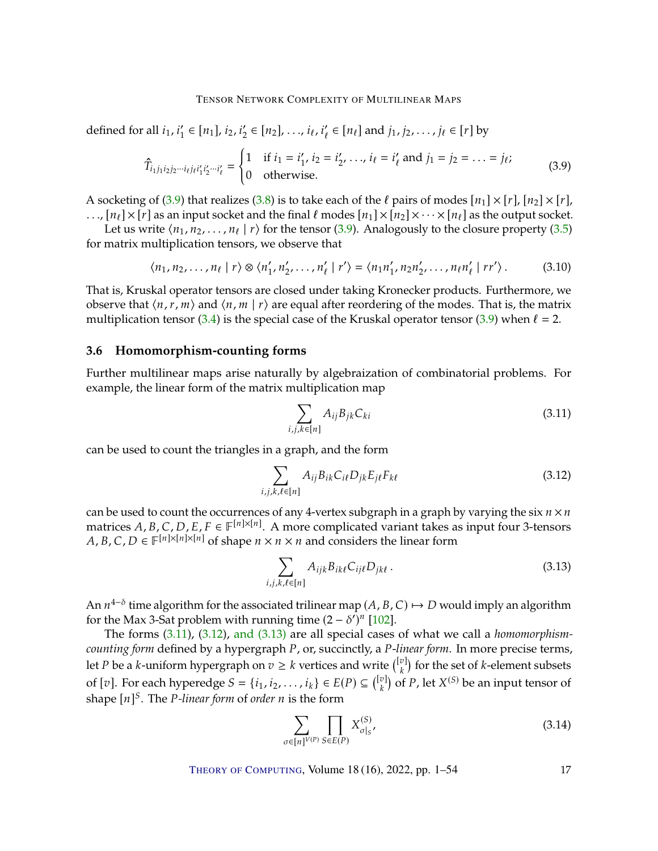<span id="page-16-6"></span>defined for all  $i_1, i'_1 \in [n_1], i_2, i'_2 \in [n_2], \ldots, i_\ell, i'_\ell \in [n_\ell]$  and  $j_1, j_2, \ldots, j_\ell \in [r]$  by

<span id="page-16-0"></span>
$$
\hat{T}_{i_1 j_1 i_2 j_2 \cdots i_\ell j_\ell i'_1 i'_2 \cdots i'_\ell} = \begin{cases}\n1 & \text{if } i_1 = i'_1, i_2 = i'_2, \dots, i_\ell = i'_\ell \text{ and } j_1 = j_2 = \dots = j_\ell; \\
0 & \text{otherwise.}\n\end{cases}
$$
\n(3.9)

A socketing of [\(3.9\)](#page-16-0) that realizes [\(3.8\)](#page-15-3) is to take each of the  $\ell$  pairs of modes  $[n_1] \times [r]$ ,  $[n_2] \times [r]$ , ...,  $[n_\ell] \times [r]$  as an input socket and the final  $\ell$  modes  $[n_1] \times [n_2] \times \cdots \times [n_\ell]$  as the output socket.

Let us write  $\langle n_1, n_2, \ldots, n_\ell | r \rangle$  for the tensor [\(3.9\)](#page-16-0). Analogously to the closure property [\(3.5\)](#page-15-4)<br>matrix multiplication tensors, we observe that for matrix multiplication tensors, we observe that

<span id="page-16-5"></span>
$$
\langle n_1, n_2, \ldots, n_\ell \mid r \rangle \otimes \langle n'_1, n'_2, \ldots, n'_\ell \mid r' \rangle = \langle n_1 n'_1, n_2 n'_2, \ldots, n_\ell n'_\ell \mid rr' \rangle. \tag{3.10}
$$

That is, Kruskal operator tensors are closed under taking Kronecker products. Furthermore, we observe that  $\langle n, r, m \rangle$  and  $\langle n, m | r \rangle$  are equal after reordering of the modes. That is, the matrix multiplication tensor [\(3.4\)](#page-14-1) is the special case of the Kruskal operator tensor [\(3.9\)](#page-16-0) when  $\ell = 2$ .

#### **3.6 Homomorphism-counting forms**

Further multilinear maps arise naturally by algebraization of combinatorial problems. For example, the linear form of the matrix multiplication map

<span id="page-16-1"></span>
$$
\sum_{i,j,k\in[n]}A_{ij}B_{jk}C_{ki}
$$
\n(3.11)

can be used to count the triangles in a graph, and the form

<span id="page-16-2"></span>
$$
\sum_{i,j,k,\ell \in [n]} A_{ij} B_{ik} C_{i\ell} D_{jk} E_{j\ell} F_{k\ell} \tag{3.12}
$$

can be used to count the occurrences of any 4-vertex subgraph in a graph by varying the six  $n \times n$ matrices *A*, *B*, *C*, *D*, *E*, *F*  $\in$   $\mathbb{F}^{[n] \times [n]}$ . A more complicated variant takes as input four 3-tensors <br>*A B C D*  $\in$   $\mathbb{F}^{[n] \times [n] \times [n]}$  of shape  $n \times n \times n$  and considers the linear form *A*, *B*, *C*, *D*  $\in$   $\mathbb{F}^{[n] \times [n] \times [n]}$  of shape  $n \times n \times n$  and considers the linear form

<span id="page-16-3"></span>
$$
\sum_{i,j,k,\ell \in [n]} A_{ijk} B_{ik\ell} C_{ij\ell} D_{jk\ell} . \tag{3.13}
$$

An  $n^{4-\delta}$  time algorithm for the associated trilinear map  $(A, B, C) \mapsto D$  would imply an algorithm for the Max 3-Sat problem with running time  $(2 - \delta')^n$  [102] for the Max 3-Sat problem with running time  $(2 - \delta')^n$  [\[102\]](#page-52-3).

The forms [\(3.11\)](#page-16-1), [\(3.12\)](#page-16-2), and [\(3.13\)](#page-16-3) are all special cases of what we call a *homomorphismcounting form* defined by a hypergraph P, or, succinctly, a P-linear form. In more precise terms, let *P* be a *k*-uniform hypergraph on  $v \ge k$  vertices and write  $\binom{[v]}{k}$  for the set of *k*-element subsets of [v]. For each hyperedge  $S = \{i_1, i_2, ..., i_k\} \in E(P) \subseteq \binom{[v]}{k}$  of P, let  $X^{(S)}$  be an input tensor of shape  $[n]^S$ . The *P-linear form* of *order n* is the form

<span id="page-16-4"></span>
$$
\sum_{\sigma \in [n]^{V(P)}} \prod_{S \in E(P)} X_{\sigma|_S}^{(S)},\tag{3.14}
$$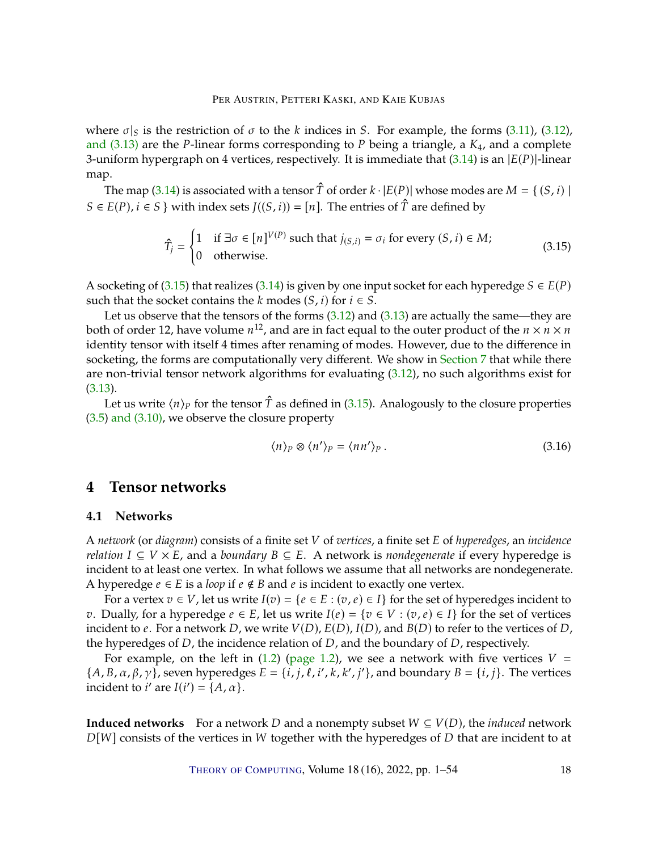where  $\sigma|_S$  is the restriction of  $\sigma$  to the k indices in S. For example, the forms [\(3.11\)](#page-16-1), [\(3.12\)](#page-16-2), and [\(3.13\)](#page-16-3) are the *P*-linear forms corresponding to *P* being a triangle, a  $K_4$ , and a complete 3-uniform hypergraph on 4 vertices, respectively. It is immediate that  $(3.14)$  is an  $|E(P)|$ -linear map.

The map [\(3.14\)](#page-16-4) is associated with a tensor  $\hat{T}$  of order  $k \cdot |E(P)|$  whose modes are  $M = \{ (S, i) |$  $S \in E(P), i \in S$  with index sets  $J((S, i)) = [n]$ . The entries of  $\hat{T}$  are defined by

<span id="page-17-1"></span>
$$
\hat{T}_j = \begin{cases}\n1 & \text{if } \exists \sigma \in [n]^{V(P)} \text{ such that } j_{(S,i)} = \sigma_i \text{ for every } (S,i) \in M; \\
0 & \text{otherwise.} \n\end{cases}
$$
\n(3.15)

A socketing of [\(3.15\)](#page-17-1) that realizes [\(3.14\)](#page-16-4) is given by one input socket for each hyperedge  $S \in E(P)$ such that the socket contains the  $k$  modes  $(S, i)$  for  $i \in S$ .

Let us observe that the tensors of the forms  $(3.12)$  and  $(3.13)$  are actually the same—they are both of order 12, have volume  $n^{12}$ , and are in fact equal to the outer product of the  $n \times n \times n$ <br>identity tensor with itself 4 times after reparaing of modes. However, due to the difference in identity tensor with itself 4 times after renaming of modes. However, due to the difference in socketing, the forms are computationally very different. We show in [Section](#page-37-0) [7](#page-37-0) that while there are non-trivial tensor network algorithms for evaluating [\(3.12\)](#page-16-2), no such algorithms exist for [\(3.13\)](#page-16-3).

Let us write  $\langle n \rangle_p$  for the tensor  $\hat{T}$  as defined in [\(3.15\)](#page-17-1). Analogously to the closure properties [\(3.5\)](#page-15-4) [and \(3.10\),](#page-16-5) we observe the closure property

$$
\langle n \rangle_P \otimes \langle n' \rangle_P = \langle n n' \rangle_P \,. \tag{3.16}
$$

# <span id="page-17-0"></span>**4 Tensor networks**

# **4.1 Networks**

<sup>A</sup> *network* (or *diagram*) consists of a finite set 𝑉 of *vertices*, a finite set 𝐸 of *hyperedges*, an *incidence relation*  $I \subseteq V \times E$ , and a *boundary*  $B \subseteq E$ . A network is *nondegenerate* if every hyperedge is incident to at least one vertex. In what follows we assume that all networks are nondegenerate. A hyperedge  $e \in E$  is a *loop* if  $e \notin B$  and  $e$  is incident to exactly one vertex.

For a vertex  $v \in V$ , let us write  $I(v) = \{e \in E : (v, e) \in I\}$  for the set of hyperedges incident to *v*. Dually, for a hyperedge *e* ∈ *E*, let us write  $I(e) = \{v \in V : (v, e) \in I\}$  for the set of vertices incident to  $e$ . For a network  $D$ , we write  $V(D)$ ,  $E(D)$ ,  $I(D)$ , and  $B(D)$  to refer to the vertices of  $D$ , the hyperedges of  $D$ , the incidence relation of  $D$ , and the boundary of  $D$ , respectively.

For example, on the left in [\(1.2\)](#page-3-1) [\(page](#page-3-1) [1.2\)](#page-3-1), we see a network with five vertices  $V =$  ${A, B, \alpha, \beta, \gamma}$ , seven hyperedges  $E = \{i, j, \ell, i', k, k', j'\}$ , and boundary  $B = \{i, j\}$ . The vertices incident to  $i'$  are  $I(i') = \{A, \alpha\}.$ 

**Induced networks** For a network D and a nonempty subset  $W \subseteq V(D)$ , the *induced* network  $D[W]$  consists of the vertices in W together with the hyperedges of  $D$  that are incident to at

THEORY OF C[OMPUTING](http://dx.doi.org/10.4086/toc), Volume 18 (16), 2022, pp. 1–54 18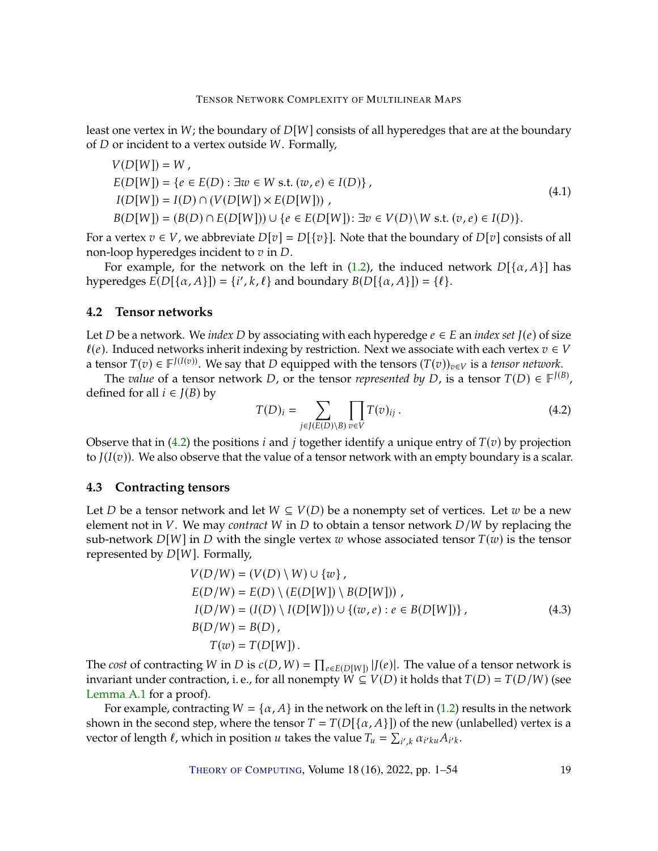least one vertex in  $W$ ; the boundary of  $D[W]$  consists of all hyperedges that are at the boundary of  $D$  or incident to a vertex outside  $W$ . Formally,

<span id="page-18-1"></span>
$$
V(D[W]) = W ,E(D[W]) = \{e \in E(D) : \exists w \in W \text{ s.t. } (w, e) \in I(D)\},I(D[W]) = I(D) \cap (V(D[W]) \times E(D[W])) ,B(D[W]) = (B(D) \cap E(D[W])) \cup \{e \in E(D[W]) : \exists v \in V(D) \setminus W \text{ s.t. } (v, e) \in I(D)\}.
$$
 (4.1)

For a vertex  $v \in V$ , we abbreviate  $D[v] = D({v}]$ . Note that the boundary of  $D[v]$  consists of all non-loop hyperedges incident to  $v$  in  $D$ .

For example, for the network on the left in [\(1.2\)](#page-3-1), the induced network  $D[{\alpha, A}]$  has hyperedges  $E(D[\{\alpha, A\}]) = \{i', k, \ell\}$  and boundary  $B(D[\{\alpha, A\}]) = \{\ell\}.$ 

# **4.2 Tensor networks**

Let *D* be a network. We *index D* by associating with each hyperedge  $e \in E$  an *index set*  $J(e)$  of size  $\ell(e)$ . Induced networks inherit indexing by restriction. Next we associate with each vertex  $v \in V$ a tensor  $T(v) \in \mathbb{F}^{J(I(v))}$ . We say that D equipped with the tensors  $(T(v))_{v \in V}$  is a *tensor network*.<br>The value of a tensor network D, or the tensor *represented by D* is a tensor  $T(D) \in \mathbb{F}^{J(I)}$ 

The *value* of a tensor network *D*, or the tensor *represented by D*, is a tensor  $T(D) \in \mathbb{F}^{J(B)}$ , ined for all  $i \in I(B)$  by defined for all  $i \in J(B)$  by

<span id="page-18-0"></span>
$$
T(D)_i = \sum_{j \in J(E(D) \setminus B)} \prod_{v \in V} T(v)_{ij} . \tag{4.2}
$$

Observe that in [\(4.2\)](#page-18-0) the positions *i* and *j* together identify a unique entry of  $T(v)$  by projection to  $J(I(v))$ . We also observe that the value of a tensor network with an empty boundary is a scalar.

# **4.3 Contracting tensors**

Let *D* be a tensor network and let  $W \subseteq V(D)$  be a nonempty set of vertices. Let w be a new element not in *V*. We may *contract W* in *D* to obtain a tensor network *D*/*W* by replacing the sub-network  $D[W]$  in D with the single vertex w whose associated tensor  $T(w)$  is the tensor represented by  $D[W]$ . Formally,

<span id="page-18-2"></span>
$$
V(D/W) = (V(D) \setminus W) \cup \{w\},
$$
  
\n
$$
E(D/W) = E(D) \setminus (E(D[W]) \setminus B(D[W])) ,
$$
  
\n
$$
I(D/W) = (I(D) \setminus I(D[W])) \cup \{(w, e) : e \in B(D[W])\},
$$
  
\n
$$
B(D/W) = B(D) ,
$$
  
\n
$$
T(w) = T(D[W]).
$$
\n(4.3)

The *cost* of contracting *W* in *D* is  $c(D, W) = \prod_{e \in E(D[W])} |J(e)|$ . The value of a tensor network is invariant under contraction i.e. for all nonompty  $W \subset V(D)$  it holds that  $T(D) = T(D/W)$  (see invariant under contraction, i. e., for all nonempty  $\widetilde{W} \subseteq V(D)$  it holds that  $T(D) = T(D/W)$  (see [Lemma](#page-40-1) [A.1](#page-40-1) for a proof).

For example, contracting  $W = \{\alpha, A\}$  in the network on the left in [\(1.2\)](#page-3-1) results in the network shown in the second step, where the tensor  $T = T(D[\{\alpha, A\}])$  of the new (unlabelled) vertex is a vector of length  $\ell$ , which in position  $u$  takes the value  $T_u = \sum$  $v_{k} \alpha_{i'ku} A_{i'k}.$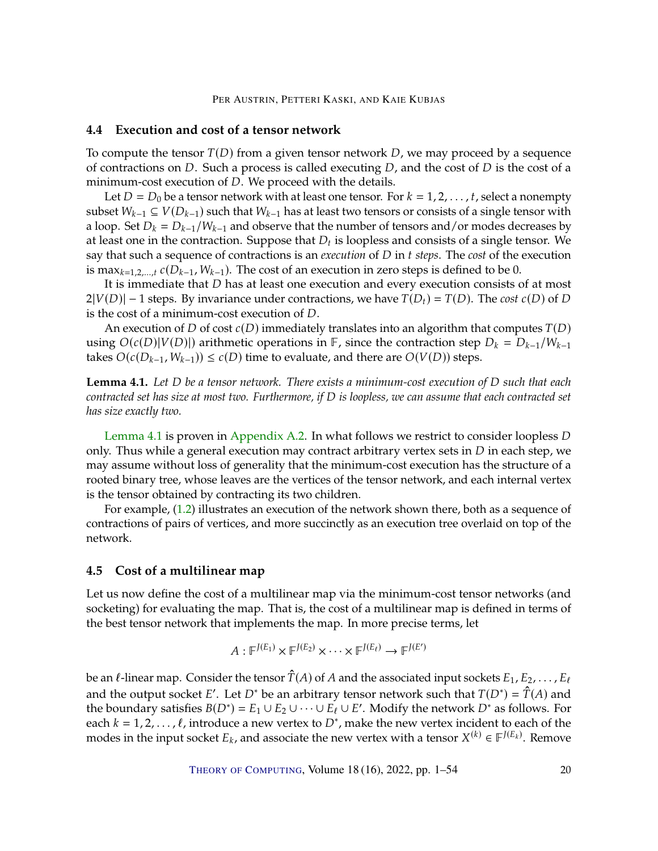# **4.4 Execution and cost of a tensor network**

To compute the tensor  $T(D)$  from a given tensor network D, we may proceed by a sequence of contractions on  $D$ . Such a process is called executing  $D$ , and the cost of  $D$  is the cost of a minimum-cost execution of  $D$ . We proceed with the details.

Let  $D = D_0$  be a tensor network with at least one tensor. For  $k = 1, 2, \ldots, t$ , select a nonempty subset  $W_{k-1} \subseteq V(D_{k-1})$  such that  $W_{k-1}$  has at least two tensors or consists of a single tensor with a loop. Set  $D_k = D_{k-1}/W_{k-1}$  and observe that the number of tensors and/or modes decreases by at least one in the contraction. Suppose that  $D_t$  is loopless and consists of a single tensor. We<br>say that such a sequence of contractions is an execution of  $D$  in t steps. The cest of the execution say that such a sequence of contractions is an *execution* of D in *t steps*. The *cost* of the execution is max $_{k=1,2,...,t}$   $c(D_{k-1}, W_{k-1})$ . The cost of an execution in zero steps is defined to be 0.

It is immediate that  $D$  has at least one execution and every execution consists of at most  $2|V(D)| - 1$  steps. By invariance under contractions, we have  $T(D_t) = T(D)$ . The *cost*  $c(D)$  of D is the cost of a minimum-cost execution of  $D$ .

An execution of D of cost  $c(D)$  immediately translates into an algorithm that computes  $T(D)$ using  $O(c(D)|V(D)|)$  arithmetic operations in  $\mathbb{F}$ , since the contraction step  $D_k = D_{k-1}/W_{k-1}$ takes  $O(c(D_{k-1}, W_{k-1}))$  ≤  $c(D)$  time to evaluate, and there are  $O(V(D))$  steps.

<span id="page-19-1"></span>**Lemma 4.1.** Let D be a tensor network. There exists a minimum-cost execution of D such that each *contracted set has size at most two. Furthermore, if* D is loopless, we can assume that each contracted set *has size exactly two.*

[Lemma](#page-19-1) [4.1](#page-19-1) is proven in [Appendix](#page-41-0) [A.2.](#page-41-0) In what follows we restrict to consider loopless  $D$ only. Thus while a general execution may contract arbitrary vertex sets in  $D$  in each step, we may assume without loss of generality that the minimum-cost execution has the structure of a rooted binary tree, whose leaves are the vertices of the tensor network, and each internal vertex is the tensor obtained by contracting its two children.

For example, [\(1.2\)](#page-3-1) illustrates an execution of the network shown there, both as a sequence of contractions of pairs of vertices, and more succinctly as an execution tree overlaid on top of the network.

# <span id="page-19-0"></span>**4.5 Cost of a multilinear map**

Let us now define the cost of a multilinear map via the minimum-cost tensor networks (and socketing) for evaluating the map. That is, the cost of a multilinear map is defined in terms of the best tensor network that implements the map. In more precise terms, let

$$
A: \mathbb{F}^{J(E_1)} \times \mathbb{F}^{J(E_2)} \times \cdots \times \mathbb{F}^{J(E_\ell)} \to \mathbb{F}^{J(E')}
$$

be an  $\ell$ -linear map. Consider the tensor  $\hat{T}(A)$  of A and the associated input sockets  $E_1, E_2, \ldots, E_\ell$ and the output socket E'. Let D<sup>\*</sup> be an arbitrary tensor network such that  $T(D^*) = \hat{T}(A)$  and<br>the boundary satisfies  $B(D^*) = F_1 \cup F_2 \cup \cdots \cup F_\ell \cup F'$ . Modify the network  $D^*$  as follows. For the boundary satisfies  $B(D^*) = E_1 \cup E_2 \cup \cdots \cup E_\ell \cup E'$ . Modify the network  $D^*$  as follows. For each  $k = 1, 2, ..., \ell$ , introduce a new vertex to  $D^*$ , make the new vertex incident to each of the modes in the input socket  $F_1$ , and associate the new vertex with a tensor  $X^{(k)} \in E^{J(E_k)}$ . Remove modes in the input socket  $E_k$ , and associate the new vertex with a tensor  $X^{(k)} \in \mathbb{F}^{J(E_k)}$ . Remove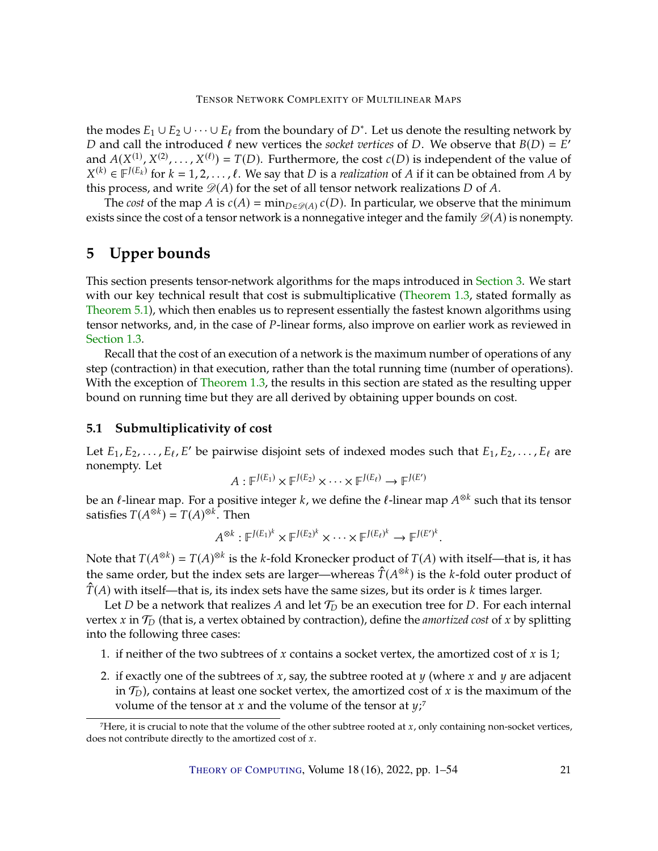the modes  $E_1 \cup E_2 \cup \cdots \cup E_\ell$  from the boundary of  $D^*$ . Let us denote the resulting network by  $D$  and call the introduced  $\ell$  now vertices the secket *vertices* of  $D$ . We observe that  $B(D) = F'$ D and call the introduced  $\ell$  new vertices the *socket vertices* of D. We observe that  $B(D) = E'$ <br>and  $A(Y^{(1)} | Y^{(2)} - Y^{(\ell)}) - T(D)$ . Furthermore, the cost  $\ell(D)$  is independent of the value of and  $A(X^{(1)}, X^{(2)}, \ldots, X^{(\ell)}) = T(D)$ . Furthermore, the cost  $c(D)$  is independent of the value of  $X^{(k)} \in \mathbb{F}^{J(E_k)}$  for  $k - 1, 2, \ldots, \ell$ . We say that  $D$  is a reglization of A if it can be obtained from A by this process, and write  $\mathcal{D}(A)$  for the set of all tensor network realizations D of A.<br>The cest of the map A is  $c(A)$  = min a  $c(x)$  (D). In particular we observe that  $(k) \in F^{J(E_k)}$  for  $k = 1, 2, ..., \ell$ . We say that *D* is a *realization* of *A* if it can be obtained from *A* by is process, and write  $\mathcal{D}(A)$  for the set of all tensor petwork realizations *D* of *A* 

The *cost* of the map *A* is  $c(A) = \min_{D \in \mathcal{D}(A)} c(D)$ . In particular, we observe that the minimum exists since the cost of a tensor network is a nonnegative integer and the family  $\mathscr{D}(A)$  is nonempty.

# <span id="page-20-0"></span>**5 Upper bounds**

This section presents tensor-network algorithms for the maps introduced in [Section](#page-13-0) [3.](#page-13-0) We start with our key technical result that cost is submultiplicative [\(Theorem](#page-7-1) [1.3,](#page-7-1) stated formally as [Theorem](#page-22-0) [5.1\)](#page-22-0), which then enables us to represent essentially the fastest known algorithms using tensor networks, and, in the case of P-linear forms, also improve on earlier work as reviewed in [Section](#page-4-1) [1.3.](#page-4-1)

Recall that the cost of an execution of a network is the maximum number of operations of any step (contraction) in that execution, rather than the total running time (number of operations). With the exception of [Theorem](#page-7-1) [1.3,](#page-7-1) the results in this section are stated as the resulting upper bound on running time but they are all derived by obtaining upper bounds on cost.

# <span id="page-20-1"></span>**5.1 Submultiplicativity of cost**

Let  $E_1, E_2, \ldots, E_\ell, E'$  be pairwise disjoint sets of indexed modes such that  $E_1, E_2, \ldots, E_\ell$  are nonempty. nonempty. Let

$$
A: \mathbb{F}^{J(E_1)} \times \mathbb{F}^{J(E_2)} \times \cdots \times \mathbb{F}^{J(E_\ell)} \to \mathbb{F}^{J(E')}
$$

be an  $\ell$ -linear map. For a positive integer  $k$ , we define the  $\ell$ -linear map  $A^{\otimes k}$  such that its tensor <br>satisfies  $T(A^{\otimes k}) - T(A)^{\otimes k}$ . Then satisfies  $T(A^{\otimes k}) = T(A)^{\otimes k}$ . Then

$$
A^{\otimes k} : \mathbb{F}^{J(E_1)^k} \times \mathbb{F}^{J(E_2)^k} \times \cdots \times \mathbb{F}^{J(E_\ell)^k} \to \mathbb{F}^{J(E')^k}.
$$

Note that  $T(A^{\otimes k}) = T(A)^{\otimes k}$  is the *k*-fold Kronecker product of  $T(A)$  with itself—that is, it has the come order but the index sets are larger, whereas  $\hat{T}(A^{\otimes k})$  is the *k*-fold suter product of the same order, but the index sets are larger—whereas  $\hat{T}(A^{\otimes k})$  is the *k*-fold outer product of  $\hat{T}(A)$  with itself—that is, its index sets have the same sizes, but its order is k times larger.

Let D be a network that realizes A and let  $\mathcal{T}_D$  be an execution tree for D. For each internal vertex  $x$  in  $\mathcal{T}_D$  (that is, a vertex obtained by contraction), define the *amortized cost* of  $x$  by splitting into the following three cases:

- 1. if neither of the two subtrees of  $x$  contains a socket vertex, the amortized cost of  $x$  is 1;
- 2. if exactly one of the subtrees of  $x$ , say, the subtree rooted at  $y$  (where  $x$  and  $y$  are adjacent in  $\mathcal{T}_D$ ), contains at least one socket vertex, the amortized cost of  $x$  is the maximum of the volume of the tensor at  $x$  and the volume of the tensor at  $v^7$ volume of the tensor at x and the volume of the tensor at  $\psi$ ;<sup>7</sup>

 $<sup>7</sup>$  Here, it is crucial to note that the volume of the other subtree rooted at  $x$ , only containing non-socket vertices,</sup> does not contribute directly to the amortized cost of  $x$ .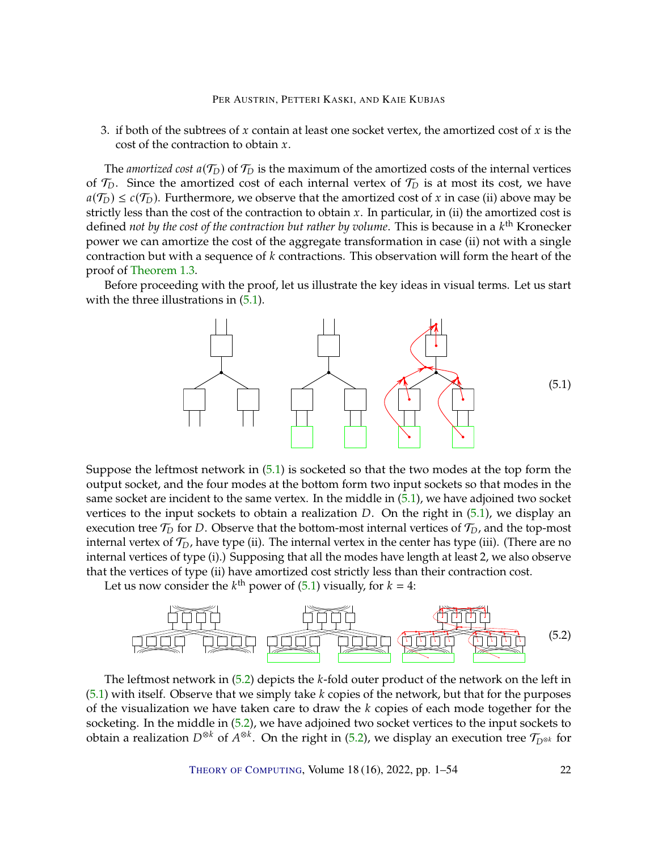3. if both of the subtrees of x contain at least one socket vertex, the amortized cost of x is the cost of the contraction to obtain  $x$ .

The *amortized cost*  $a(\mathcal{T}_D)$  of  $\mathcal{T}_D$  is the maximum of the amortized costs of the internal vertices of  $\mathcal{T}_D$ . Since the amortized cost of each internal vertex of  $\mathcal{T}_D$  is at most its cost, we have  $a(\mathcal{T}_D) \leq c(\mathcal{T}_D)$ . Furthermore, we observe that the amortized cost of x in case (ii) above may be strictly less than the cost of the contraction to obtain  $x$ . In particular, in (ii) the amortized cost is defined *not by the cost of the contraction but rather by volume*. This is because in a  $k^{\text{th}}$  Kronecker<br>power we can amortize the cost of the aggregate transformation in case (ii) not with a single power we can amortize the cost of the aggregate transformation in case (ii) not with a single contraction but with a sequence of  $k$  contractions. This observation will form the heart of the proof of [Theorem](#page-7-1) [1.3.](#page-7-1)

Before proceeding with the proof, let us illustrate the key ideas in visual terms. Let us start with the three illustrations in  $(5.1)$ .

<span id="page-21-0"></span>

Suppose the leftmost network in [\(5.1\)](#page-21-0) is socketed so that the two modes at the top form the output socket, and the four modes at the bottom form two input sockets so that modes in the same socket are incident to the same vertex. In the middle in [\(5.1\)](#page-21-0), we have adjoined two socket vertices to the input sockets to obtain a realization  $D$ . On the right in  $(5.1)$ , we display an execution tree  $\mathcal{T}_D$  for D. Observe that the bottom-most internal vertices of  $\mathcal{T}_D$ , and the top-most<br>internal vertex of  $\mathcal{T}_D$ , have type (ii). The internal vertex in the center has type (iii). (There are no internal vertex of  $\mathcal{T}_D$ , have type (ii). The internal vertex in the center has type (iii). (There are no<br>internal vertices of type (i)). Supposing that all the modes have length at least 2, we also absents internal vertices of type (i).) Supposing that all the modes have length at least 2, we also observe that the vertices of type (ii) have amortized cost strictly less than their contraction cost.

Let us now consider the  $k^{\text{th}}$  power of [\(5.1\)](#page-21-0) visually, for  $k = 4$ :

<span id="page-21-1"></span>

The leftmost network in  $(5.2)$  depicts the k-fold outer product of the network on the left in  $(5.1)$  with itself. Observe that we simply take k copies of the network, but that for the purposes of the visualization we have taken care to draw the  $k$  copies of each mode together for the socketing. In the middle in [\(5.2\)](#page-21-1), we have adjoined two socket vertices to the input sockets to obtain a realization  $D^{\otimes k}$  of  $A^{\otimes k}$ . On the right in [\(5.2\)](#page-21-1), we display an execution tree  $\mathcal{T}_{D^{\otimes k}}$  for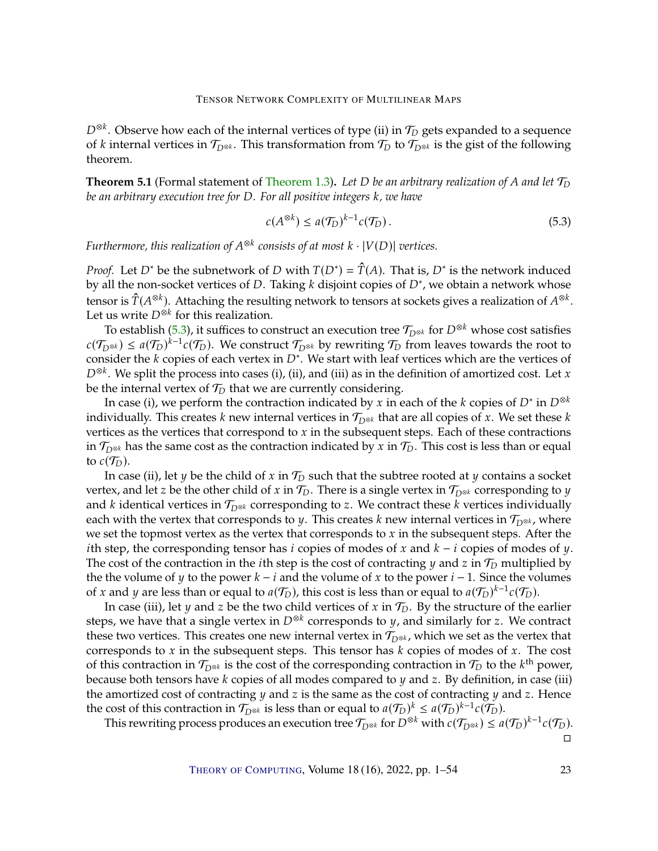$D^{\otimes k}$ . Observe how each of the internal vertices of type (ii) in  $\mathcal{T}_D$  gets expanded to a sequence of k internal vertices in  $\mathcal{T}_{\leq k}$ . This transformation from  $\mathcal{T}_D$  to  $\mathcal{T}_{\leq k}$  is the gist of the follow of k internal vertices in  $\mathcal{T}_{D^{\otimes k}}$ . This transformation from  $\mathcal{T}_D$  to  $\mathcal{T}_{D^{\otimes k}}$  is the gist of the following theorem.

<span id="page-22-0"></span>**[Theorem](#page-7-1) 5.1** (Formal statement of Theorem [1.3\)](#page-7-1). Let D be an arbitrary realization of A and let  $\mathcal{T}_D$ *be an arbitrary execution tree for D. For all positive integers k, we have* 

<span id="page-22-1"></span>
$$
c(A^{\otimes k}) \le a(\mathcal{T}_D)^{k-1}c(\mathcal{T}_D). \tag{5.3}
$$

Furthermore, this realization of  $A^{\otimes k}$  consists of at most  $k \cdot |V(D)|$  vertices.

*Proof.* Let *D*<sup>∗</sup> be the subnetwork of *D* with  $T(D^*) = \hat{T}(A)$ . That is, *D*<sup>∗</sup> is the network induced by all the non-socket vertices of *D*. Taking *k* disjoint copies of  $D^*$ , we obtain a network whose by all the non-socket vertices of *D*. Taking *k* disjoint copies of *D<sup>∗</sup>*, we obtain a network whose tensor is  $\hat{T}(A^{\otimes k})$ . Attaching the resulting network to tensors at sockets gives a realization of  $A^{\otimes k}$ . Let us write  $D^{\otimes k}$  for this realization.<br>For establish (5.3) it suffices to co

To establish [\(5.3\)](#page-22-1), it suffices to construct an execution tree  $\mathcal{T}_{D^{\otimes k}}$  for  $D^{\otimes k}$  whose cost satisfies  $\mathcal{T}_{\omega}$  is  $\mathcal{T}_{\omega}$  whose  $\mathcal{T}_{\omega}$  whose  $\mathcal{T}_{\omega}$  whose  $\mathcal{T}_{\omega}$  is  $\mathcal{T}_{\omega}$  whose to the rest  $c(\mathcal{T}_{D^{\otimes k}}) \leq a(\mathcal{T}_D)^{k-1} c(\mathcal{T}_D)$ . We construct  $\mathcal{T}_{D^{\otimes k}}$  by rewriting  $\mathcal{T}_D$  from leaves towards the root to consider the k copies of each vertex in  $D^*$ . We start with leaf vertices which are the vertices consider the *k* copies of each vertex in  $D^*$ . We start with leaf vertices which are the vertices of  $D^{\otimes k}$ . We split the process into cases (i) (ii) and (iii) as in the definition of amortized cost. Let x  $D^{\otimes k}$ . We split the process into cases (i), (ii), and (iii) as in the definition of amortized cost. Let *x* he the internal vertex of  $\mathcal{T}_D$  that we are currently considering be the internal vertex of  $\mathcal{T}_D$  that we are currently considering.<br>In 2000 (i), we nonform the contraction indicated by x in a

In case (i), we perform the contraction indicated by x in each of the k copies of  $D^*$  in  $D^{\otimes k}$ <br>ividually. This croates k now internal vertices in  $\mathcal{T}_{\otimes k}$  that are all copies of x. We set these k individually. This creates *k* new internal vertices in  $\mathcal{T}_{D^{\otimes k}}$  that are all copies of *x*. We set these *k* vertices as the vertices that correspond to  $x$  in the subsequent steps. Each of these contractions in  $\mathcal{T}_{D^{\otimes k}}$  has the same cost as the contraction indicated by x in  $\mathcal{T}_D$ . This cost is less than or equal to  $c(\mathcal{T}_D)$ . to  $c(\mathcal{T}_D)$ .

In case (ii), let y be the child of x in  $\mathcal{T}_D$  such that the subtree rooted at y contains a socket vertex, and let z be the other child of x in  $\mathcal{T}_D$ . There is a single vertex in  $\mathcal{T}_{D^{\otimes k}}$  corresponding to y and k identical vertices in  $\mathcal{T}_{D^{\otimes k}}$  corresponding to z. We contract these k vertices individually each with the vertex that corresponds to *y*. This creates *k* new internal vertices in  $\mathcal{T}_{D^{\otimes k}}$ , where we set the topmost vertex as the vertex that corresponds to  $x$  in the subsequent steps. After the *i*th step, the corresponding tensor has *i* copies of modes of  $x$  and  $k - i$  copies of modes of  $y$ . The cost of the contraction in the *i*th step is the cost of contracting  $y$  and  $z$  in  $\mathcal{T}_D$  multiplied by the the volume of y to the power  $k - i$  and the volume of x to the power  $i - 1$ . Since the volumes of x and y are less than or equal to  $a(\mathcal{T}_D)$ , this cost is less than or equal to  $a(\mathcal{T}_D)^{k-1}c(\mathcal{T}_D)$ .<br>In case (iii), let y and z be the two child vertices of x in  $\mathcal{T}_D$ . By the structure of the quality

In case (iii), let *y* and *z* be the two child vertices of *x* in  $\mathcal{T}_D$ . By the structure of the earlier steps, we have that a single vertex in  $D^{\otimes k}$  corresponds to *y*, and similarly for *z*. We contract that these two vertices. This creates one new internal vertex in  $\mathcal{T}_{D^{\otimes k}}$ , which we set as the vertex that corresponds to x in the subsequent stops. This tensor has k sonics of modes of x. The sect corresponds to  $x$  in the subsequent steps. This tensor has  $k$  copies of modes of  $x$ . The cost of this contraction in  $\mathcal{T}_{D^{\otimes k}}$  is the cost of the corresponding contraction in  $\mathcal{T}_D$  to the  $k^{\text{th}}$  power, because both tensors have  $k$  copies of all modes compared to  $y$  and  $z$ . By definition, in case (iii) the amortized cost of contracting  $y$  and  $z$  is the same as the cost of contracting  $y$  and  $z$ . Hence the cost of this contraction in  $\mathcal{T}_{D^{\otimes k}}$  is less than or equal to  $a(\mathcal{T}_D)^k \leq a(\mathcal{T}_D)^{k-1}c(\mathcal{T}_D)$ .<br>This rewriting process produces an execution tree  $\mathcal{T}_{\neg k}$  for  $D^{\otimes k}$  with  $c(\mathcal{T}_{\neg k}) \leq a$ .

This rewriting process produces an execution tree  $\mathcal{T}_{D^{\otimes k}}$  for  $D^{\otimes k}$  with  $c(\mathcal{T}_{D^{\otimes k}}) \leq a(\mathcal{T}_D)^{k-1}c(\mathcal{T}_D)$ .  $\Box$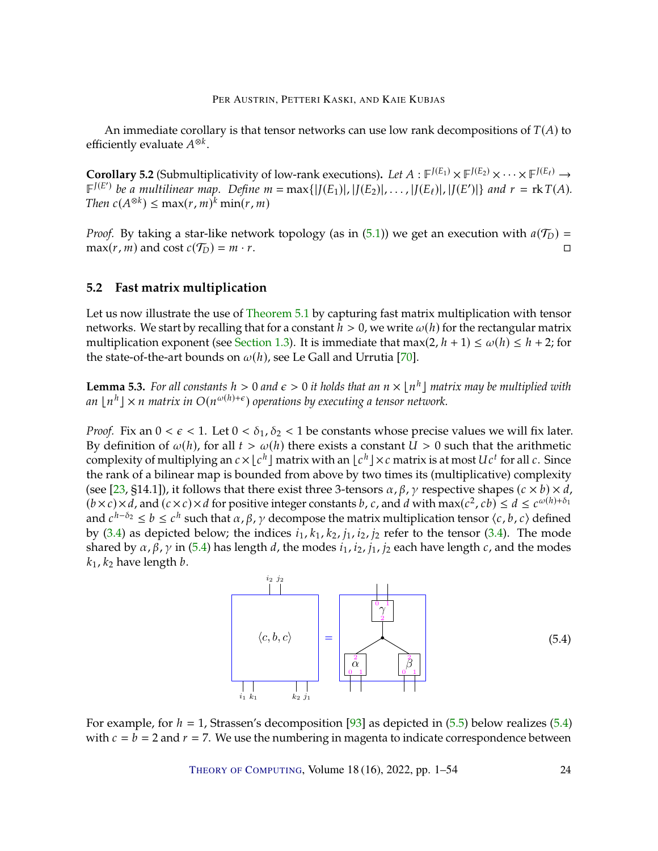<span id="page-23-4"></span>An immediate corollary is that tensor networks can use low rank decompositions of  $T(A)$  to efficiently evaluate  $A^{\otimes k}$ .

<span id="page-23-0"></span>**Corollary 5.2** (Submultiplicativity of low-rank executions). Let  $A : \mathbb{F}^{J(E_1)} \times \mathbb{F}^{J(E_2)} \times \cdots \times \mathbb{F}^{J(E_\ell)} \to$ <br> $\mathbb{F}^{J(E')}$  be a multilinear man. Define  $m = \max_{I} (I(E_1) | I(E_2) | I(E_3) | I(E_4) | I(E_1) | I(E_2) | I(E_2) | I(E_3)$  $\mathbb{F}^{J(E')}$  be a multilinear map. Define  $m = \max\{|J(E_1)|, |J(E_2)|, \ldots, |J(E_\ell)|, |J(E')|\}$  and  $r = \text{rk } T(A)$ .<br>Then  $c(A^{\otimes k}) \leq \max\{r, m\}^k \min\{r, m\}$ . *Then*  $c(A^{\otimes k}) \leq \max(r, m)^k \min(r, m)$ 

*Proof.* By taking a star-like network topology (as in [\(5.1\)](#page-21-0)) we get an execution with  $a(\mathcal{T}_D) = \max(r, m)$  and  $\cos t (c(\mathcal{T}_D) = m \cdot r)$ .  $max(r, m)$  and cost  $c(\mathcal{T}_D) = m \cdot r$ .

# <span id="page-23-1"></span>**5.2 Fast matrix multiplication**

Let us now illustrate the use of [Theorem](#page-22-0) [5.1](#page-22-0) by capturing fast matrix multiplication with tensor networks. We start by recalling that for a constant  $h > 0$ , we write  $\omega(h)$  for the rectangular matrix multiplication exponent (see [Section](#page-4-1) [1.3\)](#page-4-1). It is immediate that max(2,  $h + 1$ )  $\leq \omega(h) \leq h + 2$ ; for the state-of-the-art bounds on  $\omega(h)$ , see Le Gall and Urrutia [\[70\]](#page-49-6).

<span id="page-23-3"></span>**Lemma 5.3.** *For all constants*  $h > 0$  *and*  $\epsilon > 0$  *it holds that an*  $n \times \lfloor n^h \rfloor$  *matrix may be multiplied with*  $\alpha \ln \lfloor n^h \rfloor \times n$  matrix in  $O(n^{\omega(h)+\epsilon})$  operations by executing a tensor network an  $\lfloor n^h \rfloor \times n$  matrix in  $O(n^{\omega(h)+\epsilon})$  operations by executing a tensor network.

*Proof.* Fix an  $0 < \epsilon < 1$ . Let  $0 < \delta_1$ ,  $\delta_2 < 1$  be constants whose precise values we will fix later. By definition of  $\omega(h)$ , for all  $t > \omega(h)$  there exists a constant  $U > 0$  such that the arithmetic complexity of multiplying an  $c \times \lfloor c^h \rfloor$  matrix with an  $\lfloor c^h \rfloor \times c$  matrix is at most  $Uc^t$  for all  $c$ . Since<br>the rank of a bilinear man is bounded from above by two times its (multiplicative) complexity the rank of a bilinear map is bounded from above by two times its (multiplicative) complexity (see [\[23,](#page-46-9) §14.1]), it follows that there exist three 3-tensors  $\alpha$ ,  $\beta$ ,  $\gamma$  respective shapes ( $c \times b$ )  $\times d$ ,  $(b \times c) \times d$ , and  $(c \times c) \times d$  for positive integer constants b, c, and d with max $(c^2, cb) \le d \le c^{\omega(h)+\delta_1}$ <br>and  $c^h - \delta_2 < h < c^h$  such that  $\alpha, \beta, \gamma$  decompose the matrix multiplication tensor  $(c, h, c)$  defined and  $c^{h-\delta_2} \leq b \leq c^h$  such that  $\alpha, \beta, \gamma$  decompose the matrix multiplication tensor  $\langle c, b, c \rangle$  defined<br>by (3.4) as depicted below: the indices i. k, ke i, i, i, is refer to the tensor (3.4). The mode by [\(3.4\)](#page-14-1) as depicted below; the indices  $i_1$ ,  $k_1$ ,  $k_2$ ,  $j_1$ ,  $i_2$ ,  $j_2$  refer to the tensor (3.4). The mode shared by  $\alpha$ ,  $\beta$ ,  $\gamma$  in [\(5.4\)](#page-23-2) has length d, the modes  $i_1$ ,  $i_2$ ,  $j_1$ ,  $j_2$  each have length c, and the modes  $k_1$ ,  $k_2$  have length  $b$ .

<span id="page-23-2"></span>

For example, for  $h = 1$ , Strassen's decomposition [\[93\]](#page-51-9) as depicted in [\(5.5\)](#page-24-0) below realizes [\(5.4\)](#page-23-2) with  $c = b = 2$  and  $r = 7$ . We use the numbering in magenta to indicate correspondence between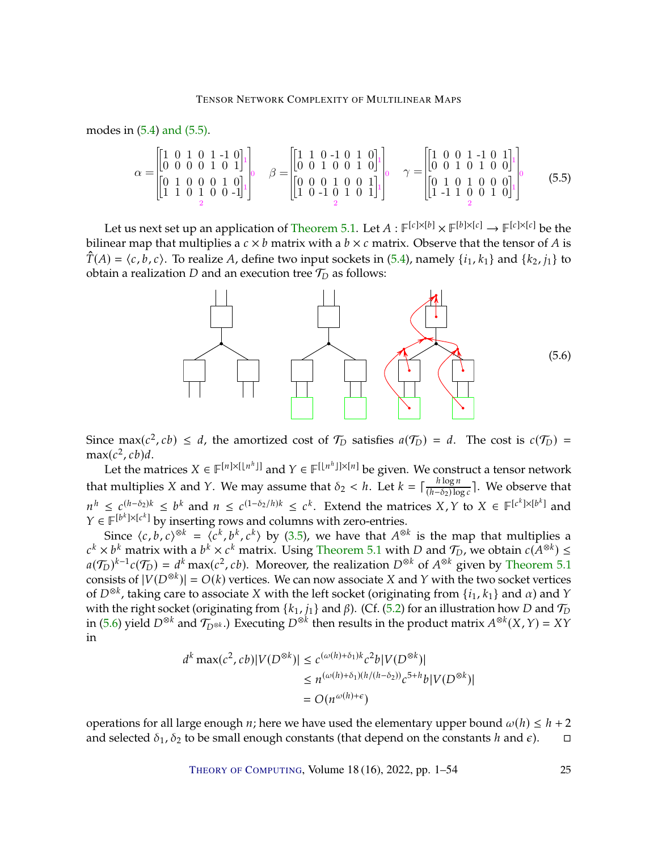modes in [\(5.4\)](#page-23-2) [and \(5.5\).](#page-24-0)

<span id="page-24-0"></span>
$$
\alpha = \begin{bmatrix} 1 & 0 & 1 & 0 & 1 & -1 & 0 \\ 0 & 0 & 0 & 0 & 1 & 0 & 1 \\ 0 & 1 & 0 & 0 & 0 & 1 & 0 \\ 1 & 1 & 0 & 1 & 0 & 0 & -1 \end{bmatrix} \qquad \beta = \begin{bmatrix} 1 & 1 & 0 & -1 & 0 & 1 & 0 \\ 0 & 0 & 1 & 0 & 0 & 1 & 0 \\ 0 & 0 & 0 & 1 & 0 & 0 & 1 \\ 1 & 0 & -1 & 0 & 1 & 0 & 1 \end{bmatrix} \qquad \gamma = \begin{bmatrix} 1 & 0 & 0 & 1 & -1 & 0 & 1 \\ 0 & 0 & 1 & 0 & 1 & 0 & 0 \\ 0 & 0 & 1 & 0 & 1 & 0 & 0 \\ 0 & 1 & 0 & 1 & 0 & 0 & 0 \\ 1 & -1 & 1 & 0 & 0 & 1 & 0 \end{bmatrix} \qquad (5.5)
$$

Let us next set up an application of [Theorem](#page-22-0) [5.1.](#page-22-0) Let  $A: \mathbb{F}^{[c] \times [b]} \times \mathbb{F}^{[b] \times [c]} \to \mathbb{F}^{[c] \times [c]}$  be the proper map that multiplies a  $c \times h$  matrix with a  $h \times c$  matrix. Observe that the tensor of A is bilinear map that multiplies a  $c \times b$  matrix with a  $b \times c$  matrix. Observe that the tensor of A is  $\hat{T}(A) = \langle c, b, c \rangle$ . To realize A, define two input sockets in [\(5.4\)](#page-23-2), namely  $\{i_1, k_1\}$  and  $\{k_2, j_1\}$  to obtain a realization  $D$  and an execution tree  $\mathcal{T}_D$  as follows:

<span id="page-24-1"></span>

Since max( $c^2$ ,  $cb$ )  $\leq d$ , the amortized cost of  $\mathcal{T}_D$  satisfies  $a(\mathcal{T}_D) = d$ . The cost is  $c(\mathcal{T}_D) = \max(c^2, cb)d$  $max(c^2, cb)d.$ <br>Let the m

Let the matrices  $X \in \mathbb{F}^{[n] \times [\lfloor n^h \rfloor]}$  and  $Y \in \mathbb{F}^{[\lfloor n^h \rfloor] \times [n]}$  be given. We construct a tensor network that multiplies *X* and *Y*. We may assume that  $\delta_2 < h$ . Let  $k = \lceil \frac{h \log n}{(h - \delta_2) \log n} \rceil$  $\frac{h \log n}{(h-\delta_2)\log c}$ . We observe that  $\hat{Y} \in \mathbb{F}^{[b^k] \times [c^k]}$  by inserting rows and columns with zero-entries.<br>Since  $(c, b, c) \otimes k = (c^k, b^k, c^k)$  by (3.5), we have that  $A^{\otimes k}$ .  $h \leq c^{(h-\delta_2)k} \leq b^k$  and  $n \leq c^{(1-\delta_2/h)k} \leq c^k$ . Extend the matrices  $X, Y$  to  $X \in \mathbb{F}^{[c^k] \times [b^k]}$  and  $\in \mathbb{F}^{[b^k] \times [c^k]}$  by inserting rows and columns with zero-optrios

Since  $\langle c, b, c \rangle^{\otimes k} = \langle c^k, b^k, c^k \rangle$  by [\(3.5\)](#page-15-4), we have that  $A^{\otimes k}$  is the map that multiplies a  $\langle b^k \rangle$  matrix with a  $b^k \times c^k$  matrix. Using Theorem 5.1 with D and  $\mathcal{T}_D$ , we obtain  $c(A^{\otimes k})$ Since  $(c, b, c)$ <sup>on</sup> =  $(c^*, b^*, c^*)$  by (5.5), we have that  $A^{\infty}$  is the map that multiplies a<br>  $k \times b^k$  matrix with a  $b^k \times c^k$  matrix. Using [Theorem](#page-22-0) [5.1](#page-22-0) with D and  $\mathcal{T}_D$ , we obtain  $c(A^{\otimes k}) \le$ <br>  $(\mathcal{T}_D)^{k-1}c(\mathcal{T}_D)$  $a(\mathcal{T}_D)^{k-1}c(\mathcal{T}_D) = d^k \max(c^2, cb)$ . Moreover, the realization  $D^{\otimes k}$  of  $A^{\otimes k}$  given by [Theorem](#page-22-0) [5.1](#page-22-0) consists of  $|V(D^{\otimes k})| = O(k)$  vertices. We can now associate X and Y with the two socket vertices consists of  $|V(D^{\otimes k})| = O(k)$  vertices. We can now associate X and Y with the two socket vertices<br>of  $D^{\otimes k}$  taking care to associate X with the left socket (originating from *[i, k, \* and *x*) and *Y* of  $D^{\otimes k}$ , taking care to associate X with the left socket (originating from  $\{i_1, k_1\}$  and  $\alpha$ ) and  $\gamma$ <br>with the right socket (originating from  $\{k_i, j_i\}$  and  $\beta$ ) (Cf. (5.2) for an illustration bow D and  $\mathcal{T$ with the right socket (originating from  $\{k_1, j_1\}$  and  $\beta$ ). (Cf. [\(5.2\)](#page-21-1) for an illustration how D and  $\mathcal{T}_D$ <br>in (5.6) viold  $D^{\otimes k}$  and  $\mathcal{T}_{\alpha\beta}$ ). Executing  $D^{\otimes k}$  then results in the product matrix  $\mathcal{A}$ in [\(5.6\)](#page-24-1) yield  $D^{\otimes k}$  and  $\mathcal{T}_{D^{\otimes k}}$ .) Executing  $D^{\otimes k}$  then results in the product matrix  $A^{\otimes k}(X, Y) = XY$ in

$$
d^k \max(c^2, cb)|V(D^{\otimes k})| \le c^{(\omega(h)+\delta_1)k} c^2 b |V(D^{\otimes k})|
$$
  
\n
$$
\le n^{(\omega(h)+\delta_1)(h/(h-\delta_2))} c^{5+h} b |V(D^{\otimes k})|
$$
  
\n
$$
= O(n^{\omega(h)+\epsilon})
$$

operations for all large enough *n*; here we have used the elementary upper bound  $ω(h) ≤ h + 2$ <br>and selected  $δ_1, δ_2$  to be small enough constants (that depend on the constants *h* and  $ε$ ). and selected  $\delta_1$ ,  $\delta_2$  to be small enough constants (that depend on the constants h and  $\epsilon$ ).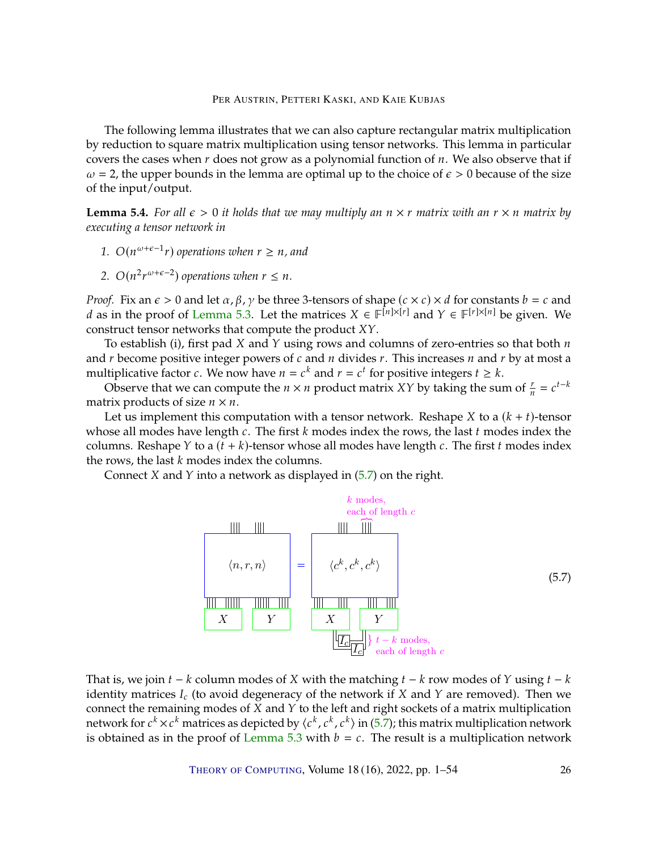The following lemma illustrates that we can also capture rectangular matrix multiplication by reduction to square matrix multiplication using tensor networks. This lemma in particular covers the cases when  $r$  does not grow as a polynomial function of  $n$ . We also observe that if  $\omega = 2$ , the upper bounds in the lemma are optimal up to the choice of  $\epsilon > 0$  because of the size of the input/output.

<span id="page-25-1"></span>**Lemma 5.4.** *For all*  $\epsilon > 0$  *it holds that we may multiply an*  $n \times r$  *matrix with an*  $r \times n$  *matrix by executing a tensor network in*

- 1.  $O(n^{\omega+\epsilon-1}r)$  operations when  $r \geq n$ *, and*
- 2.  $O(n^2 r^{\omega+\epsilon-2})$  operations when  $r \leq n$ .

*Proof.* Fix an  $\epsilon > 0$  and let  $\alpha$ ,  $\beta$ ,  $\gamma$  be three 3-tensors of shape  $(c \times c) \times d$  for constants  $b = c$  and *d* as in the proof of [Lemma](#page-23-3) [5.3.](#page-23-3) Let the matrices  $X \in \mathbb{F}^{[n] \times [r]}$  and  $Y \in \mathbb{F}^{[r] \times [n]}$  be given. We construct topsor potworks that compute the product  $YY$ construct tensor networks that compute the product  $XY$ .

To establish (i), first pad  $X$  and  $Y$  using rows and columns of zero-entries so that both  $n$ and  $r$  become positive integer powers of  $c$  and  $n$  divides  $r$ . This increases  $n$  and  $r$  by at most a multiplicative factor *c*. We now have  $n = c^k$  and  $r = c^t$  for positive integers  $t \ge k$ .<br>Observe that we can compute the  $n \times n$  product matrix  $XY$  by taking the sur-

Observe that we can compute the  $n \times n$  product matrix XY by taking the sum of  $\frac{r}{n} = c^{t-k}$ matrix products of size  $n \times n$ .

Let us implement this computation with a tensor network. Reshape X to a  $(k + t)$ -tensor whose all modes have length  $c$ . The first  $k$  modes index the rows, the last  $t$  modes index the columns. Reshape  $Y$  to a  $(t + k)$ -tensor whose all modes have length  $c$ . The first  $t$  modes index the rows, the last  $k$  modes index the columns.

Connect  $X$  and  $Y$  into a network as displayed in  $(5.7)$  on the right.

<span id="page-25-0"></span>

That is, we join  $t - k$  column modes of X with the matching  $t - k$  row modes of Y using  $t - k$ identity matrices  $I_c$  (to avoid degeneracy of the network if  $X$  and  $Y$  are removed). Then we connect the remaining modes of  $X$  and  $Y$  to the left and right sockets of a matrix multiplication network for  $c^k \times c^k$  matrices as depicted by  $\langle c^k, c^k, c^k \rangle$  in [\(5.7\)](#page-25-0); this matrix multiplication network<br>is obtained as in the proof of Lemma 5.3 with  $h = c$ . The result is a multiplication network hetwork for  $c^2 \times c^2$  matrices as depicted by  $\langle c^2, c^2 \rangle$  in (5.7); this matrix multiplication network is obtained as in the proof of [Lemma](#page-23-3) [5.3](#page-23-3) with  $b = c$ . The result is a multiplication network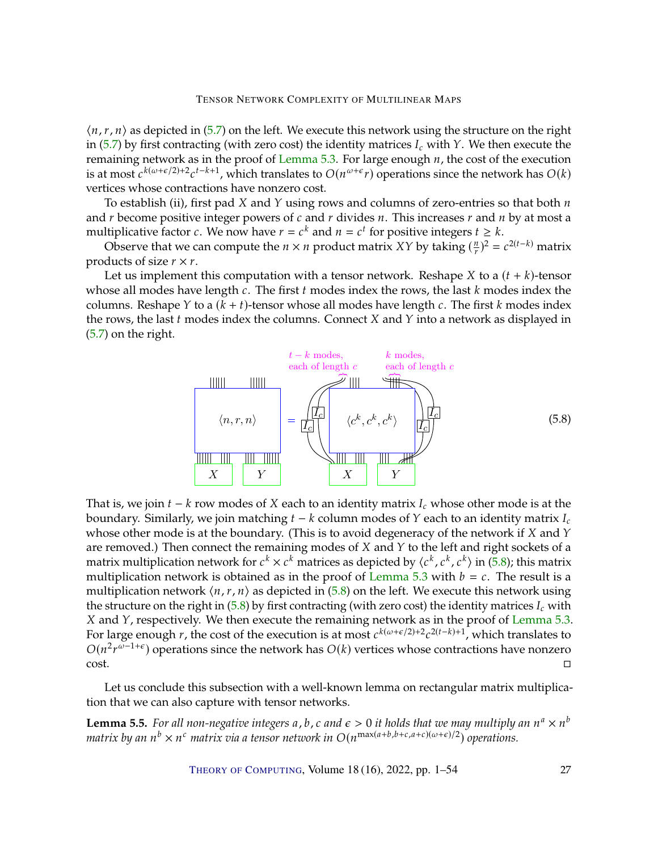$\langle n, r, n \rangle$  as depicted in [\(5.7\)](#page-25-0) on the left. We execute this network using the structure on the right in [\(5.7\)](#page-25-0) by first contracting (with zero cost) the identity matrices  $I_c$  with  $Y$ . We then execute the remaining network as in the proof of [Lemma](#page-23-3)  $5.3$ . For large enough  $n$ , the cost of the execution is at most  $c^{k(\omega+\epsilon/2)+2}c^{t-k+1}$ , which translates to  $O(n^{\omega+\epsilon}r)$  operations since the network has  $O(k)$ vertices whose contractions have nonzero cost.

To establish (ii), first pad  $X$  and  $Y$  using rows and columns of zero-entries so that both  $n$ and  $r$  become positive integer powers of  $c$  and  $r$  divides  $n$ . This increases  $r$  and  $n$  by at most a multiplicative factor *c*. We now have  $r = c^k$  and  $n = c^t$  for positive integers  $t \ge k$ .<br>Observe that we can compute the  $n \times n$  product matrix  $XY$  by taking  $(\frac{n}{2})^2$  =

Observe that we can compute the  $n \times n$  product matrix XY by taking  $(\frac{n}{r})^2 = c^{2(t-k)}$  matrix ducts of size  $r \times r$ products of size  $r \times r$ .

Let us implement this computation with a tensor network. Reshape  $X$  to a  $(t + k)$ -tensor whose all modes have length  $c$ . The first  $t$  modes index the rows, the last  $k$  modes index the columns. Reshape  $Y$  to a  $(k + t)$ -tensor whose all modes have length  $c$ . The first  $k$  modes index the rows, the last  $t$  modes index the columns. Connect  $X$  and  $Y$  into a network as displayed in [\(5.7\)](#page-25-0) on the right.

<span id="page-26-0"></span>

That is, we join  $t - k$  row modes of X each to an identity matrix  $I_c$  whose other mode is at the boundary. Similarly, we join matching  $t - k$  column modes of  $Y$  each to an identity matrix  $I_c$ whose other mode is at the boundary. (This is to avoid degeneracy of the network if  $X$  and  $Y$ are removed.) Then connect the remaining modes of  $X$  and  $Y$  to the left and right sockets of a matrix multiplication network for  $c^k \times c^k$  matrices as depicted by  $\langle c^k, c^k, c^k \rangle$  in [\(5.8\)](#page-26-0); this matrix multiplication network is obtained as in the proof of Lemma 5.3 with  $h = c$ . The result is a matrix multiplication network for  $c^x \times c^x$  matrices as depicted by  $\langle c^x, c^x, c^x \rangle$  in (5.8); this matrix<br>multiplication network is obtained as in the proof of [Lemma](#page-23-3) [5.3](#page-23-3) with  $b = c$ . The result is a<br>multiplication netwo multiplication network  $\langle n, r, n \rangle$  as depicted in [\(5.8\)](#page-26-0) on the left. We execute this network using the structure on the right in  $(5.8)$  by first contracting (with zero cost) the identity matrices  $I_c$  with  $X$  and  $Y$ , respectively. We then execute the remaining network as in the proof of [Lemma](#page-23-3) [5.3.](#page-23-3) For large enough r, the cost of the execution is at most  $c^{k(\omega+\epsilon/2)+2}c^{2(t-k)+1}$ , which translates to  $O(n^2\kappa^{\omega-1+\epsilon})$  operations since the network has  $O(k)$  vertices whose contractions have nonzero  $O(n^2r^{\omega-1+\epsilon})$  operations since the network has  $O(k)$  vertices whose  $O(n^2r^{\omega-1+\epsilon})$  operations since the network has  $O(k)$  vertices whose contractions have nonzero cost.

Let us conclude this subsection with a well-known lemma on rectangular matrix multiplication that we can also capture with tensor networks.

<span id="page-26-1"></span>**Lemma 5.5.** *For all non-negative integers* a, b, c and  $\epsilon > 0$  it holds that we may multiply an  $n^a \times n^b$ <br>matrix by an  $n^b \times n^c$  matrix via a tensor network in  $O(n^{\max(a+b,b+c,a+c)(\omega+\epsilon)/2})$  onerations matrix by an  $n^b \times n^c$  matrix via a tensor network in  $O(n^{\max(a+b,b+c,a+c)(\omega+\epsilon)/2})$  operations.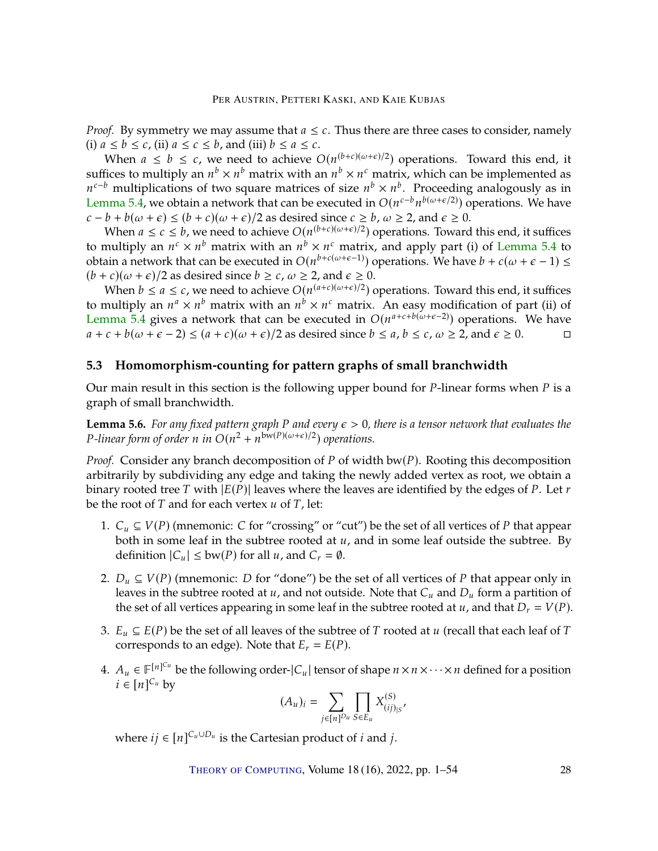*Proof.* By symmetry we may assume that  $a \leq c$ . Thus there are three cases to consider, namely (i)  $a \leq b \leq c$ , (ii)  $a \leq c \leq b$ , and (iii)  $b \leq a \leq c$ .

When  $a \leq b \leq c$ , we need to achieve  $O(n^{(b+c)(\omega+\epsilon)/2})$  operations. Toward this end, it suffices to multiply an  $n^b \times n^b$  matrix with an  $n^b \times n^c$  matrix, which can be implemented as  $n^{c-b}$  multiplications of two square matrices of size  $n^b \times n^b$ . Proceeding analogously as in [Lemma](#page-25-1) [5.4,](#page-25-1) we obtain a network that can be executed in  $O(n^{c-b}n^{b(\omega+\epsilon/2)})$  operations. We have  $\epsilon^{-b}$  multiplications of two square matrices of size  $n^b \times n^b$ . Proceeding analogously as in<br>emma 5.4, we obtain a network that can be executed in  $O(n^{\epsilon-b}n^{b(\omega+\epsilon/2)})$  operations. We have  $c - b + b(\omega + \epsilon) \le (b + c)(\omega + \epsilon)/2$  as desired since  $c \ge b$ ,  $\omega \ge 2$ , and  $\epsilon \ge 0$ .

When  $a \leq c \leq b$ , we need to achieve  $O(n^{(b+c)(\omega+\epsilon)/2})$  operations. Toward this end, it suffices to multiply an  $n^c \times n^b$  matrix with an  $n^b \times n^c$  matrix, and apply part (i) of [Lemma](#page-25-1) [5.4](#page-25-1) to<br>obtain a notwork that can be executed in  $O(n^{b+c(\omega+\epsilon-1)})$  exerctions. We have  $h+c(\omega+\epsilon-1) <$ obtain a network that can be executed in  $O(n^{b+c(\omega+\epsilon-1)})$  operations. We have  $b + c(\omega + \epsilon - 1) \le$  $(b + c)(\omega + \epsilon)/2$  as desired since  $b \geq c$ ,  $\omega \geq 2$ , and  $\epsilon \geq 0$ .

When  $b \le a \le c$ , we need to achieve  $O(n^{(a+c)(\omega+\epsilon)/2})$  operations. Toward this end, it suffices to multiply an  $n^a \times n^b$  matrix with an  $n^b \times n^c$  matrix. An easy modification of part (ii) of  $\Gamma$  emma 5.4 gives a network that can be executed in  $O(n^{a+c+b(\omega+\epsilon-2)})$  operations. We have [Lemma](#page-25-1) [5.4](#page-25-1) gives a network that can be executed in  $O(n^{a+c+b(\omega+\epsilon-2)})$  operations. We have  $a + c + b(\omega + \epsilon - 2) \le (a + c)(\omega + \epsilon)/2$  as desired since  $b \le a, b \le c, \omega \ge 2$ , and  $\epsilon \ge 0$ .

## **5.3 Homomorphism-counting for pattern graphs of small branchwidth**

Our main result in this section is the following upper bound for  $P$ -linear forms when  $P$  is a graph of small branchwidth.

<span id="page-27-0"></span>**Lemma 5.6.** For any fixed pattern graph P and every  $\epsilon > 0$ , there is a tensor network that evaluates the  $P$ -linear form of order n in  $O(n^2 + n^{bw(P)(\omega + \epsilon)/2})$  operations.

*Proof.* Consider any branch decomposition of  $P$  of width bw( $P$ ). Rooting this decomposition arbitrarily by subdividing any edge and taking the newly added vertex as root, we obtain a binary rooted tree T with  $|E(P)|$  leaves where the leaves are identified by the edges of P. Let  $r$ be the root of  $T$  and for each vertex  $u$  of  $T$ , let:

- 1.  $C_u \subseteq V(P)$  (mnemonic: C for "crossing" or "cut") be the set of all vertices of P that appear both in some leaf in the subtree rooted at  $u$ , and in some leaf outside the subtree. By definition  $|C_u| \leq bw(P)$  for all  $u$ , and  $C_r = \emptyset$ .
- 2.  $D_u \subseteq V(P)$  (mnemonic: D for "done") be the set of all vertices of P that appear only in leaves in the subtree rooted at  $u$ , and not outside. Note that  $C_u$  and  $D_u$  form a partition of the set of all vertices appearing in some leaf in the subtree rooted at  $u$ , and that  $D_r = V(P)$ .
- 3.  $E_u \subseteq E(P)$  be the set of all leaves of the subtree of T rooted at u (recall that each leaf of T corresponds to an edge). Note that  $E_r = E(P)$ .
- 4.  $A_u \in \mathbb{F}^{[n]^{C_u}}$  be the following order-| $C_u$ | tensor of shape  $n \times n \times \cdots \times n$  defined for a position  $i \in [n]^{C_u}$  by  $i \in [n]^{C_u}$  by

$$
(A_u)_i = \sum_{j \in [n]^{D_u}} \prod_{S \in E_u} X_{(ij)_{|S}}^{(S)},
$$

where  $ij \in [n]^{C_u \cup D_u}$  is the Cartesian product of  $i$  and  $j$ .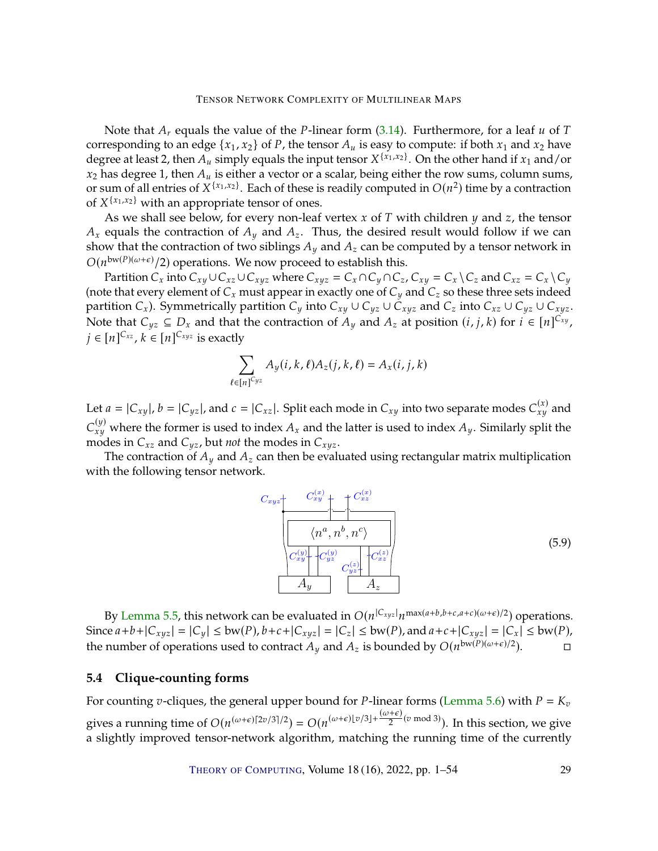Note that  $A_r$  equals the value of the P-linear form [\(3.14\)](#page-16-4). Furthermore, for a leaf  $u$  of  $T$ corresponding to an edge  $\{x_1, x_2\}$  of P, the tensor  $A_u$  is easy to compute: if both  $x_1$  and  $x_2$  have degree at least 2, then  $\overline{A}_u$  simply equals the input tensor  $X^{\{x_1, x_2\}}$ . On the other hand if  $x_1$  and/or  $x_2$  has degree 1, then  $A_u$  is either a vector or a scalar, being either the row sums, column sums, or sum of all entries of  $X^{\{x_1, x_2\}}$ . Each of these is readily computed in  $O(n^2)$  time by a contraction of  $X^{\{x_1, x_2\}}$  with an appropriate tensor of ones of  $X^{\{x_1, x_2\}}$  with an appropriate tensor of ones.<br>As we shall see below for every pop-leaf

As we shall see below, for every non-leaf vertex  $x$  of  $T$  with children  $y$  and  $z$ , the tensor  $A_x$  equals the contraction of  $A_y$  and  $A_z$ . Thus, the desired result would follow if we can show that the contraction of two siblings  $A_y$  and  $A_z$  can be computed by a tensor network in  $O(n^{\text{bw}(P)(\omega+\epsilon)}/2)$  operations. We now proceed to establish this.<br>Partition C, into C, LLC, LLC, where  $C = C_0 C_0 C_0$ 

Partition  $C_x$  into  $C_{xy} \cup C_{xz} \cup C_{xyz}$  where  $C_{xyz} = C_x \cap C_y \cap C_z$ ,  $C_{xy} = C_x \setminus C_z$  and  $C_{xz} = C_x \setminus C_y$ (note that every element of  $C_x$  must appear in exactly one of  $C_y$  and  $C_z$  so these three sets indeed partition  $C_x$ ). Symmetrically partition  $C_y$  into  $C_{xy} \cup C_{yz} \cup C_{xyz}$  and  $C_z$  into  $C_{xz} \cup C_{yz} \cup C_{xyz}$ . Note that  $C_{yz} \subseteq D_x$  and that the contraction of  $A_y$  and  $A_z$  at position  $(i, j, k)$  for  $i \in [n]^{C_{xy}}$ ,  $i \in [n]^{C_{xy}}$ ,  $j \in [n]^{C_{xz}}, k \in [n]^{C_{xyz}}$  is exactly

$$
\sum_{\ell \in [n]^{C_{yz}}} A_y(i, k, \ell) A_z(j, k, \ell) = A_x(i, j, k)
$$

Let  $a = |C_{xy}|$ ,  $b = |C_{yz}|$ , and  $c = |C_{xz}|$ . Split each mode in  $C_{xy}$  into two separate modes  $C_{xy}^{(x)}$  and  $\sum_{xy}$  modes in  $C_{xz}$  and  $C_{yz}$ , but *not* the modes in  $C_{xyz}$ .<br>The contraction of A, and A, can then be evalue  $\begin{pmatrix} (y) \\ xy \end{pmatrix}$  where the former is used to index  $A_x$  and the latter is used to index  $A_y$ . Similarly split the podes in C

The contraction of  $A_y$  and  $A_z$  can then be evaluated using rectangular matrix multiplication with the following tensor network.

$$
C_{xyz} \t C_{xy}^{(x)} + C_{xz}^{(x)} \t C_{xz}^{(y)} \t C_{yx}^{(y)} + C_{yz}^{(y)} \t C_{yz}^{(z)} + C_{yz}^{(z)} \t A_y \t A_z \t (5.9)
$$

By [Lemma](#page-26-1) [5.5,](#page-26-1) this network can be evaluated in  $O(n^{|C_{xyz}|}n^{\max(a+b,b+c,a+c)(\omega+\epsilon)/2})$  operations. Since  $a+b+|C_{xyz}| = |C_y| \le bw(P), b+c+|C_{xyz}| = |C_z| \le bw(P),$  and  $a+c+|C_{xyz}| = |C_x| \le bw(P),$ <br>the number of operations used to contract  $A_y$  and  $A_z$  is bounded by  $O(n^{bw(P)(\omega+\epsilon)/2})$ . the number of operations used to contract  $A_y$  and  $A_z$  is bounded by  $O(n^{bw(P)(\omega+\epsilon)/2})$ .

# **5.4 Clique-counting forms**

For counting *v*-cliques, the general upper bound for *P*-linear forms [\(Lemma](#page-27-0) [5.6\)](#page-27-0) with  $P = K_v$ gives a running time of  $O(n^{(\omega+\epsilon)[2\nu/3]/2}) = O(n^{(\omega+\epsilon)[\nu/3]+\frac{(\omega+\epsilon)}{2}(\nu \mod 3)})$ . In this section, we give a slightly improved tensor-network algorithm, matching the running time of the currently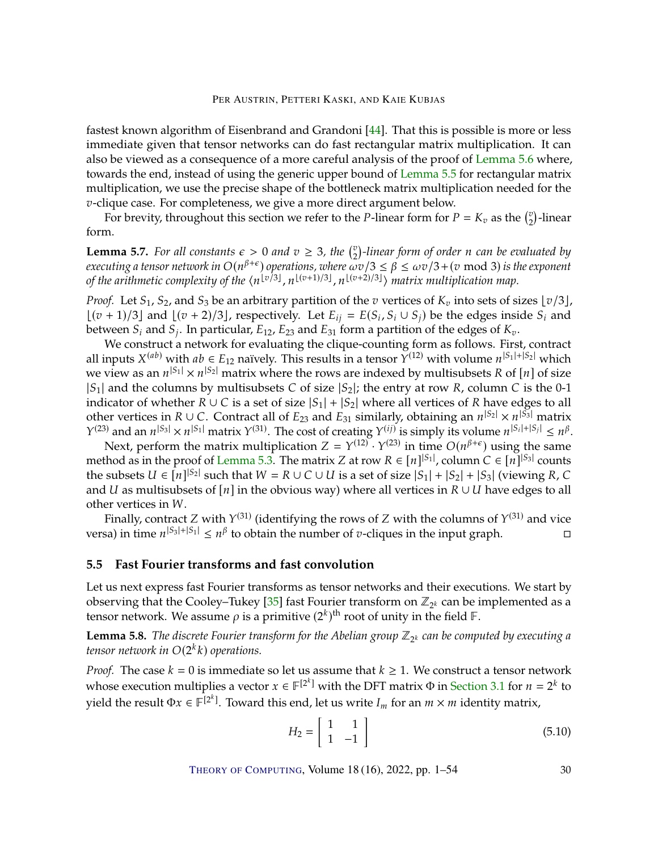<span id="page-29-2"></span>fastest known algorithm of Eisenbrand and Grandoni [\[44\]](#page-47-3). That this is possible is more or less immediate given that tensor networks can do fast rectangular matrix multiplication. It can also be viewed as a consequence of a more careful analysis of the proof of [Lemma](#page-27-0) [5.6](#page-27-0) where, towards the end, instead of using the generic upper bound of [Lemma](#page-26-1) [5.5](#page-26-1) for rectangular matrix multiplication, we use the precise shape of the bottleneck matrix multiplication needed for the *v*-clique case. For completeness, we give a more direct argument below.

For brevity, throughout this section we refer to the *P*-linear form for  $P = K_v$  as the  $\binom{v}{2}$ -linear form.

**Lemma 5.7.** *For all constants*  $\epsilon > 0$  *and*  $v \geq 3$ *, the*  $\binom{v}{2}$ *-linear form of order n can be evaluated by*<br>*executing a tensor network in*  $O(n^{\beta+\epsilon})$  *operations, where*  $\epsilon$ *yz* $/3 \leq \beta \leq \epsilon$ yz $/3 + (\pi \mod 3)$  is *executing a tensor network in*  $O(n^{\beta+\epsilon})$  *operations, where*  $\omega v/3 \leq \beta \leq \omega v/3 + (v \mod 3)$  *is the exponent* of the  $\langle v \rangle^{1 \vee 3}$   $|v|^{(v+1)/3}$   $|v|^{(v+2)/3}$  matrix multiplication man of the arithmetic complexity of the  $\langle n^{\lfloor v/3 \rfloor}, n^{\lfloor (v+1)/3 \rfloor}, n^{\lfloor (v+2)/3 \rfloor} \rangle$  matrix multiplication map.

*Proof.* Let  $S_1$ ,  $S_2$ , and  $S_3$  be an arbitrary partition of the  $v$  vertices of  $K_v$  into sets of sizes  $\lfloor v/3 \rfloor$ ,  $\lfloor (v+1)/3 \rfloor$  and  $\lfloor (v+2)/3 \rfloor$ , respectively. Let  $E_{ij} = E(S_i, S_i \cup S_j)$  be the edges inside  $S_i$  and between  $S_i$  and  $S_j$ . In particular,  $E_i$  and  $E_i$  form a partition of the edges of K between  $S_i$  and  $S_j$ . In particular,  $E_{12}$ ,  $E_{23}$  and  $E_{31}$  form a partition of the edges of  $K_v$ .<br>We construct a potyork for evaluating the clique-counting form as follows. First

We construct a network for evaluating the clique-counting form as follows. First, contract all inputs  $X^{(ab)}$  with  $ab \in E_{12}$  naïvely. This results in a tensor  $Y^{(12)}$  with volume  $n^{|S_1|+|S_2|}$  which we view as an  $n^{|S_1|} \times n^{|S_2|}$  matrix where the rows are indexed by multisubsets R of [n] of size<br> $|S_2|$  and the columns by multisubsets C of size  $|S_2|$ ; the entry at row R, column C is the 0-1  $|S_1|$  and the columns by multisubsets C of size  $|S_2|$ ; the entry at row R, column C is the 0-1 indicator of whether  $R \cup C$  is a set of size  $|S_1| + |S_2|$  where all vertices of  $R$  have edges to all other vertices in  $R \cup C$ . Contract all of  $E_{23}$  and  $E_{31}$  similarly, obtaining an  $n^{|S_2|} \times n^{|S_3|}$  matrix  $\chi^{(23)}$  and an  $n^{|S_2|} \times n^{|S_1|}$  matrix  $\chi^{(31)}$ . The cost of creating  $\chi^{(ii)}$  is simply its volume  $Y^{(23)}$  and an  $n^{|S_3|} \times n^{|S_1|}$  matrix  $Y^{(31)}$ . The cost of creating  $Y^{(ij)}$  is simply its volume  $n^{|S_i|+|S_j|} \le n^{\beta}$ .<br>Novt perform the matrix multiplication  $Z = Y^{(12)} \cdot Y^{(23)}$  in time  $O(n^{\beta+\epsilon})$  using the same

Next, perform the matrix multiplication  $Z = Y^{(12)} \cdot Y^{(23)}$  in time  $O(n^{\beta+\epsilon})$  using the same<br>hod as in the proof of Lemma 5.3. The matrix Z at row  $R \in [n]^{S_1}$  column  $C \in [n]^{S_3}$  counts method as in the proof of [Lemma](#page-23-3) [5.3.](#page-23-3) The matrix Z at row  $R \in [n]^{|S_1|}$ , column  $C \in [n]^{|S_3|}$  counts<br>the subsets  $U \in [n]^{|S_2|}$  such that  $W = R \cup C \cup U$  is a set of size  $|S_1| + |S_2| + |S_3|$  (viewing R. C. the subsets  $U \in [n]^{|S_2|}$  such that  $W = R \cup C \cup U$  is a set of size  $|S_1| + |S_2| + |S_3|$  (viewing R, C<br>and II as multisubsets of [n] in the obvious way) where all vertices in  $R \cup U$  have edges to all and *U* as multisubsets of  $[n]$  in the obvious way) where all vertices in  $R \cup U$  have edges to all other vertices in W.

Finally, contract Z with  $Y^{(31)}$  (identifying the rows of Z with the columns of  $Y^{(31)}$  and vice versa) in time  $n^{|S_3|+|S_1|} \le n^{\beta}$  to obtain the number of *v*-cliques in the input graph.

## **5.5 Fast Fourier transforms and fast convolution**

Let us next express fast Fourier transforms as tensor networks and their executions. We start by observing that the Cooley–Tukey [\[35\]](#page-47-2) fast Fourier transform on  $\mathbb{Z}_{2^k}$  can be implemented as a tensor network. We assume  $\rho$  is a primitive  $(2^k)^{\text{th}}$  root of unity in the field  $\mathbb{F}$ .

<span id="page-29-0"></span>**Lemma 5.8.** *The discrete Fourier transform for the Abelian group*  $\mathbb{Z}_{2^k}$  *can be computed by executing a* tensor network in  $O(2^k k)$  operations.

*Proof.* The case  $k = 0$  is immediate so let us assume that  $k \ge 1$ . We construct a tensor network whose execution multiplies a vector  $x \in \mathbb{F}^{[2^k]}$  with the DFT matrix  $\Phi$  in [Section](#page-13-1) [3.1](#page-13-1) for  $n = 2^k$  to with the gravitation of  $\mathbb{F}^{[2^k]}$ . Toward this and laterary with L for an we identity matrix. yield the result  $\Phi x \in \mathbb{F}^{[2^k]}$ . Toward this end, let us write  $I_m$  for an  $m \times m$  identity matrix,

<span id="page-29-1"></span>
$$
H_2 = \left[ \begin{array}{cc} 1 & 1 \\ 1 & -1 \end{array} \right] \tag{5.10}
$$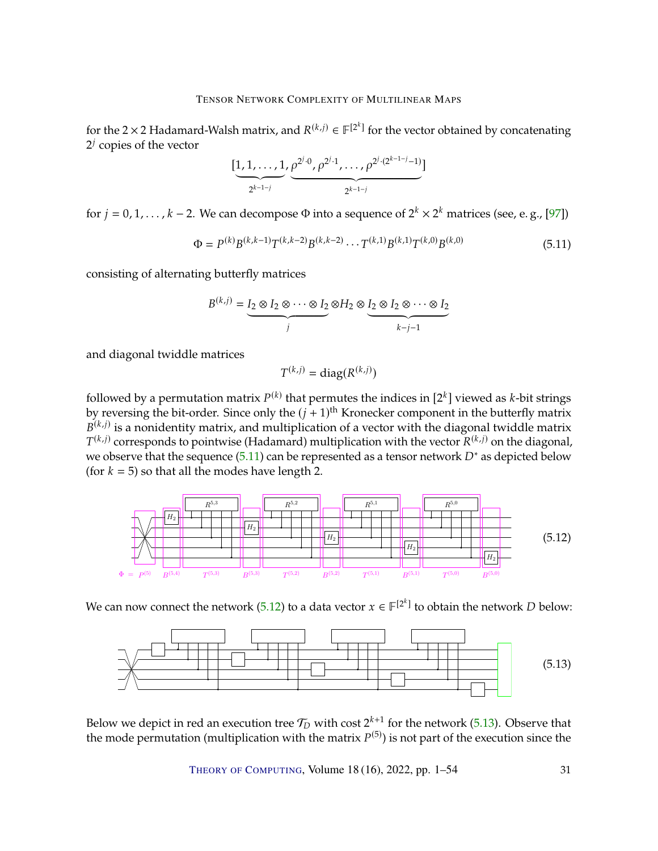<span id="page-30-3"></span>for the 2 × 2 Hadamard-Walsh matrix, and  $R^{(k,j)} \in \mathbb{F}^{[2^k]}$  for the vector obtained by concatenating  $2^j$  copies of the vector  $2^j$  copies of the vector

$$
[\underbrace{1,1,\ldots,1}_{2^{k-1-j}},\underbrace{\rho^{2^{j}\cdot 0},\rho^{2^{j}\cdot 1},\ldots,\rho^{2^{j}\cdot (2^{k-1-j}-1})}_{2^{k-1-j}}]
$$

for  $j = 0, 1, ..., k - 2$ . We can decompose  $\Phi$  into a sequence of  $2^k \times 2^k$  matrices (see, e. g., [\[97\]](#page-51-0))

<span id="page-30-0"></span>
$$
\Phi = P^{(k)} B^{(k,k-1)} T^{(k,k-2)} B^{(k,k-2)} \cdots T^{(k,1)} B^{(k,1)} T^{(k,0)} B^{(k,0)} \tag{5.11}
$$

consisting of alternating butterfly matrices

$$
B^{(k,j)} = I_2 \otimes I_2 \otimes \cdots \otimes I_2 \otimes H_2 \otimes I_2 \otimes I_2 \otimes \cdots \otimes I_2
$$

and diagonal twiddle matrices

$$
T^{(k,j)} = \text{diag}(R^{(k,j)})
$$

followed by a permutation matrix  $P^{(k)}$  that permutes the indices in  $[2^k]$  viewed as *k*-bit strings<br>by reversing the bit-order. Since only the  $(i + 1)$ <sup>th</sup> Kronecker component in the butterfly matrix by reversing the bit-order. Since only the  $(j + 1)$ <sup>th</sup> Kronecker component in the butterfly matrix  $B(k, j)$  is a popidantity matrix, and multiplication of a vector with the diagonal twiddle matrix  $T^{(k,j)}$  corresponds to pointwise (Hadamard) multiplication with the vector  $R^{(k,j)}$  on the diagonal,  $(k, j)$  is a nonidentity matrix, and multiplication of a vector with the diagonal twiddle matrix we observe that the sequence [\(5.11\)](#page-30-0) can be represented as a tensor network  $D^*$  as depicted below  $f(x, k = 5)$  so that all the modes have length 2 (for  $k = 5$ ) so that all the modes have length 2.

<span id="page-30-1"></span>

We can now connect the network [\(5.12\)](#page-30-1) to a data vector  $x \in \mathbb{F}^{2^k}$  to obtain the network D below:

<span id="page-30-2"></span>

Below we depict in red an execution tree  $\mathcal{T}_D$  with cost  $2^{k+1}$  for the network [\(5.13\)](#page-30-2). Observe that the mode permutation (multiplication with the matrix  $P^{(5)}$ ) is not part of the execution since the the mode permutation (multiplication with the matrix  $P^{(5)}$ ) is not part of the execution since the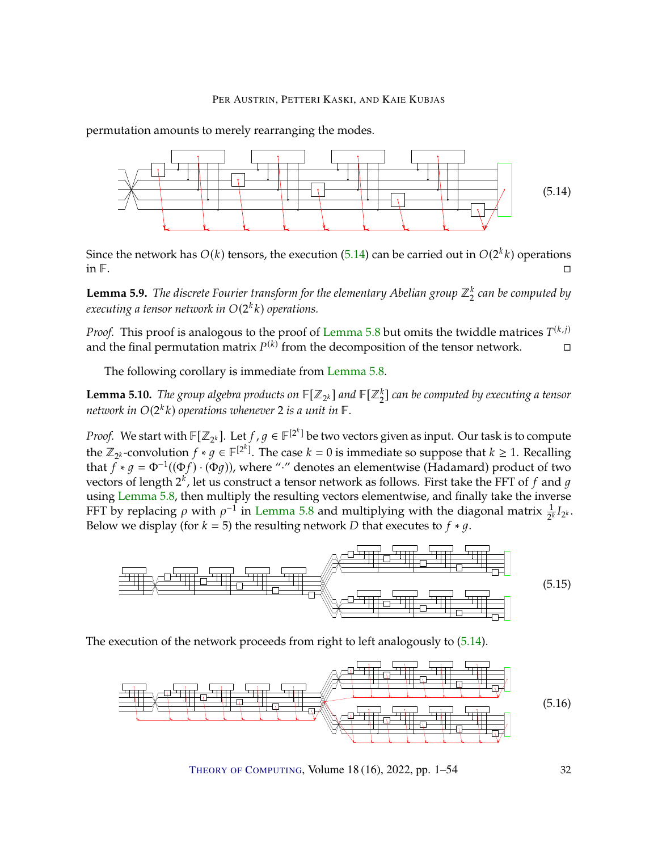permutation amounts to merely rearranging the modes.

<span id="page-31-0"></span>

Since the network has  $O(k)$  tensors, the execution [\(5.14\)](#page-31-0) can be carried out in  $O(2^k k)$  operations in  $\Box$  $\Box$  . The set of the set of the set of the set of the set of the set of the set of the set of the set of the set of the set of the set of the set of the set of the set of the set of the set of the set of the set of the s

<span id="page-31-2"></span>**Lemma 5.9.** *The discrete Fourier transform for the elementary Abelian group ℤ* $_{2}^{\kappa}$  *can be computed by* executing a tensor network in  $O(2^k k)$  operations.

*Proof.* This proof is analogous to the proof of [Lemma](#page-29-0) [5.8](#page-29-0) but omits the twiddle matrices  $T^{(k,j)}$ <br>and the final permutation matrix  $P^{(k)}$  from the decomposition of the tensor petwork. and the final permutation matrix  $P^{(k)}$  from the decomposition of the tensor network.  $\square$ 

The following corollary is immediate from [Lemma](#page-29-0) [5.8.](#page-29-0)

<span id="page-31-3"></span>**Lemma 5.10.** The group algebra products on  $\mathbb{F}[Z_{2^k}]$  and  $\mathbb{F}[Z_2^k]$  can be computed by executing a tensor network in  $O(2^k k)$  operations whenever 2 is a unit in  $\mathbb F.$ 

*Proof.* We start with  $\mathbb{F}[Z_{2^k}]$ . Let  $f, g \in \mathbb{F}^{[2^k]}$  be two vectors given as input. Our task is to compute the  $\mathbb{Z}$  -convention  $f \in \mathbb{Z}$  of  $\mathbb{F}^{[2^k]}$ . The area  $k = 0$  is immediate as a unpace that  $k$ the  $\mathbb{Z}_{2^k}$ -convolution  $f * g \in \mathbb{F}^{[2^k]}$ . The case  $k = 0$  is immediate so suppose that  $k \ge 1$ . Recalling<br>that  $f * g = \Phi^{-1}((\Phi f), (\Phi g))$  where "," denotes an elementwise (Hadamard) product of two that  $\bar{f} * g = \Phi^{-1}((\Phi f) \cdot (\Phi g))$ , where "·" denotes an elementwise (Hadamard) product of two<br>vectors of longth 2<sup>k</sup> let us construct a tonsor petwork as follows. First take the FET of f and g vectors of length  $2^k$ , let us construct a tensor network as follows. First take the FFT of  $f$  and  $g$ <br>using Lomma 5.8, then multiply the resulting vectors elementwise, and finally take the inverse using [Lemma](#page-29-0) [5.8,](#page-29-0) then multiply the resulting vectors elementwise, and finally take the inverse FFT by replacing  $\rho$  with  $\rho^{-1}$  in [Lemma](#page-29-0) [5.8](#page-29-0) and multiplying with the diagonal matrix  $\frac{1}{2^k}I_{2^k}$ . Below we display (for  $k = 5$ ) the resulting network D that executes to  $f * g$ .



The execution of the network proceeds from right to left analogously to [\(5.14\)](#page-31-0).

<span id="page-31-1"></span>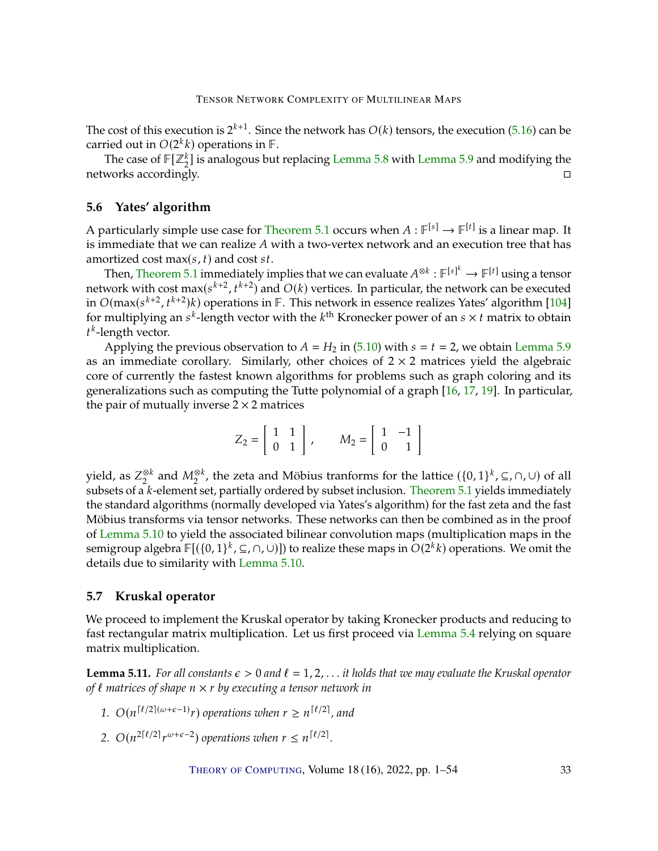<span id="page-32-1"></span>The cost of this execution is  $2^{k+1}$ . Since the network has  $O(k)$  tensors, the execution [\(5.16\)](#page-31-1) can be carried out in  $O(2^k k)$  operations in  $\mathbb{F}$ carried out in  $O(2^k k)$  operations in  $\mathbb{F}$ .<br>The case of  $\mathbb{F}[\mathbb{Z}^k]$  is analogous but

The case of  $\mathbb{F}[\mathbb{Z}_2^k]$  is analogous but replacing [Lemma](#page-31-2) [5.8](#page-29-0) with Lemma [5.9](#page-31-2) and modifying the networks accordingly.

### **5.6 Yates' algorithm**

A particularly simple use case for [Theorem](#page-22-0) [5.1](#page-22-0) occurs when  $A : \mathbb{F}^{[s]} \to \mathbb{F}^{[t]}$  is a linear map. It is immediate that has realize 4 with a two-vertex network and an execution tree that has is immediate that we can realize  $A$  with a two-vertex network and an execution tree that has amortized cost max( $s$ ,  $t$ ) and cost  $st$ . amortized cost max $(s, t)$  and cost  $st$ .<br>Then Theorem 5.1 immodiately in

Then, [Theorem](#page-22-0) [5.1](#page-22-0) immediately implies that we can evaluate  $A^{\otimes k} : \mathbb{F}^{[s]^k} \to \mathbb{F}^{[t]}$  using a tensor work with cost  $\mathbb{R}^{2 \times (s^{k+2} + k+2)}$  and  $O(k)$  vertices. In particular, the network can be executed network with cost max( $s^{k+2}$ ,  $t^{k+2}$ ) and  $O(k)$  vertices. In particular, the network can be executed<br>in  $O(\max(s^{k+2} - t^{k+2})k)$  operations in  $\mathbb{F}$ . This potwork in essence realizes Vates' algorithm [104] in  $O(max(s^{k+2}, t^{k+2})k)$  operations in  $\mathbb{F}$ . This network in essence realizes Yates' algorithm [\[104\]](#page-52-6) for multiplying an  $s^k$ -length vector with the  $k^{\text{th}}$  Kronecker power of an  $s \times t$  matrix to obtain  $t^k$ -length vector  $k$ -length vector.

Applying the previous observation to  $A = H_2$  in [\(5.10\)](#page-29-1) with  $s = t = 2$ , we obtain [Lemma](#page-31-2) [5.9](#page-31-2) as an immediate corollary. Similarly, other choices of  $2 \times 2$  matrices yield the algebraic core of currently the fastest known algorithms for problems such as graph coloring and its generalizations such as computing the Tutte polynomial of a graph [\[16,](#page-45-4) [17,](#page-45-0) [19\]](#page-45-1). In particular, the pair of mutually inverse  $2 \times 2$  matrices

$$
Z_2 = \left[ \begin{array}{cc} 1 & 1 \\ 0 & 1 \end{array} \right], \qquad M_2 = \left[ \begin{array}{cc} 1 & -1 \\ 0 & 1 \end{array} \right]
$$

yield, as  $Z_2^{\otimes k}$  and  $M_2^{\otimes k}$ , the zeta and Möbius tranforms for the lattice  $({0,1}^k, \subseteq, \cap, \cup)$  of all<br>subsets of a k-olomont set partially ordered by subset inclusion. Theorem 5.1 violds immediately subsets of a  $k$ -element set, partially ordered by subset inclusion. [Theorem](#page-22-0)  $5.1$  yields immediately the standard algorithms (normally developed via Yates's algorithm) for the fast zeta and the fast Möbius transforms via tensor networks. These networks can then be combined as in the proof of [Lemma](#page-31-3) [5.10](#page-31-3) to yield the associated bilinear convolution maps (multiplication maps in the semigroup algebra  $\mathbb{F}[(\{0,1\}^k, \subseteq, \cap, \cup)])$  to realize these maps in  $O(2^k k)$  operations. We omit the details due to similarity with Lemma 5.10 details due to similarity with [Lemma](#page-31-3) [5.10.](#page-31-3)

# **5.7 Kruskal operator**

We proceed to implement the Kruskal operator by taking Kronecker products and reducing to fast rectangular matrix multiplication. Let us first proceed via [Lemma](#page-25-1) [5.4](#page-25-1) relying on square matrix multiplication.

<span id="page-32-0"></span>**Lemma 5.11.** *For all constants*  $\epsilon > 0$  *and*  $\ell = 1, 2, \ldots$  *it holds that we may evaluate the Kruskal operator of* ℓ *matrices of shape* 𝑛 <sup>×</sup> 𝑟 *by executing a tensor network in*

- 1.  $O(n^{\lceil \ell/2 \rceil(\omega + \epsilon 1)}r)$  operations when  $r \ge n^{\lceil \ell/2 \rceil}$ , and
- 2.  $O(n^{2\lceil \ell/2 \rceil}r)$  $(\omega + \epsilon - 2)$  *operations when*  $r \leq n^{\lceil \ell/2 \rceil}$ .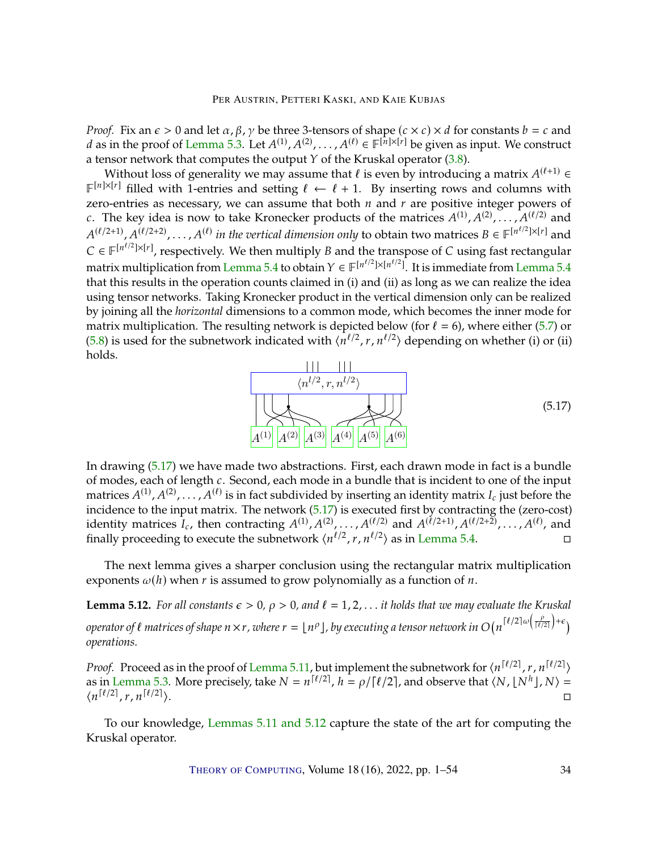*Proof.* Fix an  $\epsilon > 0$  and let  $\alpha$ ,  $\beta$ ,  $\gamma$  be three 3-tensors of shape  $(c \times c) \times d$  for constants  $b = c$  and *d* as in the proof of [Lemma](#page-23-3) [5.3.](#page-23-3) Let  $A^{(1)}, A^{(2)}, \ldots, A^{(\ell)} \in \mathbb{F}^{[n] \times [r]}$  be given as input. We construct a tensor network that computes the output  $Y$  of the Kruskal operator [\(3.8\)](#page-15-3).

Without loss of generality we may assume that  $\ell$  is even by introducing a matrix  $A^{(\ell+1)} \in \mathbb{R}^{|\mathcal{X}|}$  filled with 1-ontries and sotting  $\ell \leftarrow \ell + 1$ . By inserting rows and solumns with  $\mathbb{F}^{[n] \times [r]}$  filled with 1-entries and setting  $\ell \leftarrow \ell + 1$ . By inserting rows and columns with zero-entries as necessary, we can assume that both  $n$  and  $r$  are positive integer powers of c. The key idea is now to take Kronecker products of the matrices  $A^{(1)}, A^{(2)}, \ldots, A^{(\ell/2)}$  and<br> $A^{(\ell/2+1)}, A^{(\ell/2+2)}$  $C \in \mathbb{F}^{[n^{\ell/2}]\times [r]}$ , respectively. We then multiply B and the transpose of C using fast rectangular matrice is also all the transpose of C using fast rectangular  $\mathcal{A}^{(\ell/2+1)}, \mathcal{A}^{(\ell/2+2)}, \ldots, \mathcal{A}^{(\ell)}$  *in the vertical dimension only* to obtain two matrices  $B \in \mathbb{F}^{[n^{\ell/2}]\times[r]}$  and matrix multiplication from [Lemma](#page-25-1) [5.4](#page-25-1) to obtain  $Y \in \mathbb{F}^{\left[n^{t/2}\right] \times \left[n^{t/2}\right]}$ . It is immediate from Lemma 5.4 to  $\frac{1}{2}$  that this results in the operation counts claimed in (i) and (ii) as long as we can realize th that this results in the operation counts claimed in (i) and (ii) as long as we can realize the idea using tensor networks. Taking Kronecker product in the vertical dimension only can be realized by joining all the *horizontal* dimensions to a common mode, which becomes the inner mode for matrix multiplication. The resulting network is depicted below (for  $\ell = 6$ ), where either [\(5.7\)](#page-25-0) or [\(5.8\)](#page-26-0) is used for the subnetwork indicated with  $\langle n^{\ell/2}, r, n^{\ell/2} \rangle$  depending on whether (i) or (ii) holds holds.

<span id="page-33-0"></span>

In drawing [\(5.17\)](#page-33-0) we have made two abstractions. First, each drawn mode in fact is a bundle of modes, each of length  $c$ . Second, each mode in a bundle that is incident to one of the input matrices  $A^{(1)}, A^{(2)}, \ldots, A^{(\ell)}$  is in fact subdivided by inserting an identity matrix  $I_c$  just before the incidence to the input matrix. The network (5.17) is executed first by contracting the (zero-cost) incidence to the input matrix. The network [\(5.17\)](#page-33-0) is executed first by contracting the (zero-cost) identity matrices  $I_c$ , then contracting  $A^{(1)}, A^{(2)}, \ldots, A^{(\ell/2)}$  and  $A^{(\ell/2+1)}, A^{(\ell/2+2)}, \ldots, A^{(\ell)}$ , and finally procooding to execute the subpoty ork  $\{n^{\ell/2} \mid r, n^{\ell/2}\}$  as in Lomma 5.4 finally proceeding to execute the subnetwork  $\langle n^{\ell/2}, r, n^{\ell/2} \rangle$  as in [Lemma](#page-25-1) [5.4.](#page-25-1)

The next lemma gives a sharper conclusion using the rectangular matrix multiplication exponents  $\omega(h)$  when r is assumed to grow polynomially as a function of n.

<span id="page-33-1"></span>**Lemma 5.12.** *For all constants*  $\epsilon > 0$ ,  $\rho > 0$ , and  $\ell = 1, 2, \ldots$  *it holds that we may evaluate the Kruskal operator of*  $\ell$  *matrices of shape*  $n \times r$ *, where*  $r = \lfloor n^{\rho} \rfloor$ , by executing a tensor network in O(  $\lceil \ell/2 \rceil \omega \left( \frac{\rho}{\lceil \ell/2 \rceil} \right) + \epsilon \right)$ *operations.*

*Proof.* Proceed as in the proof of [Lemma](#page-32-0) [5.11,](#page-32-0) but implement the subnetwork for  $\langle n^{[\ell/2]}, r, n^{[\ell/2]} \rangle$ <br>as in Lemma 5.3. More procisely, take  $N = n^{[\ell/2]}$ ,  $h = o(\frac{[\ell/2]}{2}]$  and observe that  $\langle N, |\Delta I^h|, N \rangle =$ as in [Lemma](#page-23-3) [5.3.](#page-23-3) More precisely, take  $N = n^{\lceil \ell/2 \rceil}$ ,  $h = \rho / \lceil \ell/2 \rceil$ , and observe that  $\langle N, \lfloor N^h \rfloor, N \rangle = \ln \lceil \ell/2 \rceil$  $\langle n^{\lceil \ell/2 \rceil}, r, n^{\lceil \ell/2 \rceil} \rangle$ i.

To our knowledge, [Lemmas](#page-32-0) [5.11](#page-32-0) and [5.12](#page-33-1) capture the state of the art for computing the Kruskal operator.

THEORY OF C[OMPUTING](http://dx.doi.org/10.4086/toc), Volume 18 (16), 2022, pp. 1–54 34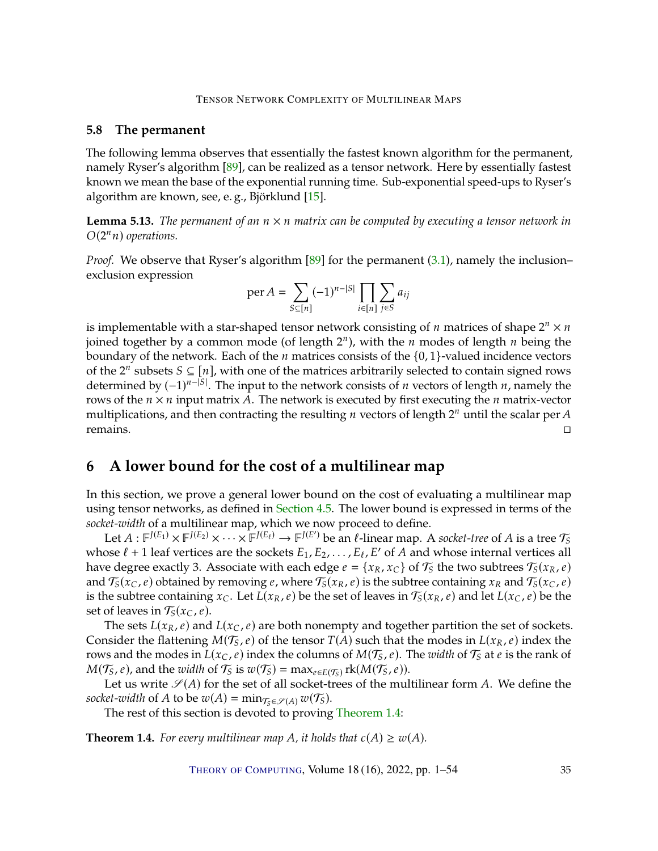## <span id="page-34-1"></span>**5.8 The permanent**

The following lemma observes that essentially the fastest known algorithm for the permanent, namely Ryser's algorithm [\[89\]](#page-51-1), can be realized as a tensor network. Here by essentially fastest known we mean the base of the exponential running time. Sub-exponential speed-ups to Ryser's algorithm are known, see, e. g., Björklund [\[15\]](#page-45-11).

**Lemma 5.13.** *The permanent of an*  $n \times n$  *matrix can be computed by executing a tensor network in*  $O(2^n n)$  operations.

*Proof.* We observe that Ryser's algorithm [\[89\]](#page-51-1) for the permanent [\(3.1\)](#page-14-2), namely the inclusion– exclusion expression

$$
\operatorname{per} A = \sum_{S \subseteq [n]} (-1)^{n-|S|} \prod_{i \in [n]} \sum_{j \in S} a_{ij}
$$

is implementable with a star-shaped tensor network consisting of *n* matrices of shape  $2^n \times n$ <br>ioined together by a common mode (of length  $2^n$ ), with the *n* modes of length *n* being the joined together by a common mode (of length  $2^n$ ), with the  $n$  modes of length  $n$  being the being the being the  $n$  motives. Fach of the  $n$  matrices consists of the  $(0, 1)$ -valued incidence vectors boundary of the network. Each of the  $n$  matrices consists of the  $\{0, 1\}$ -valued incidence vectors of the 2<sup>*n*</sup> subsets  $S \subseteq [n]$ , with one of the matrices arbitrarily selected to contain signed rows<br>determined by  $(-1)^{n-|S|}$ . The input to the network consists of *n* vectors of length *n*, namely the determined by  $(-1)^{n-|S|}$ . The input to the network consists of *n* vectors of length *n*, namely the rows of the *n*  $\times$  *n* input matrix *A*. The network is executed by first executing the *n* matrix-vector rows of the  $n \times n$  input matrix A. The network is executed by first executing the n matrix-vector multiplications, and then contracting the resulting *n* vectors of length  $2^n$  until the scalar per *A* remains  $r$  remains.

# <span id="page-34-0"></span>**6 A lower bound for the cost of a multilinear map**

In this section, we prove a general lower bound on the cost of evaluating a multilinear map using tensor networks, as defined in [Section](#page-19-0) [4.5.](#page-19-0) The lower bound is expressed in terms of the *socket-width* of a multilinear map, which we now proceed to define.

Let  $A: \mathbb{F}^{J(E_1)} \times \mathbb{F}^{J(E_2)} \times \cdots \times \mathbb{F}^{J(E_\ell)} \to \mathbb{F}^{J(E')}$  be an  $\ell$ -linear map. A socket-tree of A is a tree  $\mathcal{T}_S$ <br>
ose  $\ell + 1$  leaf vertices are the sockets  $E_1$ ,  $E_2$ ,  $E_3$ ,  $E_4$ ,  $E'_1$  of A and whose in whose  $\ell + 1$  leaf vertices are the sockets  $E_1, E_2, \ldots, E_\ell, E'$  of A and whose internal vertices all have degree exactly 3. Associate with each edge  $e = \{x_1, x_2\}$  of  $\mathcal{T}_e$  the two subtrees  $\mathcal{T}_e(x_1, e)$ have degree exactly 3. Associate with each edge  $e = \{x_R, x_C\}$  of  $\mathcal{T}_S$  the two subtrees  $\mathcal{T}_S(x_R, e)$ and  $\mathcal{T}_{S}(x_C, e)$  obtained by removing  $e$ , where  $\mathcal{T}_{S}(x_R, e)$  is the subtree containing  $x_R$  and  $\mathcal{T}_{S}(x_C, e)$  is the subtree containing  $x_R$  and  $\mathcal{T}_{S}(x_C, e)$  be the is the subtree containing  $x_C$ . Let  $L(x_R, e)$  be the set of leaves in  $\mathcal{T}_S(x_R, e)$  and let  $L(x_C, e)$  be the set of leaves in  $\mathcal{T}_S(x_C, e)$ .<br>The sets  $I(x_D, e)$  and

The sets  $L(x_R, e)$  and  $L(x_C, e)$  are both nonempty and together partition the set of sockets. Consider the flattening  $M(\mathcal{T}_S, e)$  of the tensor  $T(A)$  such that the modes in  $L(x_R, e)$  index the rows and the modes in  $L(x_C, e)$  index the columns of  $M(\mathcal{T}_S, e)$ . The *width* of  $\mathcal{T}_S$  at *e* is the rank of  $M(\mathcal{T}_S, e)$ , and the *width* of  $\mathcal{T}_S$  is  $w(\mathcal{T}_S) = \max_{e \in E(\mathcal{T}_S)} \text{rk}(M(\mathcal{T}_S, e)).$ 

Let us write  $\mathscr{S}(A)$  for the set of all socket-trees of the multilinear form A. We define the *socket-width* of *A* to be  $w(A) = \min_{\mathcal{T}_{S} \in \mathcal{S}(A)} w(\mathcal{T}_{S})$ .

The rest of this section is devoted to proving [Theorem](#page-9-2) [1.4:](#page-9-2)

**Theorem 1.4.** *For every multilinear map A, it holds that*  $c(A) \geq w(A)$ *.*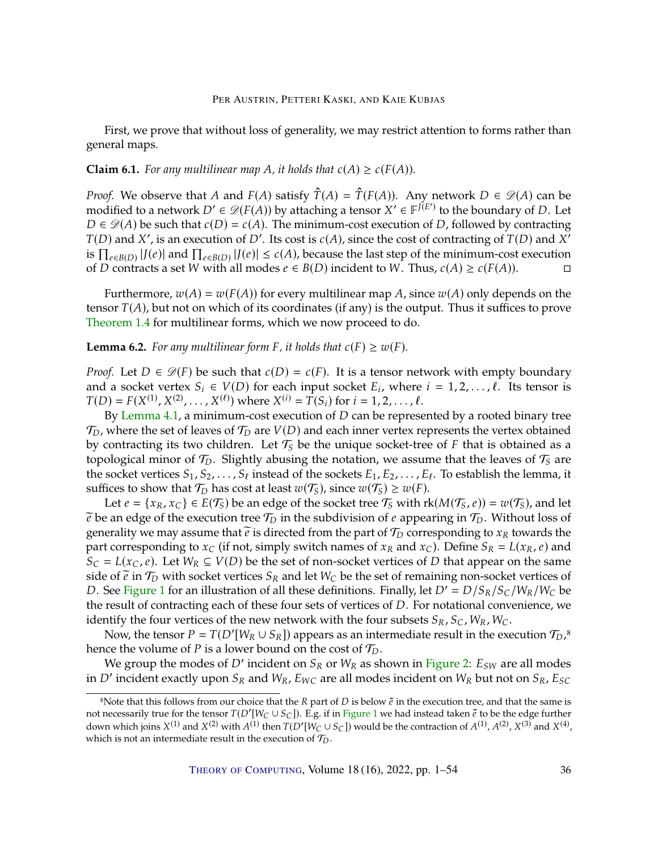First, we prove that without loss of generality, we may restrict attention to forms rather than general maps.

#### **Claim 6.1.** *For any multilinear map A, it holds that*  $c(A) \geq c(F(A))$ *.*

*Proof.* We observe that A and  $F(A)$  satisfy  $\hat{T}(A) = \hat{T}(F(A))$ . Any network  $D \in \mathcal{D}(A)$  can be modified to a network  $D' \in \mathcal{D}(F(A))$  by attaching a tensor  $X' \in F^{J(E')}$  to the boundary of D. Let  $D \in \mathcal{D}(A)$  be such that  $c(D) = c(A)$ . The minimum-cost execution of D. followed by contracting  $D \in \mathcal{D}(A)$  be such that  $c(D) = c(A)$ . The minimum-cost execution of D, followed by contracting  $T(D)$  and X', is an execution of D'. Its cost is  $c(A)$ , since the cost of contracting of  $T(D)$  and  $X'$ <br>is  $\Pi$  and  $\Pi$  and  $\Pi$  and  $\Pi$  and  $\Pi$  and  $\Pi$  and  $\Pi$  and  $\Pi$  and  $\Pi$  and  $\Pi$  and  $\Pi$  and  $\Pi$  and  $\Pi$  a is  $\prod_{e \in B(D)} |J(e)|$  and  $\prod_{e \in B(D)} |J(e)| \le c(A)$ , because the last step of the minimum-cost execution<br>of D contracts a sot W with all modes  $e \in B(D)$  incident to W. Thus,  $c(A) > c(F(A))$ of *D* contracts a set *W* with all modes  $e \in B(D)$  incident to *W*. Thus,  $c(A) \ge c(F(A))$ . □

Furthermore,  $w(A) = w(F(A))$  for every multilinear map A, since  $w(A)$  only depends on the tensor  $T(A)$ , but not on which of its coordinates (if any) is the output. Thus it suffices to prove [Theorem](#page-9-2) [1.4](#page-9-2) for multilinear forms, which we now proceed to do.

# **Lemma 6.2.** *For any multilinear form*  $F$ *, it holds that*  $c(F) \geq w(F)$ *.*

*Proof.* Let  $D \in \mathcal{D}(F)$  be such that  $c(D) = c(F)$ . It is a tensor network with empty boundary and a socket vertex  $S_i \in V(D)$  for each input socket  $E_i$ , where  $i = 1, 2, ..., \ell$ . Its tensor is  $T(D) - F(Y^{(1)} | Y^{(2)} | Y^{(\ell)})$  where  $Y^{(i)} - T(S)$  for  $i = 1, 2, ..., \ell$ .  $T(D) = F(X^{(1)}, X^{(2)}, \ldots, X^{(\ell)})$  where  $X^{(i)} = T(S_i)$  for  $i = 1, 2, \ldots, \ell$ .<br>By Lamma 4.1, a minimum-cost execution of D can be represe

By [Lemma](#page-19-1) [4.1,](#page-19-1) a minimum-cost execution of  $D$  can be represented by a rooted binary tree  $\mathcal{T}_D$ , where the set of leaves of  $\mathcal{T}_D$  are  $V(D)$  and each inner vertex represents the vertex obtained<br>by contracting its two children. Let  $\mathcal{T}_c$  be the unique socket-tree of E that is obtained as a by contracting its two children. Let  $\mathcal{T}_S$  be the unique socket-tree of  $F$  that is obtained as a topological minor of  $\mathcal{T}_S$ . Slightly abusing the notation, we assume that the leaves of  $\mathcal{T}_S$  are topological minor of  $\mathcal{T}_D$ . Slightly abusing the notation, we assume that the leaves of  $\mathcal{T}_S$  are<br>the socket vartices  $S_S$ ,  $S_S$ , included of the sockets  $\overline{L}_S$ ,  $\overline{L}_S$ ,  $\overline{L}_S$ , actoblish the larges it the socket vertices  $S_1, S_2, \ldots, S_\ell$  instead of the sockets  $E_1, E_2, \ldots, E_\ell$ . To establish the lemma, it suffices to show that  $\mathcal{T}_D$  has cost at least  $\mathcal{I}^{\{0\}}(T_0)$  since  $\mathcal{I}^{\{0\}}(T_0) > \mathcal{I}^{\{0\}}(T)$ suffices to show that  $\mathcal{T}_D$  has cost at least  $w(\mathcal{T}_S)$ , since  $w(\mathcal{T}_S) \geq w(F)$ .<br>Let  $e = \{x_R, x_R\} \in E(\mathcal{T}_S)$  be an odge of the socket tree  $\mathcal{T}_S$  with r

Let  $e = \{x_R, x_C\} \in E(T_5)$  be an edge of the socket tree  $T_5$  with  $rk(M(T_5, e)) = w(T_5)$ , and let  $\tilde{e}$  be an edge of the execution tree  $\mathcal{T}_D$  in the subdivision of *e* appearing in  $\mathcal{T}_D$ . Without loss of generality we may assume that  $\tilde{e}$  is directed from the part of  $\mathcal{T}_D$  corresponding to  $x_R$  towards the part corresponding to  $x_C$  (if not, simply switch names of  $x_R$  and  $x_C$ ). Define  $S_R = L(x_R, e)$  and  $S_C = L(x_C, e)$ . Let  $W_R \subseteq V(D)$  be the set of non-socket vertices of D that appear on the same side of  $\tilde{e}$  in  $\mathcal{T}_D$  with socket vertices  $S_R$  and let  $W_C$  be the set of remaining non-socket vertices of D. See [Figure](#page-36-0) [1](#page-36-0) for an illustration of all these definitions. Finally, let  $D' = D/S_R/S_C/W_R/W_C$  be the result of contracting each of these four sets of vertices of  $D$ . For notational convenience, we identify the four vertices of the new network with the four subsets  $S_R$ ,  $S_C$ ,  $W_R$ ,  $W_C$ .

Now, the tensor  $P = T(D'[W_R \cup S_R])$  appears as an intermediate result in the execution  $\mathcal{T}_D$ ,<sup>8</sup> hence the volume of *P* is a lower bound on the cost of  $\mathcal{T}_D$ .

We group the modes of D' incident on  $S_R$  or  $W_R$  as shown in [Figure](#page-36-1) [2:](#page-36-1)  $E_{SW}$  are all modes  $\gamma'$  incident oxactly upon  $S_R$  and  $W_R$  Figure 2. Equal modes incident on  $W_R$  but not on  $S_R$ . Equ in D' incident exactly upon  $S_R$  and  $W_R$ ,  $E_{WC}$  are all modes incident on  $W_R$  but not on  $S_R$ ,  $E_{SC}$ 

<sup>&</sup>lt;sup>8</sup>Note that this follows from our choice that the *R* part of *D* is below  $\tilde{e}$  in the execution tree, and that the same is not necessarily true for the tensor  $T(D'[W_C \cup S_C])$ . E.g. if in Figure 1 we had instead taken not necessarily true for the tensor  $T(D'[W_C \cup S_C])$ . E.g. if in [Figure](#page-36-0) [1](#page-36-0) we had instead taken  $\tilde{e}$  to be the edge further down which joins  $X^{(1)}$  and  $X^{(2)}$  with  $A^{(1)}$  then  $T(D'[W_C \cup S_C])$  would be the contraction of  $A^{(1)}, A^{(2)}, X^{(3)}$  and  $X^{(4)}$ , which is not an intermediate result in the execution of  $\mathcal{T}_D$ .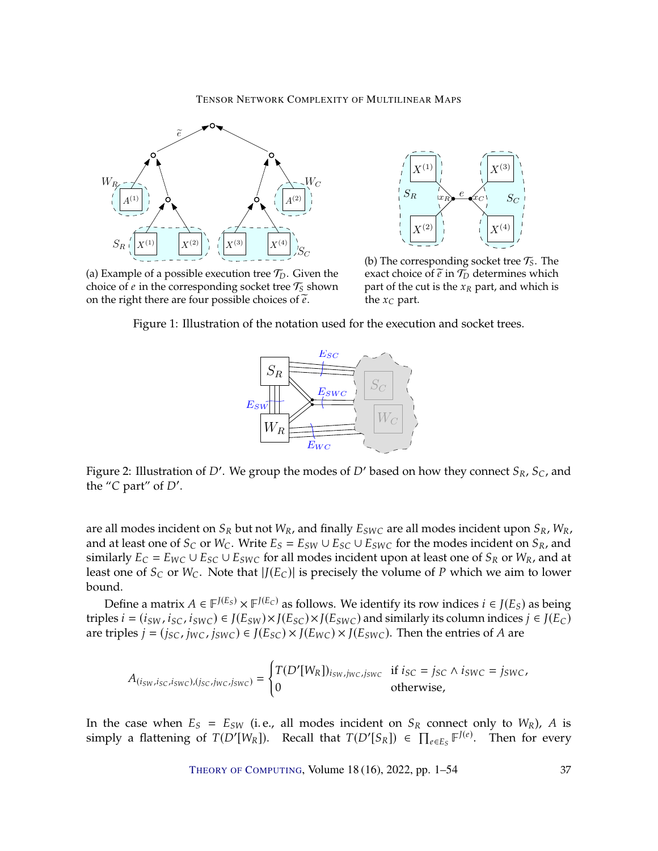<span id="page-36-0"></span>

e  $X^{(1)}$  $X^{(2)}$  $x_R$  $\rightarrow c$  $X^{(3)}$  $X^{(4)}$  $S_R$   $\qquad x_R$   $\qquad c$   $S_C$ 

(a) Example of a possible execution tree  $\mathcal{T}_D$ . Given the choice of a in the corresponding socket tree  $\mathcal{T}_B$  shown choice of  $e$  in the corresponding socket tree  $\mathcal{T}_S$  shown on the right there are four possible choices of  $\tilde{e}$ .

(b) The corresponding socket tree  $\mathcal{T}_5$ . The overt choice of  $\tilde{a}$  in  $\mathcal{T}_7$  determines which exact choice of  $\tilde{e}$  in  $\mathcal{T}_D$  determines which part of the cut is the  $x_R$  part, and which is the  $x_C$  part.

<span id="page-36-1"></span>Figure 1: Illustration of the notation used for the execution and socket trees.



Figure 2: Illustration of D'. We group the modes of D' based on how they connect  $S_R$ ,  $S_C$ , and the "C part" of D' the " $C$  part" of  $D'$ .

are all modes incident on  $S_R$  but not  $W_R$ , and finally  $E_{SWC}$  are all modes incident upon  $S_R$ ,  $W_R$ , and at least one of  $S_C$  or  $W_C$ . Write  $E_S = E_{SW} \cup E_{SC} \cup E_{SWC}$  for the modes incident on  $S_R$ , and similarly  $E_C = E_{WC} \cup E_{SC} \cup E_{SWC}$  for all modes incident upon at least one of  $S_R$  or  $W_R$ , and at least one of  $S_C$  or  $W_C$ . Note that  $|J(E_C)|$  is precisely the volume of P which we aim to lower bound.

Define a matrix  $A \in \mathbb{F}^{J(E_S)} \times \mathbb{F}^{J(E_C)}$  as follows. We identify its row indices  $i \in J(E_S)$  as being<br>los  $i = (i\alpha y, i\alpha z, j\alpha w) \in J(E_{\alpha y}) \times J(E_{\alpha z}) \times J(E_{\alpha y})$  and similarly its column indices  $i \in J(E_S)$ triples  $i = (i_{SW}, i_{SC}, i_{SWC}) \in J(E_{SW}) \times J(E_{SC}) \times J(E_{SWC})$  and similarly its column indices  $j \in J(E_C)$ are triples  $j = (j_{SC}, j_{WC}, j_{SWC}) \in J(E_{SC}) \times J(E_{WC}) \times J(E_{SWC})$ . Then the entries of A are

$$
A_{(isw, isc, iswc), (isc, jwc, iswc)} = \begin{cases} T(D'[W_R])_{i_{SW}, j_{WC}, j_{SWC}} & \text{if } i_{SC} = j_{SC} \land i_{SWC} = j_{SWC}, \\ 0 & \text{otherwise}, \end{cases}
$$

In the case when  $E_S = E_{SW}$  (i.e., all modes incident on  $S_R$  connect only to  $W_R$ ), A is simply a flattening of  $T(D'[W_R])$ . Recall that  $T(D'[S_R]) \in \prod_{e \in E_S} \mathbb{F}^{J(e)}$ . Then for every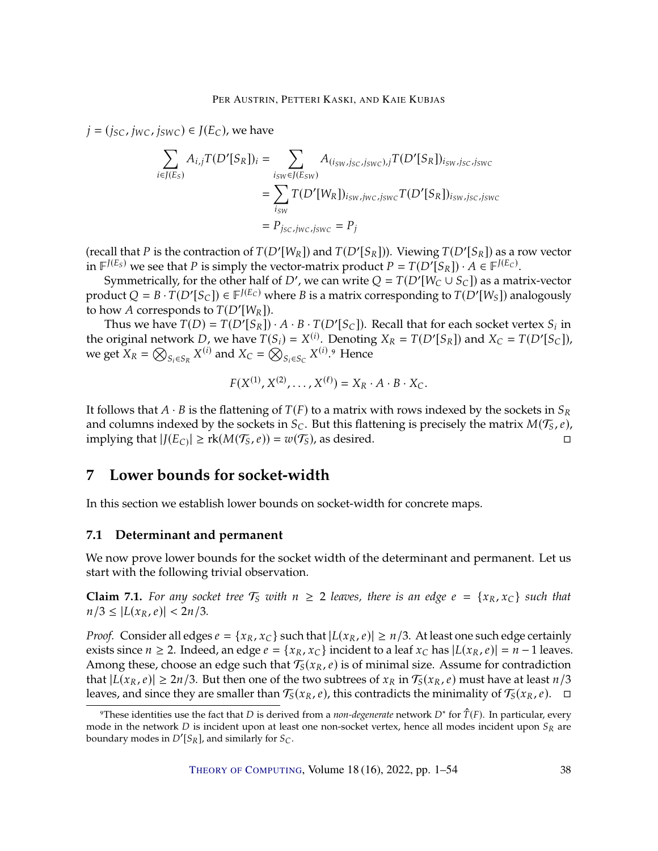$j = (i_{SC}, i_{WC}, i_{SWC}) \in J(E_C)$ , we have

$$
\sum_{i \in J(E_S)} A_{i,j} T(D'[S_R])_i = \sum_{\substack{i_{SW} \in J(E_{SW}) \\ \vdots \\ i_{SW}}} A_{(i_{SW}, j_{SC}, j_{SWC}), j} T(D'[S_R])_{i_{SW}, j_{SC}, j_{SWC}} \\
= \sum_{i_{SW}} T(D'[W_R])_{i_{SW}, j_{WC}, j_{SWC}} T(D'[S_R])_{i_{SW}, j_{SC}, j_{SWC}} \\
= P_{j_{SC}, j_{WC}, j_{SWC}} = P_j
$$

(recall that *P* is the contraction of  $T(D'[W_R])$  and  $T(D'[S_R]))$ . Viewing  $T(D'[S_R])$  as a row vector<br>in  $E^{J(E_S)}$  we see that *P* is simply the vector-matrix product  $P = T(D'[S_R])$ .  $A \in E^{J(E_C)}$ in  $\mathbb{F}^{J(E_S)}$  we see that P is simply the vector-matrix product  $P = T(D'[S_R]) \cdot A \in \mathbb{F}^{J(E_C)}$ .<br>Symmetrically for the other half of D' we can write  $Q = T(D'[W_C \cup S_C])$  as a matrix

Symmetrically, for the other half of D', we can write  $Q = T(D'[W_C \cup S_C])$  as a matrix-vector<br>duct  $Q = R \cdot T(D'[S_C]) \in \mathbb{F}^{[E_C]}$  where  $R$  is a matrix corresponding to  $T(D'[W_C])$  analogously product  $Q = B \cdot T(D'[S_C]) \in \mathbb{F}^{J(E_C)}$  where B is a matrix corresponding to  $T(D'[W_S])$  analogously to how A corresponds to  $T(D'[W_R])$ .<br>Thus we have  $T(D) - T(D'[S_R])$ 

Thus we have  $T(D) = T(D'[S_R]) \cdot A \cdot B \cdot T(D'[S_C])$ . Recall that for each socket vertex  $S_i$  in original network  $D$ , we have  $T(S_i) = Y^{(i)}$ . Denoting  $X_B = T(D'[S_B])$  and  $X_B = T(D'[S_B])$ the original network  $D$ , we have  $T(S_i) = X^{(i)}$ . Denoting  $X_R = T(D'[S_R])$  and  $X_C = T(D'[S_C])$ , we get  $X_R = \bigotimes_{S_i \in S_R} X^{(i)}$  and  $X_C = \bigotimes_{S_i \in S_C} X^{(i)}$ .<sup>9</sup> Hence

$$
F(X^{(1)}, X^{(2)}, \ldots, X^{(\ell)}) = X_R \cdot A \cdot B \cdot X_C.
$$

It follows that  $A \cdot B$  is the flattening of  $T(F)$  to a matrix with rows indexed by the sockets in  $S_R$ and columns indexed by the sockets in  $S_C$ . But this flattening is precisely the matrix  $M(\mathcal{T}_S, e)$ , implying that  $|I(E_C)| > \text{rk}(M(\mathcal{T}_S, e)) = w(\mathcal{T}_S)$ , as desired implying that  $|J(E_C)| \ge r k(M(\mathcal{T}_S, e)) = w(\mathcal{T}_S)$ , as desired.

# <span id="page-37-0"></span>**7 Lower bounds for socket-width**

In this section we establish lower bounds on socket-width for concrete maps.

## **7.1 Determinant and permanent**

We now prove lower bounds for the socket width of the determinant and permanent. Let us start with the following trivial observation.

<span id="page-37-1"></span>**Claim 7.1.** For any socket tree  $\mathcal{T}_S$  with  $n \geq 2$  *leaves, there is an edge*  $e = \{x_R, x_C\}$  *such that*  $n/3 \leq |L(x_R, e)| < 2n/3$ .

*Proof.* Consider all edges  $e = \{x_R, x_C\}$  such that  $|L(x_R, e)| \ge n/3$ . At least one such edge certainly exists since  $n \ge 2$ . Indeed, an edge  $e = \{x_R, x_C\}$  incident to a leaf  $x_C$  has  $|L(x_R, e)| = n - 1$  leaves. Among these, choose an edge such that  $T_S(x_R, e)$  is of minimal size. Assume for contradiction that  $|I(x_R, e)| > 2n/3$ . But then one of the two subtrees of  $x_R$  in  $\mathcal{T}_S(x_R, e)$  must have at least  $n/3$ that  $|L(x_R, e)| \ge 2n/3$ . But then one of the two subtrees of  $x_R$  in  $\mathcal{T}_S(x_R, e)$  must have at least  $n/3$ leaves, and since they are smaller than  $\mathcal{T}_S(x_R, e)$ , this contradicts the minimality of  $\mathcal{T}_S(x_R, e)$ .  $\Box$ 

These identities use the fact that *D* is derived from a *non-degenerate* network  $D^*$  for  $\hat{T}(F)$ . In particular, every degine the network *D* is incident upon at least one pon-socket vertex, hence all modes incident u mode in the network  $D$  is incident upon at least one non-socket vertex, hence all modes incident upon  $S_R$  are boundary modes in  $D'[S_R]$ , and similarly for  $S_C$ .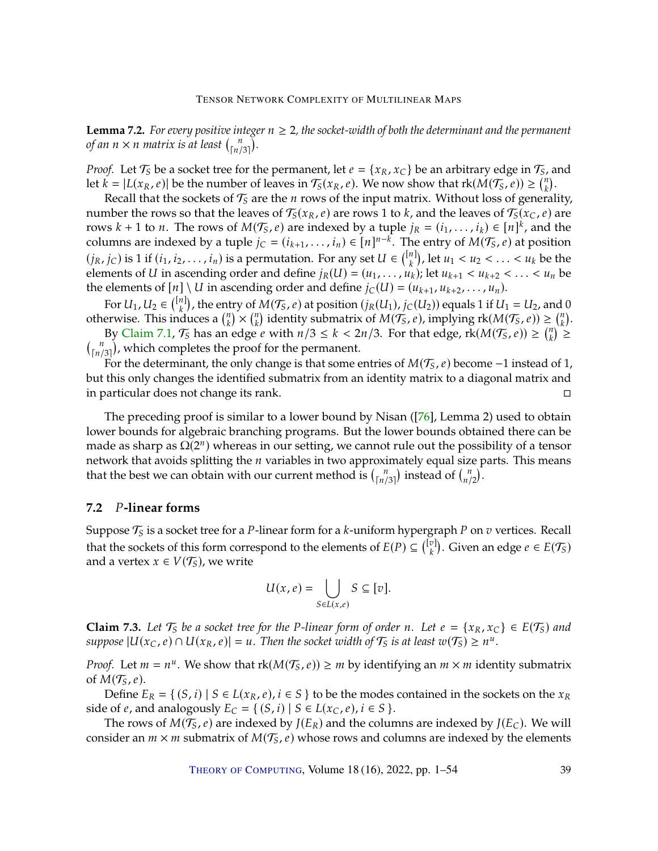<span id="page-38-1"></span>**Lemma 7.2.** *For every positive integer*  $n \geq 2$ *, the socket-width of both the determinant and the permanent of an*  $n \times n$  *matrix is at least*  $\binom{n}{\lceil n/3 \rceil}$ .

*Proof.* Let  $\mathcal{T}_S$  be a socket tree for the permanent, let  $e = \{x_R, x_C\}$  be an arbitrary edge in  $\mathcal{T}_S$ , and let  $k = |L(x_R, e)|$  be the number of leaves in  $\mathcal{T}_S(x_R, e)$ . We now show that  $rk(M(\mathcal{T}_S, e)) \geq {n \choose k}$ .<br>Recall that the sockets of  $\mathcal{T}_S$  are the *n* rows of the input matrix. Without loss of general

Recall that the sockets of  $\mathcal{T}_S$  are the *n* rows of the input matrix. Without loss of generality, the rows so that the leaves of  $\mathcal{T}_S(x, e)$  are rows 1 to *k* and the leaves of  $\mathcal{T}_S(x, e)$  are number the rows so that the leaves of  $\mathcal{T}_{S}(x_R, e)$  are rows 1 to *k*, and the leaves of  $\mathcal{T}_{S}(x_C, e)$  are rows  $k + 1$  to *n*. The rows of  $M(\mathcal{T}_{S}e)$  are indexed by a tuple  $j_D = (j_L, j_L) \in [n]^{k}$  and the rows  $k + 1$  to *n*. The rows of  $M(\mathcal{T}_5, e)$  are indexed by a tuple  $j_R = (i_1, \ldots, i_k) \in [n]^k$ , and the columns are indexed by a tuple  $i_S = (i_1, \ldots, i_k) \in [n]^{n-k}$ . The entry of  $M(\mathcal{T}_S, e)$  at position columns are indexed by a tuple  $j_C = (i_{k+1}, \ldots, i_n) \in [n]^{n-k}$ . The entry of  $M(\mathcal{T}_S, e)$  at position  $(j_R, j_C)$  is 1 if  $(i_1, i_2, \ldots, i_n)$  is a permutation. For any set  $U \in \binom{[n]}{k}$ , let  $u_1 < u_2 < \ldots < u_k$  be the comparisor of  $U$  in association order and define  $i_D(U) = (u_1, \ldots, u_k)$ ; let  $u_1 < u_2 < \ldots < u_k$  be elements of U in ascending order and define  $j_R(U) = (u_1, \ldots, u_k)$ ; let  $u_{k+1} < u_{k+2} < \ldots < u_n$  be the elements of  $[u] \setminus U$  in ascending order and define  $i_G(U) = (u_{k+1}, u_{k+2}, \ldots, u_n)$ the elements of  $[n] \setminus U$  in ascending order and define  $j_C(U) = (u_{k+1}, u_{k+2}, \ldots, u_n)$ .

For  $U_1, U_2 \in \binom{[n]}{k}$ , the entry of  $M(\mathcal{T}_5, e)$  at position  $(j_R(U_1), j_C(U_2))$  equals 1 if  $U_1 = U_2$ , and 0<br>original state induces  $2 \binom{n}{k} \times \binom{n}{k}$  identity submatrix of  $M(\mathcal{T}_5, e)$  implying  $\text{rk}(M(\mathcal{T}_5, e)) \geq \binom{n}{k$ otherwise. This induces a  $\binom{n}{k} \times \binom{n}{k}$  identity submatrix of  $M(\mathcal{T}_5, e)$ , implying  $rk(M(\mathcal{T}_5, e)) \geq \binom{n}{k}$ .<br>By Claim 7.1,  $\mathcal{T}_6$  has an adgo e with  $n/3 \leq k \leq 2n/3$ . For that adgo  $rk(M(\mathcal{T}_6, e)) \geq \binom{n}{k}$ .

By [Claim](#page-37-1) [7.1,](#page-37-1)  $T_S$  has an edge *e* with  $n/3 \le k < 2n/3$ . For that edge,  $rk(M(T_S, e)) \ge {n \choose k} \ge$  $\binom{n}{\lceil n/3\rceil}$ , which completes the proof for the permanent.

For the determinant, the only change is that some entries of  $M(\mathcal{T}_S, e)$  become -1 instead of 1, but this only changes the identified submatrix from an identity matrix to a diagonal matrix and in particular does not change its rank.

The preceding proof is similar to a lower bound by Nisan ([\[76\]](#page-50-13), Lemma 2) used to obtain lower bounds for algebraic branching programs. But the lower bounds obtained there can be made as sharp as  $\Omega(2^n)$  whereas in our setting, we cannot rule out the possibility of a tensor network that avoids splitting the  $n$  variables in two approximately equal size parts. This means that the best we can obtain with our current method is  $\binom{n}{\lfloor n/3 \rfloor}$  instead of  $\binom{n}{n/2}$ .

# **7.2** 𝑃**-linear forms**

Suppose  $\mathcal{T}_S$  is a socket tree for a *P*-linear form for a *k*-uniform hypergraph *P* on *v* vertices. Recall that the assumed at the shape of  $F(\mathcal{T})$ that the sockets of this form correspond to the elements of  $E(P) \subseteq \binom{[v]}{k}$ . Given an edge  $e \in E(\mathcal{T}_S)$ and a vertex  $x \in V(\mathcal{T}_S)$ , we write

$$
U(x,e) = \bigcup_{S \in L(x,e)} S \subseteq [v].
$$

<span id="page-38-0"></span>**Claim 7.3.** Let  $\mathcal{T}_S$  be a socket tree for the P-linear form of order n. Let  $e = \{x_R, x_C\} \in E(\mathcal{T}_S)$  and *suppose*  $|U(x_C, e) \cap U(x_R, e)| = u$ . Then the socket width of  $\mathcal{T}_S$  is at least  $w(\mathcal{T}_S) \geq n^u$ .

*Proof.* Let  $m = n^u$ . We show that  $rk(M(\mathcal{T}_S, e)) \geq m$  by identifying an  $m \times m$  identity submatrix of  $M(\mathcal{T}_S, e)$ of  $M(\mathcal{T}_S, e)$ .

Define  $E_R = \{ (S, i) | S \in L(x_R, e), i \in S \}$  to be the modes contained in the sockets on the  $x_R$ side of *e*, and analogously  $E_C = \{ (S, i) | S \in L(x_C, e), i \in S \}$ .

The rows of  $M(\mathcal{T}_5,\rho)$  are indexed by  $J(E_R)$  and the columns are indexed by  $J(E_C)$ . We will consider an  $m \times m$  submatrix of  $M(\mathcal{T}_S, e)$  whose rows and columns are indexed by the elements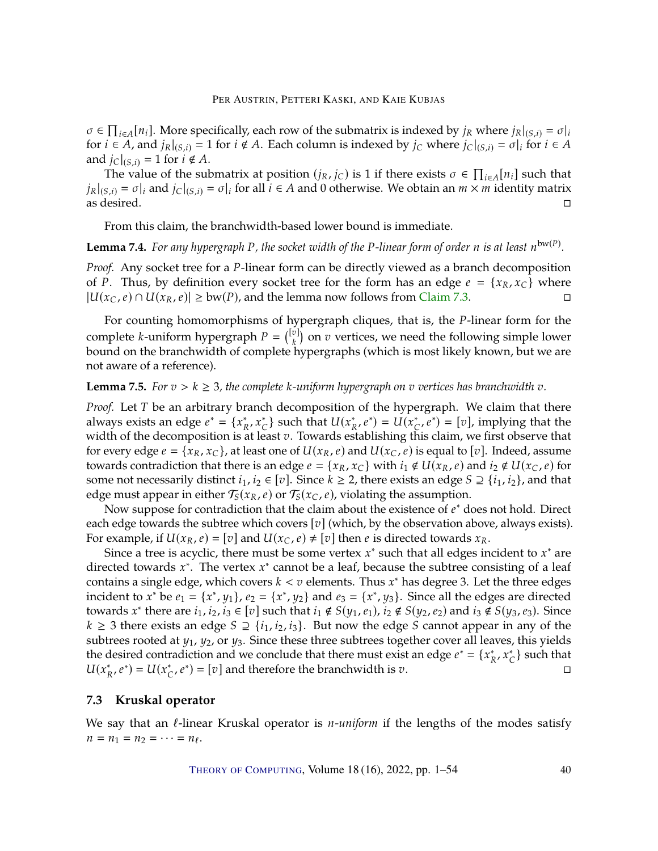$\sigma \in \prod_{i \in A} [n_i]$ . More specifically, each row of the submatrix is indexed by  $j_R$  where  $j_R|_{(S,i)} = \sigma|_i$ <br>for  $i \in A$ , and  $j_R|_{(S,i)} = 1$  for  $i \notin A$ . Each column is indexed by  $j_R$  where  $j_R|_{(S,i)} = \sigma|_i$  for  $i \in A$ for  $i \in A$ , and  $j_R|_{(S,i)} = 1$  for  $i \notin A$ . Each column is indexed by  $j_C$  where  $j_C|_{(S,i)} = \sigma|_i$  for  $i \in A$ and  $j_{\text{C}}|_{(S,i)} = 1$  for  $i \notin A$ .

The value of the submatrix at position  $(j_R, j_C)$  is 1 if there exists  $\sigma \in \prod_{i \in A}[n_i]$  such that  $j_R|_{(S,i)} = \sigma|_i$  and  $j_C|_{(S,i)} = \sigma|_i$  for all  $i \in A$  and 0 otherwise. We obtain an  $m \times m$  identity matrix as desired. □ as desired.

From this claim, the branchwidth-based lower bound is immediate.

<span id="page-39-0"></span>**Lemma 7.4.** For any hypergraph P, the socket width of the P-linear form of order n is at least  $n^{\text{bw(P)}}$ .

*Proof.* Any socket tree for a P-linear form can be directly viewed as a branch decomposition of *P*. Thus, by definition every socket tree for the form has an edge  $e = \{x_R, x_C\}$  where  $|U(x_C, e) \cap U(x_R, e)| > \text{bw}(P)$ , and the lemma now follows from Claim 7.3.  $|U(x_C, e) \cap U(x_R, e)| \geq b w(P)$ , and the lemma now follows from [Claim](#page-38-0) [7.3.](#page-38-0)

For counting homomorphisms of hypergraph cliques, that is, the *P*-linear form for the complete *k*-uniform hypergraph  $P = \begin{pmatrix} \begin{bmatrix} v \\ k \end{bmatrix}$  on  $v$  vertices, we need the following simple lower bound on the branchwidth of complete hypergraphs (which is most likely known, but we are not aware of a reference).

### **Lemma 7.5.** *For*  $v > k \geq 3$ *, the complete k-uniform hypergraph on*  $v$  *vertices has branchwidth*  $v$ *.*

*Proof.* Let T be an arbitrary branch decomposition of the hypergraph. We claim that there always exists an edge  $e^* = \{x_R^*, x_C^*\}$  such that  $U(x_R^*, e^*) = U(x_C^*, e^*) = [v]$ , implying that the width of the decomposition is at least v. Towards establishing this claim, we first observe that for overy edge  $e = \{x_0, x_0\}$  at least one of  $U(x_0, e)$  and  $U(x_0, e)$  is equal to [z]. Indeed, assume for every edge  $e = \{x_R, x_C\}$ , at least one of  $U(x_R, e)$  and  $U(x_C, e)$  is equal to [v]. Indeed, assume towards contradiction that there is an edge  $e = \{x_R, x_C\}$  with  $i_1 \notin U(x_R, e)$  and  $i_2 \notin U(x_C, e)$  for some not necessarily distinct  $i_1, i_2 \in [v]$ . Since  $k \geq 2$ , there exists an edge  $S \supseteq \{i_1, i_2\}$ , and that edge must appear in either  $\mathcal{T}_S(x_R, e)$  or  $\mathcal{T}_S(x_C, e)$ , violating the assumption.<br>Now suppose for contradiction that the claim about the existence of  $e^*$  denotes

Now suppose for contradiction that the claim about the existence of  $e^*$  does not hold. Direct<br>h edge towards the subtree which covers [71] (which by the observation above always exists) each edge towards the subtree which covers  $[v]$  (which, by the observation above, always exists). For example, if  $U(x_R, e) = [v]$  and  $U(x_C, e) \neq [v]$  then e is directed towards  $x_R$ .

Since a tree is acyclic, there must be some vertex  $x^*$  such that all edges incident to  $x^*$  are neted towards  $x^*$ . The vertex  $x^*$  cannot be a leaf because the subtree consisting of a leaf directed towards  $x^*$ . The vertex  $x^*$  cannot be a leaf, because the subtree consisting of a leaf contains a single edge, which covers  $k < v$  elements. Thus  $x^*$  has degree 3. Let the three edges<br>incident to  $x^*$  he  $e_1 = \{x^*, u_k\}$ ,  $e_2 = \{x^*, u_k\}$ , and  $e_3 = \{x^*, u_k\}$ . Since all the edges are directed incident to  $x^*$  be  $e_1 = \{x^*, y_1\}$ ,  $e_2 = \{x^*, y_2\}$  and  $e_3 = \{x^*, y_3\}$ . Since all the edges are directed to  $x^*$  there are  $i_1, i_2, j_3 \in \{z\}$  and  $i_3 \notin S(y_3, \varrho_3)$  and  $i_2 \notin S(y_3, \varrho_3)$ . Since towards  $x^*$  there are  $i_1$ ,  $i_2$ ,  $i_3 \in [v]$  such that  $i_1 \notin S(y_1, e_1)$ ,  $i_2 \notin S(y_2, e_2)$  and  $i_3 \notin S(y_3, e_3)$ . Since  $k > 3$  there exists an edge  $S \supset \{i_1, i_2, i_3\}$ . But now the edge S cannot appear in any of the  $k ≥ 3$  there exists an edge  $S ⊇ \{i_1, i_2, i_3\}$ . But now the edge S cannot appear in any of the subtrees rooted at  $y_1$ ,  $y_2$ , or  $y_3$ . Since these three subtrees together cover all leaves, this yields the desired contradiction and we conclude that there must exist an edge  $e^* = \{x_R^*, x_C^*\}$  such that  $U(x_{R}^{*}, e^{*}) = U(x_{C}^{*}, e^{*}) = [v]$  and therefore the branchwidth is  $v$ .

#### **7.3 Kruskal operator**

We say that an l-linear Kruskal operator is *n-uniform* if the lengths of the modes satisfy  $n = n_1 = n_2 = \cdots = n_\ell.$ 

THEORY OF C[OMPUTING](http://dx.doi.org/10.4086/toc), Volume  $18(16)$ , 2022, pp.  $1-54$  40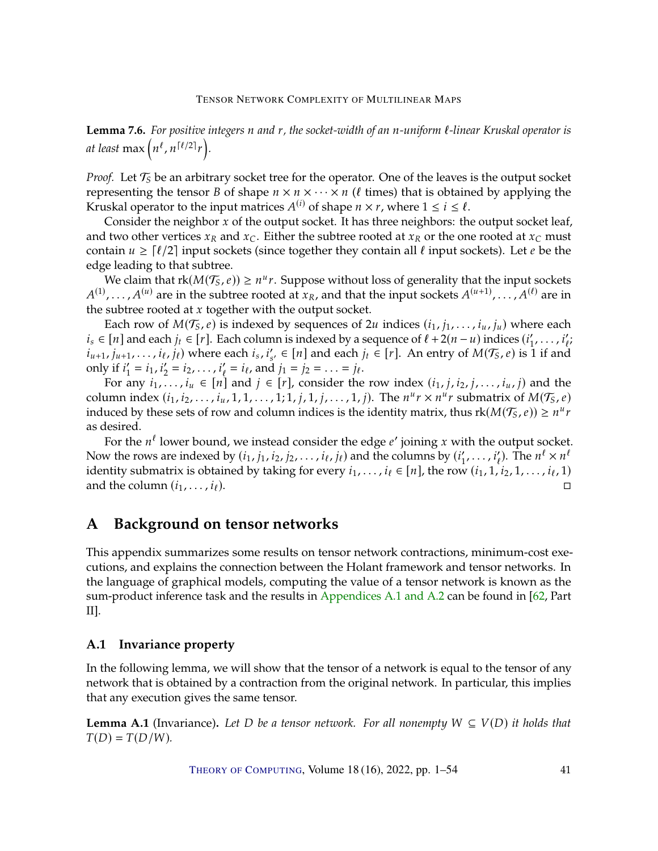<span id="page-40-3"></span>**Lemma 7.6.** For positive integers *n* and *r*, the socket-width of an *n*-uniform *ℓ*-linear Kruskal operator is at least  $\max\left(n^{\ell}, n^{\lceil \ell / 2 \rceil} r\right)$ *.*

*Proof.* Let  $\mathcal{T}_{S}$  be an arbitrary socket tree for the operator. One of the leaves is the output socket representing the tensor *B* of shape  $n \times n \times \cdots \times n$  (*l* times) that is obtained by applying the Kruskal operator to the input matrices  $A^{(i)}$  of shape  $n \times r$ , where  $1 \le i \le \ell$ .<br>Consider the neighbor  $x$  of the output socket. It has three neighbors: the

Consider the neighbor  $x$  of the output socket. It has three neighbors: the output socket leaf, and two other vertices  $x_R$  and  $x_C$ . Either the subtree rooted at  $x_R$  or the one rooted at  $x_C$  must contain  $u \geq \lceil \ell/2 \rceil$  input sockets (since together they contain all  $\ell$  input sockets). Let  $e$  be the edge leading to that subtree.

We claim that  $\text{rk}(M(\mathcal{T}_5, e)) \geq n^u r$ . Suppose without loss of generality that the input sockets  $A^{(u)}$  are in the subtree rooted at  $r_s$  and that the input sockets  $A^{(u+1)}$ the subtree rooted at  $x$  together with the output socket.<br>Each row of  $M(\mathcal{T}_{\epsilon}, e)$  is indexed by socurations of 2  $(1), \ldots, A^{(u)}$  are in the subtree rooted at  $x_R$ , and that the input sockets  $A^{(u+1)}, \ldots, A^{(\ell)}$  are in

Each row of  $M(\mathcal{T}_S, e)$  is indexed by sequences of 2*u* indices  $(i_1, j_1, \ldots, i_u, j_u)$  where each  $i_s \in [n]$  and each  $j_t \in [r]$ . Each column is indexed by a sequence of  $\ell + 2(n - u)$  indices  $(i'_1, \ldots, i'_{n-1})$  $i'_1, \ldots, i'_{\ell}$ <br>1 if and  $(i_{u+1}, j_{u+1}, \ldots, i_{\ell}, j_{\ell})$  where each  $i_s, i'_{s'} \in [n]$  and each  $j_t \in [r]$ . An entry of  $M(\mathcal{T}_S, e)$  is 1 if and  $\text{cyl}_s$ only if  $i'_1 = i_1, i'_2 = i_2, \ldots, i'_\ell = i_\ell$ , and  $i_1' = i_1, i_2' = i_2, ..., i_\ell' = i_\ell$ , and  $j_1 = j_2 = ... = j_\ell$ .

For any  $i_1, \ldots, i_u \in [n]$  and  $j \in [r]$ , consider the row index  $(i_1, j, i_2, j, \ldots, i_u, j)$  and the represent the row index  $(i_1, j, i_2, j, \ldots, i_u, j)$  and the column index  $(i_1, i_2, \ldots, i_u, 1, 1, \ldots, 1; 1, j, 1, j, \ldots, 1, j)$ . The  $n^u r \times n^u r$  submatrix of  $M(\mathcal{T}_S, e)$ <br>induced by these sets of row and column indices is the identity matrix, thus  $rk(M(\mathcal{T}_S, e)) \geq n^u r$ induced by these sets of row and column indices is the identity matrix, thus  $rk(M(\mathcal{T}_5, e)) \geq n^u r$ as desired.

For the  $n^{\ell}$  lower bound, we instead consider the edge  $e'$  joining x with the output socket.<br>With rows are indexed by  $(i, i, j, j)$  is sighted and the columns by  $(i', j')$ . The  $n^{\ell} \times n^{\ell}$ Now the rows are indexed by  $(i_1, j_1, i_2, j_2, \ldots, i_\ell, j_\ell)$  and the columns by  $(i'_1)$ <br>identity submatrix is obtained by taking for every  $i_1, \ldots, i_\ell \in [n]$ , the row  $\frac{1}{2}, \ldots, i'_{\ell}$ . The  $n^{\ell} \times n^{\ell}$ identity submatrix is obtained by taking for every  $i_1, \ldots, i_\ell \in [n]$ , the row  $(i_1, 1, i_2, 1, \ldots, i_\ell, 1)$ and the column  $(i_1, \ldots, i_\ell)$ .

# <span id="page-40-0"></span>**A Background on tensor networks**

This appendix summarizes some results on tensor network contractions, minimum-cost executions, and explains the connection between the Holant framework and tensor networks. In the language of graphical models, computing the value of a tensor network is known as the sum-product inference task and the results in [Appendices](#page-40-2) [A.1](#page-40-2) [and](#page-41-0) [A.2](#page-41-0) can be found in [\[62,](#page-49-4) Part II].

# <span id="page-40-2"></span>**A.1 Invariance property**

In the following lemma, we will show that the tensor of a network is equal to the tensor of any network that is obtained by a contraction from the original network. In particular, this implies that any execution gives the same tensor.

<span id="page-40-1"></span>**Lemma A.1** (Invariance). Let D be a tensor network. For all nonempty  $W \subseteq V(D)$  it holds that  $T(D) = T(D/W)$ *.*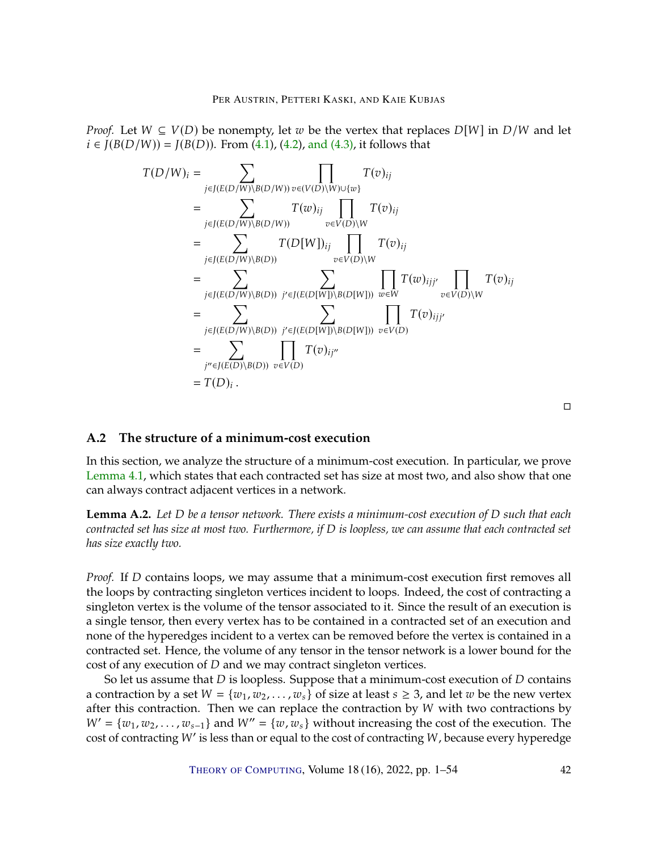*Proof.* Let  $W \subseteq V(D)$  be nonempty, let w be the vertex that replaces  $D[W]$  in  $D/W$  and let  $i \in J(B(D/W)) = J(B(D))$ . From [\(4.1\)](#page-18-1), [\(4.2\)](#page-18-0), [and \(4.3\),](#page-18-2) it follows that

$$
T(D/W)_i = \sum_{j \in J(E(D/W) \setminus B(D/W))} \prod_{v \in (V(D) \setminus W) \cup \{w\}} T(v)_{ij}
$$
  
\n
$$
= \sum_{j \in J(E(D/W) \setminus B(D/W))} T(w)_{ij} \prod_{v \in V(D) \setminus W} T(v)_{ij}
$$
  
\n
$$
= \sum_{j \in J(E(D/W) \setminus B(D))} T(D[W])_{ij} \prod_{v \in V(D) \setminus W} T(v)_{ij}
$$
  
\n
$$
= \sum_{j \in J(E(D/W) \setminus B(D))} \sum_{j' \in J(E(D[W]) \setminus B(D[W]))} \prod_{w \in W} T(w)_{ijj'} \prod_{v \in V(D) \setminus W} T(v)_{ij}
$$
  
\n
$$
= \sum_{j \in J(E(D/W) \setminus B(D))} \sum_{j' \in J(E(D[W]) \setminus B(D[W]))} \prod_{v \in V(D)} T(v)_{ijj'}
$$
  
\n
$$
= \sum_{j'' \in J(E(D) \setminus B(D))} \prod_{v \in V(D)} T(v)_{ij''}
$$
  
\n
$$
= T(D)_i.
$$

 $\Box$ 

# <span id="page-41-0"></span>**A.2 The structure of a minimum-cost execution**

In this section, we analyze the structure of a minimum-cost execution. In particular, we prove [Lemma](#page-19-1) [4.1,](#page-19-1) which states that each contracted set has size at most two, and also show that one can always contract adjacent vertices in a network.

<span id="page-41-1"></span>**Lemma A.2.** Let D be a tensor network. There exists a minimum-cost execution of D such that each *contracted set has size at most two. Furthermore, if* D is loopless, we can assume that each contracted set *has size exactly two.*

*Proof.* If *D* contains loops, we may assume that a minimum-cost execution first removes all the loops by contracting singleton vertices incident to loops. Indeed, the cost of contracting a singleton vertex is the volume of the tensor associated to it. Since the result of an execution is a single tensor, then every vertex has to be contained in a contracted set of an execution and none of the hyperedges incident to a vertex can be removed before the vertex is contained in a contracted set. Hence, the volume of any tensor in the tensor network is a lower bound for the cost of any execution of  $D$  and we may contract singleton vertices.

So let us assume that  $D$  is loopless. Suppose that a minimum-cost execution of  $D$  contains a contraction by a set  $W = \{w_1, w_2, \dots, w_s\}$  of size at least  $s \geq 3$ , and let w be the new vertex after this contraction. Then we can replace the contraction by  $W$  with two contractions by  $W' = \{w_1, w_2, \dots, w_{s-1}\}\$  and  $W'' = \{w, w_s\}$  without increasing the cost of the execution. The cost of contracting  $W'$  is less than or equal to the cost of contracting  $W$ , because every hyperedge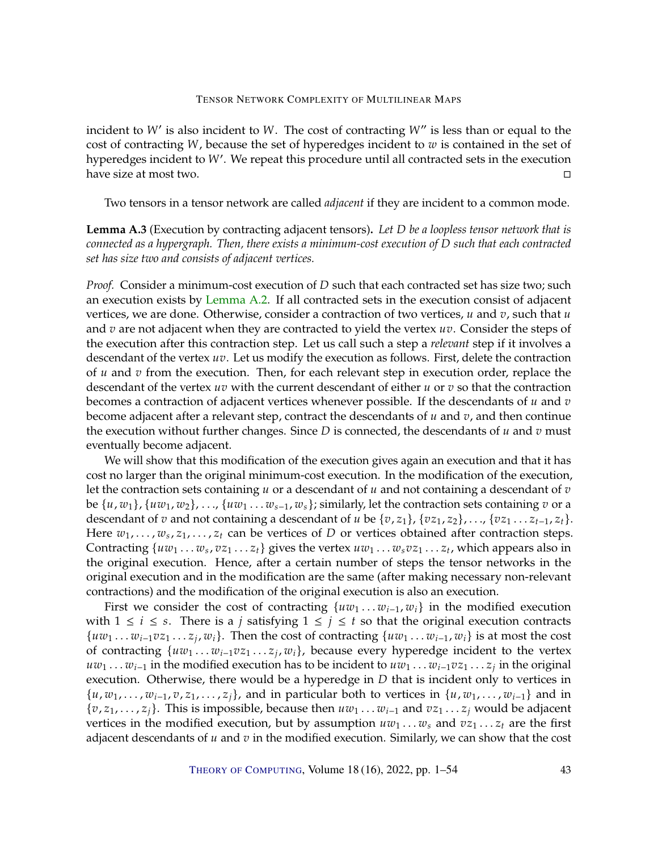incident to  $W'$  is also incident to  $W$ . The cost of contracting  $W''$  is less than or equal to the cost of contracting  $W$  because the set of byparedges incident to  $\chi$ <sup>0</sup> is contained in the set of cost of contracting  $W$ , because the set of hyperedges incident to  $w$  is contained in the set of hyperedges incident to W'. We repeat this procedure until all contracted sets in the execution<br>have size at most two have size at most two.

Two tensors in a tensor network are called *adjacent* if they are incident to a common mode.

Lemma A.3 (Execution by contracting adjacent tensors). Let D be a loopless tensor network that is *connected as a hypergraph. Then, there exists a minimum-cost execution of D such that each contracted set has size two and consists of adjacent vertices.*

*Proof.* Consider a minimum-cost execution of D such that each contracted set has size two; such an execution exists by [Lemma](#page-41-1) [A.2.](#page-41-1) If all contracted sets in the execution consist of adjacent vertices, we are done. Otherwise, consider a contraction of two vertices,  $u$  and  $v$ , such that  $u$ and  $v$  are not adjacent when they are contracted to yield the vertex  $uv$ . Consider the steps of the execution after this contraction step. Let us call such a step a *relevant* step if it involves a descendant of the vertex  $uv$ . Let us modify the execution as follows. First, delete the contraction of  $u$  and  $v$  from the execution. Then, for each relevant step in execution order, replace the descendant of the vertex  $uv$  with the current descendant of either  $u$  or  $v$  so that the contraction becomes a contraction of adjacent vertices whenever possible. If the descendants of  $u$  and  $v$ become adjacent after a relevant step, contract the descendants of  $u$  and  $v$ , and then continue the execution without further changes. Since  $D$  is connected, the descendants of  $u$  and  $v$  must eventually become adjacent.

We will show that this modification of the execution gives again an execution and that it has cost no larger than the original minimum-cost execution. In the modification of the execution, let the contraction sets containing  $u$  or a descendant of  $u$  and not containing a descendant of  $v$ be  $\{u, w_1\}$ ,  $\{uw_1, w_2\}$ , ...,  $\{uw_1 \dots w_{s-1}, w_s\}$ ; similarly, let the contraction sets containing  $v$  or a descendant of  $v$  and not containing a descendant of  $u$  be  $\{v, z_1\}$ ,  $\{vz_1, z_2\}$ , . . .,  $\{vz_1 \ldots z_{t-1}, z_t\}$ . Here  $w_1, \ldots, w_s, z_1, \ldots, z_t$  can be vertices of D or vertices obtained after contraction steps.<br>Contracting  $f_{11}v_1, \ldots, z_t, z_t$  aives the vertex  $f_{21}v_1, \ldots, z_t, z_t$  which appears also in Contracting  $\{uw_1 \dots w_s, vz_1 \dots z_t\}$  gives the vertex  $uw_1 \dots w_s v z_1 \dots z_t$ , which appears also in the original execution. Hence, after a certain number of steps the tensor petworks in the the original execution. Hence, after a certain number of steps the tensor networks in the original execution and in the modification are the same (after making necessary non-relevant contractions) and the modification of the original execution is also an execution.

First we consider the cost of contracting  $\{uw_1 \dots w_{i-1}, w_i\}$  in the modified execution with  $1 \le i \le s$ . There is a *j* satisfying  $1 \le j \le t$  so that the original execution contracts  $\{uw_1 \dots w_{i-1}vz_1 \dots z_j, w_i\}$ . Then the cost of contracting  $\{uw_1 \dots w_{i-1}, w_i\}$  is at most the cost of contracting  $\{uw_1 \dots w_{i-1}, w_i\}$ of contracting  $\{uw_1, \ldots w_{i-1}vz_1 \ldots z_j, w_i\}$ , because every hyperedge incident to the vertex  $uw_1 \ldots w_{i-1}$  in the modified execution has to be incident to  $uw_1 \ldots w_{i-1}v z_1 \ldots z_j$  in the original execution. Otherwise, there would be a hyperedge in D that is incident only to vertices in execution. Otherwise, there would be a hyperedge in  $D$  that is incident only to vertices in  $\{u, w_1, \ldots, w_{i-1}, v, z_1, \ldots, z_i\}$ , and in particular both to vertices in  $\{u, w_1, \ldots, w_{i-1}\}$  and in  $\{v, z_1, \ldots, z_j\}$ . This is impossible, because then  $uw_1 \ldots w_{i-1}$  and  $v z_1 \ldots z_j$  would be adjacent vertices in the modified execution, but by assumption  $uw_1 \ldots w_s$  and  $v_{21} \ldots z_t$  are the first adjacent descendants of  $u$  and  $v$  in the modified execution. Similarly, we can show that the cost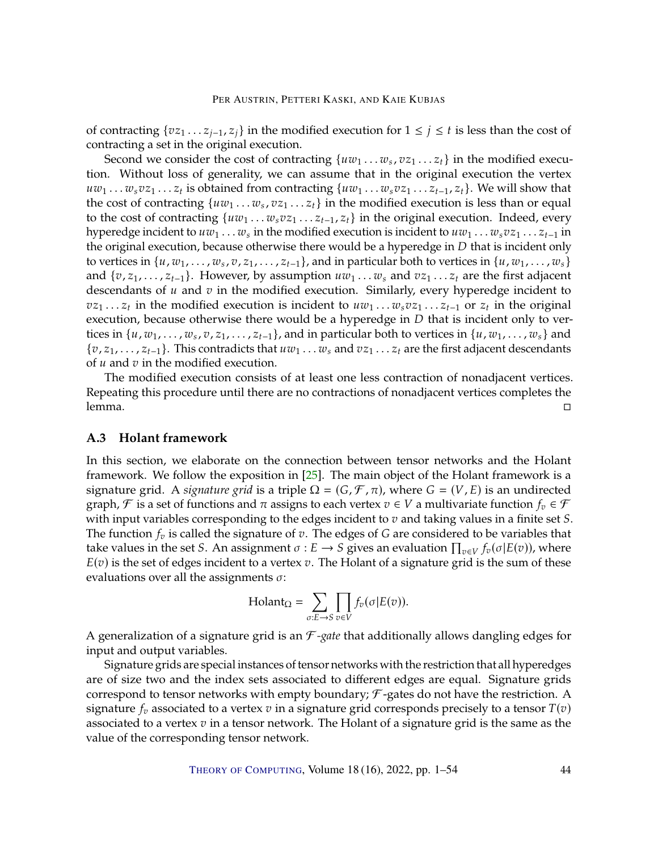<span id="page-43-1"></span>of contracting  $\{v_{\mathcal{Z}_1} \ldots \mathcal{Z}_{i-1}, \mathcal{Z}_i\}$  in the modified execution for  $1 \leq j \leq t$  is less than the cost of contracting a set in the original execution.

Second we consider the cost of contracting  $\{uw_1 \dots w_s, vz_1 \dots z_t\}$  in the modified execu-<br>Without loss of generality, we can assume that in the original execution the vertex tion. Without loss of generality, we can assume that in the original execution the vertex  $uw_1 \dots w_s v z_1 \dots z_t$  is obtained from contracting  $\{uw_1 \dots w_s v z_1 \dots z_{t-1}, z_t\}$ . We will show that the cost of contracting  $\{uw_1, \dots, w_s v z_1 \dots z_{t-1}, z_t\}$ . the cost of contracting  $\{uw_1 \dots w_s, vz_1 \dots z_t\}$  in the modified execution is less than or equal to the cost of contracting  $\{uw_1, \dots, w_s, zz_s, z_s\}$  in the original execution. Indeed, every to the cost of contracting  $\{uw_1 \ldots w_s v z_1 \ldots z_{t-1}, z_t\}$  in the original execution. Indeed, every hyperedge incident to  $uw_1 \ldots w_s$  in the modified execution is incident to  $uw_1 \ldots w_s vz_1 \ldots z_{t-1}$  in the original execution, because otherwise there would be a hyperedge in D that is incident only the original execution, because otherwise there would be a hyperedge in  $D$  that is incident only to vertices in  $\{u, w_1, \ldots, w_s, v, z_1, \ldots, z_{t-1}\}$ , and in particular both to vertices in  $\{u, w_1, \ldots, w_s\}$ and  $\{v, z_1, \ldots, z_{t-1}\}.$  However, by assumption  $uw_1 \ldots w_s$  and  $v z_1 \ldots z_t$  are the first adjacent descendants of  $u$  and  $v$  in the modified execution. Similarly, every hyperedge incident to  $v_{z_1} \ldots z_t$  in the modified execution is incident to  $u_{w_1} \ldots w_s v_{z_1} \ldots z_{t-1}$  or  $z_t$  in the original<br>execution because otherwise there would be a hyperedge in D that is incident only to verexecution, because otherwise there would be a hyperedge in  $D$  that is incident only to vertices in  $\{u, w_1, \ldots, w_s, v, z_1, \ldots, z_{t-1}\}$ , and in particular both to vertices in  $\{u, w_1, \ldots, w_s\}$  and  $\{z_1, z_2, \ldots, z_{t-1}\}$ .  $\{v, z_1, \ldots, z_{t-1}\}.$  This contradicts that  $uw_1 \ldots w_s$  and  $v z_1 \ldots z_t$  are the first adjacent descendants of  $u$  and  $v$  in the modified execution.

The modified execution consists of at least one less contraction of nonadjacent vertices. Repeating this procedure until there are no contractions of nonadjacent vertices completes the lemma.

# <span id="page-43-0"></span>**A.3 Holant framework**

In this section, we elaborate on the connection between tensor networks and the Holant framework. We follow the exposition in [\[25\]](#page-46-4). The main object of the Holant framework is a signature grid. A *signature grid* is a triple  $\Omega = (G, \mathcal{F}, \pi)$ , where  $G = (V, E)$  is an undirected graph,  $\mathcal F$  is a set of functions and  $\pi$  assigns to each vertex  $v \in V$  a multivariate function  $f_v \in \mathcal F$ with input variables corresponding to the edges incident to  $v$  and taking values in a finite set  $S$ . The function  $f_v$  is called the signature of  $v$ . The edges of G are considered to be variables that take values in the set *S*. An assignment  $\sigma : E \to S$  gives an evaluation  $\prod_{v \in V} f_v(\sigma | E(v))$ , where  $E(v)$  is the set of edges incident to a vertex v. The Holant of a signature grid is the sum of these evaluations over all the assignments  $\sigma$ :

Holant<sub>Ω</sub> = 
$$
\sum_{\sigma:E \to S} \prod_{v \in V} f_v(\sigma|E(v)).
$$

A generalization of a signature grid is an ℱ *-gate* that additionally allows dangling edges for input and output variables.

Signature grids are special instances of tensor networks with the restriction that all hyperedges are of size two and the index sets associated to different edges are equal. Signature grids correspond to tensor networks with empty boundary;  $\mathcal{F}$ -gates do not have the restriction. A signature  $f_v$  associated to a vertex  $v$  in a signature grid corresponds precisely to a tensor  $T(v)$ associated to a vertex  $v$  in a tensor network. The Holant of a signature grid is the same as the value of the corresponding tensor network.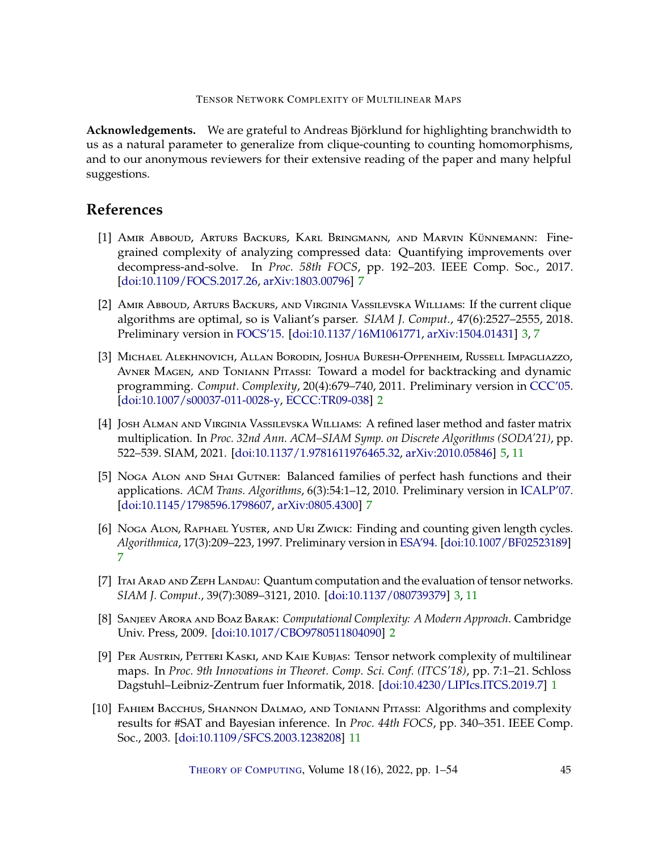**Acknowledgements.** We are grateful to Andreas Björklund for highlighting branchwidth to us as a natural parameter to generalize from clique-counting to counting homomorphisms, and to our anonymous reviewers for their extensive reading of the paper and many helpful suggestions.

# **References**

- <span id="page-44-8"></span>[1] Amir Abboud, Arturs Backurs, Karl Bringmann, and Marvin Künnemann: Finegrained complexity of analyzing compressed data: Quantifying improvements over decompress-and-solve. In *Proc. 58th FOCS*, pp. 192–203. IEEE Comp. Soc., 2017. [\[doi:10.1109/FOCS.2017.26,](http://dx.doi.org/10.1109/FOCS.2017.26) [arXiv:1803.00796\]](http://arxiv.org/abs/1803.00796) [7](#page-6-1)
- <span id="page-44-3"></span>[2] Amir Abboud, Arturs Backurs, and Virginia Vassilevska Williams: If the current clique algorithms are optimal, so is Valiant's parser. *SIAM J. Comput.*, 47(6):2527–2555, 2018. Preliminary version in [FOCS'15.](https://doi.org/10.1109/FOCS.2015.16) [\[doi:10.1137/16M1061771,](http://dx.doi.org/10.1137/16M1061771) [arXiv:1504.01431\]](http://arxiv.org/abs/1504.01431) [3,](#page-2-1) [7](#page-6-1)
- <span id="page-44-2"></span>[3] Michael Alekhnovich, Allan Borodin, Joshua Buresh-Oppenheim, Russell Impagliazzo, Avner Magen, and Toniann Pitassi: Toward a model for backtracking and dynamic programming. *Comput. Complexity*, 20(4):679–740, 2011. Preliminary version in [CCC'05.](https://doi.org/10.1109/CCC.2005.32) [\[doi:10.1007/s00037-011-0028-y,](http://dx.doi.org/10.1007/s00037-011-0028-y) [ECCC:TR09-038\]](https://eccc.weizmann.ac.il/report/2009/038) [2](#page-1-0)
- <span id="page-44-5"></span>[4] Josh Alman and Virginia Vassilevska Williams: A refined laser method and faster matrix multiplication. In *Proc. 32nd Ann. ACM–SIAM Symp. on Discrete Algorithms (SODA'21)*, pp. 522–539. SIAM, 2021. [\[doi:10.1137/1.9781611976465.32,](http://dx.doi.org/10.1137/1.9781611976465.32) [arXiv:2010.05846\]](http://arxiv.org/abs/2010.05846) [5,](#page-4-2) [11](#page-10-0)
- <span id="page-44-7"></span>[5] Noga Alon and Shai Gutner: Balanced families of perfect hash functions and their applications. *ACM Trans. Algorithms*, 6(3):54:1–12, 2010. Preliminary version in [ICALP'07.](https://doi.org/10.1007/978-3-540-73420-8_39) [\[doi:10.1145/1798596.1798607,](http://dx.doi.org/10.1145/1798596.1798607) [arXiv:0805.4300\]](http://arxiv.org/abs/0805.4300) [7](#page-6-1)
- <span id="page-44-6"></span>[6] Noga Alon, Raphael Yuster, and Uri Zwick: Finding and counting given length cycles. *Algorithmica*, 17(3):209–223, 1997. Preliminary version in [ESA'94.](https://doi.org/10.1007/BFb0049422) [\[doi:10.1007/BF02523189\]](http://dx.doi.org/10.1007/BF02523189) [7](#page-6-1)
- <span id="page-44-4"></span>[7] Itai Arad and Zeph Landau: Quantum computation and the evaluation of tensor networks. *SIAM J. Comput.*, 39(7):3089–3121, 2010. [\[doi:10.1137/080739379\]](http://dx.doi.org/10.1137/080739379) [3,](#page-2-1) [11](#page-10-0)
- <span id="page-44-1"></span>[8] Sanjeev Arora and Boaz Barak: *Computational Complexity: A Modern Approach*. Cambridge Univ. Press, 2009. [\[doi:10.1017/CBO9780511804090\]](http://dx.doi.org/10.1017/CBO9780511804090) [2](#page-1-0)
- <span id="page-44-0"></span>[9] Per Austrin, Petteri Kaski, and Kaie Kubjas: Tensor network complexity of multilinear maps. In *Proc. 9th Innovations in Theoret. Comp. Sci. Conf. (ITCS'18)*, pp. 7:1–21. Schloss Dagstuhl–Leibniz-Zentrum fuer Informatik, 2018. [\[doi:10.4230/LIPIcs.ITCS.2019.7\]](http://dx.doi.org/10.4230/LIPIcs.ITCS.2019.7) [1](#page-0-0)
- <span id="page-44-9"></span>[10] Fahiem Bacchus, Shannon Dalmao, and Toniann Pitassi: Algorithms and complexity results for #SAT and Bayesian inference. In *Proc. 44th FOCS*, pp. 340–351. IEEE Comp. Soc., 2003. [\[doi:10.1109/SFCS.2003.1238208\]](http://dx.doi.org/10.1109/SFCS.2003.1238208) [11](#page-10-0)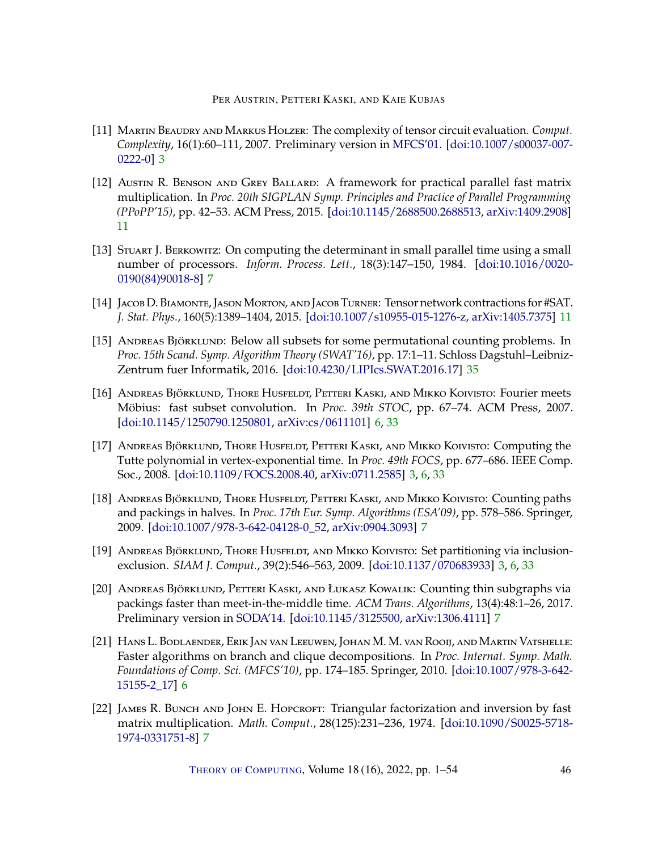- <span id="page-45-2"></span>[11] Martin Beaudry and Markus Holzer: The complexity of tensor circuit evaluation. *Comput. Complexity*, 16(1):60–111, 2007. Preliminary version in [MFCS'01.](https://doi.org/10.1007/3-540-44683-4_16) [\[doi:10.1007/s00037-007-](http://dx.doi.org/10.1007/s00037-007-0222-0) [0222-0\]](http://dx.doi.org/10.1007/s00037-007-0222-0) [3](#page-2-1)
- <span id="page-45-10"></span>[12] Austin R. Benson and Grey Ballard: A framework for practical parallel fast matrix multiplication. In *Proc. 20th SIGPLAN Symp. Principles and Practice of Parallel Programming (PPoPP'15)*, pp. 42–53. ACM Press, 2015. [\[doi:10.1145/2688500.2688513,](http://dx.doi.org/10.1145/2688500.2688513) [arXiv:1409.2908\]](http://arxiv.org/abs/1409.2908) [11](#page-10-0)
- <span id="page-45-7"></span>[13] Stuart J. Berkowitz: On computing the determinant in small parallel time using a small number of processors. *Inform. Process. Lett.*, 18(3):147–150, 1984. [\[doi:10.1016/0020-](http://dx.doi.org/10.1016/0020-0190(84)90018-8) [0190\(84\)90018-8\]](http://dx.doi.org/10.1016/0020-0190(84)90018-8) [7](#page-6-1)
- <span id="page-45-9"></span>[14] JACOB D. BIAMONTE, JASON MORTON, AND JACOB TURNER: Tensor network contractions for #SAT. *J. Stat. Phys.*, 160(5):1389–1404, 2015. [\[doi:10.1007/s10955-015-1276-z,](http://dx.doi.org/10.1007/s10955-015-1276-z) [arXiv:1405.7375\]](http://arxiv.org/abs/1405.7375) [11](#page-10-0)
- <span id="page-45-11"></span>[15] ANDREAS BJÖRKLUND: Below all subsets for some permutational counting problems. In *Proc. 15th Scand. Symp. Algorithm Theory (SWAT'16)*, pp. 17:1–11. Schloss Dagstuhl–Leibniz-Zentrum fuer Informatik, 2016. [\[doi:10.4230/LIPIcs.SWAT.2016.17\]](http://dx.doi.org/10.4230/LIPIcs.SWAT.2016.17) [35](#page-34-1)
- <span id="page-45-4"></span>[16] Andreas Björklund, Thore Husfeldt, Petteri Kaski, and Mikko Koivisto: Fourier meets Möbius: fast subset convolution. In *Proc. 39th STOC*, pp. 67–74. ACM Press, 2007. [\[doi:10.1145/1250790.1250801,](http://dx.doi.org/10.1145/1250790.1250801) [arXiv:cs/0611101\]](http://arxiv.org/abs/cs/0611101) [6,](#page-5-1) [33](#page-32-1)
- <span id="page-45-0"></span>[17] Andreas Björklund, Thore Husfeldt, Petteri Kaski, and Mikko Koivisto: Computing the Tutte polynomial in vertex-exponential time. In *Proc. 49th FOCS*, pp. 677–686. IEEE Comp. Soc., 2008. [\[doi:10.1109/FOCS.2008.40,](http://dx.doi.org/10.1109/FOCS.2008.40) [arXiv:0711.2585\]](http://arxiv.org/abs/0711.2585) [3,](#page-2-1) [6,](#page-5-1) [33](#page-32-1)
- <span id="page-45-5"></span>[18] Andreas Björklund, Thore Husfeldt, Petteri Kaski, and Mikko Koivisto: Counting paths and packings in halves. In *Proc. 17th Eur. Symp. Algorithms (ESA'09)*, pp. 578–586. Springer, 2009. [\[doi:10.1007/978-3-642-04128-0\\_52,](http://dx.doi.org/10.1007/978-3-642-04128-0_52) [arXiv:0904.3093\]](http://arxiv.org/abs/0904.3093) [7](#page-6-1)
- <span id="page-45-1"></span>[19] ANDREAS BJÖRKLUND, THORE HUSFELDT, AND MIKKO KOIVISTO: Set partitioning via inclusionexclusion. *SIAM J. Comput.*, 39(2):546–563, 2009. [\[doi:10.1137/070683933\]](http://dx.doi.org/10.1137/070683933) [3,](#page-2-1) [6,](#page-5-1) [33](#page-32-1)
- <span id="page-45-6"></span>[20] Andreas Björklund, Petteri Kaski, and Łukasz Kowalik: Counting thin subgraphs via packings faster than meet-in-the-middle time. *ACM Trans. Algorithms*, 13(4):48:1–26, 2017. Preliminary version in [SODA'14.](https://doi.org/10.1137/1.9781611973402.45) [\[doi:10.1145/3125500,](http://dx.doi.org/10.1145/3125500) [arXiv:1306.4111\]](http://arxiv.org/abs/1306.4111) [7](#page-6-1)
- <span id="page-45-3"></span>[21] Hans L. Bodlaender, Erik Jan van Leeuwen, Johan M. M. van Rooij, and Martin Vatshelle: Faster algorithms on branch and clique decompositions. In *Proc. Internat. Symp. Math. Foundations of Comp. Sci. (MFCS'10)*, pp. 174–185. Springer, 2010. [\[doi:10.1007/978-3-642-](http://dx.doi.org/10.1007/978-3-642-15155-2_17) [15155-2\\_17\]](http://dx.doi.org/10.1007/978-3-642-15155-2_17) [6](#page-5-1)
- <span id="page-45-8"></span>[22] JAMES R. BUNCH AND JOHN E. HOPCROFT: Triangular factorization and inversion by fast matrix multiplication. *Math. Comput.*, 28(125):231–236, 1974. [\[doi:10.1090/S0025-5718-](http://dx.doi.org/10.1090/S0025-5718-1974-0331751-8) [1974-0331751-8\]](http://dx.doi.org/10.1090/S0025-5718-1974-0331751-8) [7](#page-6-1)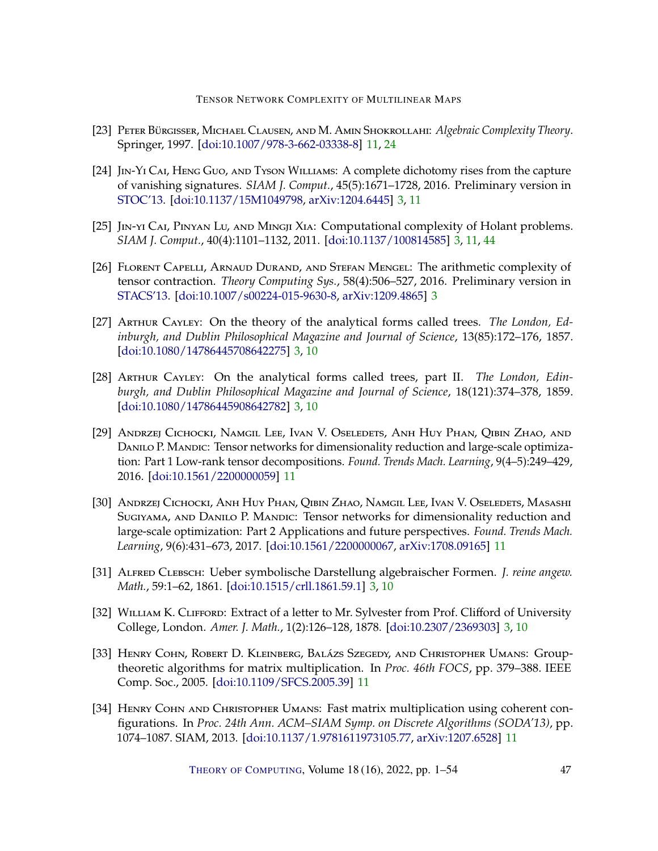- <span id="page-46-9"></span>[23] Peter Bürgisser, Michael Clausen, and M. Amin Shokrollahi: *Algebraic Complexity Theory*. Springer, 1997. [\[doi:10.1007/978-3-662-03338-8\]](http://dx.doi.org/10.1007/978-3-662-03338-8) [11,](#page-10-0) [24](#page-23-4)
- <span id="page-46-5"></span>[24] JIN-YI CAI, HENG GUO, AND TYSON WILLIAMS: A complete dichotomy rises from the capture of vanishing signatures. *SIAM J. Comput.*, 45(5):1671–1728, 2016. Preliminary version in [STOC'13.](https://doi.org/10.1145/2488608.2488687) [\[doi:10.1137/15M1049798,](http://dx.doi.org/10.1137/15M1049798) [arXiv:1204.6445\]](http://arxiv.org/abs/1204.6445) [3,](#page-2-1) [11](#page-10-0)
- <span id="page-46-4"></span>[25] Jin-yi Cai, Pinyan Lu, and Mingji Xia: Computational complexity of Holant problems. *SIAM J. Comput.*, 40(4):1101–1132, 2011. [\[doi:10.1137/100814585\]](http://dx.doi.org/10.1137/100814585) [3,](#page-2-1) [11,](#page-10-0) [44](#page-43-1)
- <span id="page-46-6"></span>[26] FLORENT CAPELLI, ARNAUD DURAND, AND STEFAN MENGEL: The arithmetic complexity of tensor contraction. *Theory Computing Sys.*, 58(4):506–527, 2016. Preliminary version in [STACS'13.](https://doi.org/10.4230/LIPIcs.STACS.2013.365) [\[doi:10.1007/s00224-015-9630-8,](http://dx.doi.org/10.1007/s00224-015-9630-8) [arXiv:1209.4865\]](http://arxiv.org/abs/1209.4865) [3](#page-2-1)
- <span id="page-46-0"></span>[27] ARTHUR CAYLEY: On the theory of the analytical forms called trees. *The London, Edinburgh, and Dublin Philosophical Magazine and Journal of Science*, 13(85):172–176, 1857. [\[doi:10.1080/14786445708642275\]](http://dx.doi.org/10.1080/14786445708642275) [3,](#page-2-1) [10](#page-9-3)
- <span id="page-46-1"></span>[28] ARTHUR CAYLEY: On the analytical forms called trees, part II. The London, Edin*burgh, and Dublin Philosophical Magazine and Journal of Science*, 18(121):374–378, 1859. [\[doi:10.1080/14786445908642782\]](http://dx.doi.org/10.1080/14786445908642782) [3,](#page-2-1) [10](#page-9-3)
- <span id="page-46-7"></span>[29] Andrzej Cichocki, Namgil Lee, Ivan V. Oseledets, Anh Huy Phan, Qibin Zhao, and Danilo P. Mandic: Tensor networks for dimensionality reduction and large-scale optimization: Part 1 Low-rank tensor decompositions. *Found. Trends Mach. Learning*, 9(4–5):249–429, 2016. [\[doi:10.1561/2200000059\]](http://dx.doi.org/10.1561/2200000059) [11](#page-10-0)
- <span id="page-46-8"></span>[30] Andrzej Cichocki, Anh Huy Phan, Qibin Zhao, Namgil Lee, Ivan V. Oseledets, Masashi Sugiyama, and Danilo P. Mandic: Tensor networks for dimensionality reduction and large-scale optimization: Part 2 Applications and future perspectives. *Found. Trends Mach. Learning*, 9(6):431–673, 2017. [\[doi:10.1561/2200000067,](http://dx.doi.org/10.1561/2200000067) [arXiv:1708.09165\]](http://arxiv.org/abs/1708.09165) [11](#page-10-0)
- <span id="page-46-2"></span>[31] ALFRED CLEBSCH: Ueber symbolische Darstellung algebraischer Formen. *J. reine angew*. *Math.*, 59:1–62, 1861. [\[doi:10.1515/crll.1861.59.1\]](http://dx.doi.org/10.1515/crll.1861.59.1) [3,](#page-2-1) [10](#page-9-3)
- <span id="page-46-3"></span>[32] WILLIAM K. CLIFFORD: Extract of a letter to Mr. Sylvester from Prof. Clifford of University College, London. *Amer. J. Math.*, 1(2):126–128, 1878. [\[doi:10.2307/2369303\]](http://dx.doi.org/10.2307/2369303) [3,](#page-2-1) [10](#page-9-3)
- <span id="page-46-11"></span>[33] Henry Cohn, Robert D. Kleinberg, Balázs Szegedy, and Christopher Umans: Grouptheoretic algorithms for matrix multiplication. In *Proc. 46th FOCS*, pp. 379–388. IEEE Comp. Soc., 2005. [\[doi:10.1109/SFCS.2005.39\]](http://dx.doi.org/10.1109/SFCS.2005.39) [11](#page-10-0)
- <span id="page-46-10"></span>[34] HENRY COHN AND CHRISTOPHER UMANS: Fast matrix multiplication using coherent configurations. In *Proc. 24th Ann. ACM–SIAM Symp. on Discrete Algorithms (SODA'13)*, pp. 1074–1087. SIAM, 2013. [\[doi:10.1137/1.9781611973105.77,](http://dx.doi.org/10.1137/1.9781611973105.77) [arXiv:1207.6528\]](http://arxiv.org/abs/1207.6528) [11](#page-10-0)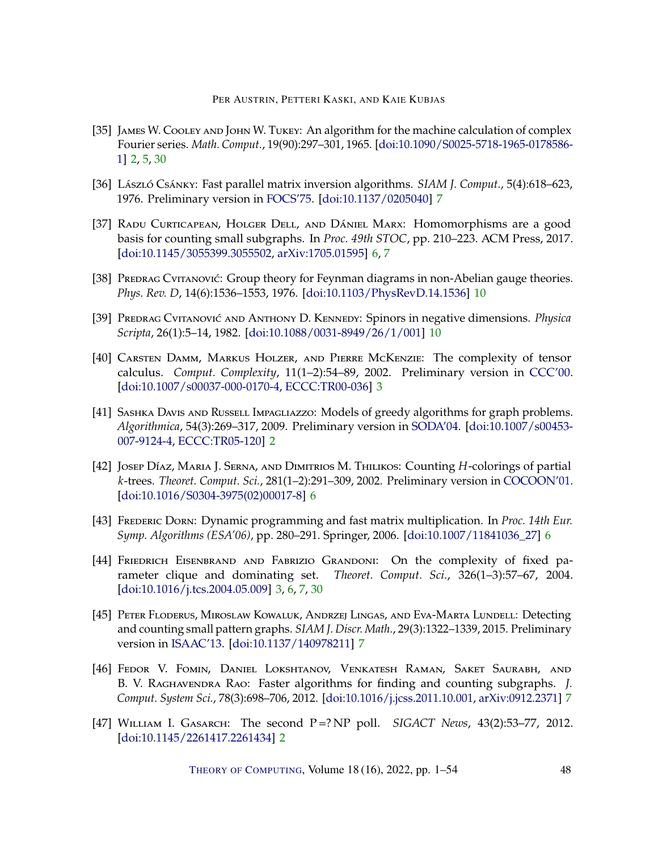- <span id="page-47-2"></span>[35] JAMES W. COOLEY AND JOHN W. TUKEY: An algorithm for the machine calculation of complex Fourier series. *Math. Comput.*, 19(90):297–301, 1965. [\[doi:10.1090/S0025-5718-1965-0178586-](http://dx.doi.org/10.1090/S0025-5718-1965-0178586-1) [1\]](http://dx.doi.org/10.1090/S0025-5718-1965-0178586-1) [2,](#page-1-0) [5,](#page-4-2) [30](#page-29-2)
- <span id="page-47-10"></span>[36] László Csánky: Fast parallel matrix inversion algorithms. *SIAM J. Comput.*, 5(4):618–623, 1976. Preliminary version in [FOCS'75.](https://doi.org/10.1109/SFCS.1975.14) [\[doi:10.1137/0205040\]](http://dx.doi.org/10.1137/0205040) [7](#page-6-1)
- <span id="page-47-6"></span>[37] RADU CURTICAPEAN, HOLGER DELL, AND DÁNIEL MARX: Homomorphisms are a good basis for counting small subgraphs. In *Proc. 49th STOC*, pp. 210–223. ACM Press, 2017. [\[doi:10.1145/3055399.3055502,](http://dx.doi.org/10.1145/3055399.3055502) [arXiv:1705.01595\]](http://arxiv.org/abs/1705.01595) [6,](#page-5-1) [7](#page-6-1)
- <span id="page-47-11"></span>[38] PREDRAG CVITANOVIĆ: Group theory for Feynman diagrams in non-Abelian gauge theories. *Phys. Rev. D*, 14(6):1536–1553, 1976. [\[doi:10.1103/PhysRevD.14.1536\]](http://dx.doi.org/10.1103/PhysRevD.14.1536) [10](#page-9-3)
- <span id="page-47-12"></span>[39] Predrag Cvitanović and Anthony D. Kennedy: Spinors in negative dimensions. *Physica Scripta*, 26(1):5–14, 1982. [\[doi:10.1088/0031-8949/26/1/001\]](http://dx.doi.org/10.1088/0031-8949/26/1/001) [10](#page-9-3)
- <span id="page-47-4"></span>[40] Carsten Damm, Markus Holzer, and Pierre McKenzie: The complexity of tensor calculus. *Comput. Complexity*, 11(1–2):54–89, 2002. Preliminary version in [CCC'00.](https://doi.org/10.1109/CCC.2000.856737) [\[doi:10.1007/s00037-000-0170-4,](http://dx.doi.org/10.1007/s00037-000-0170-4) [ECCC:TR00-036\]](https://eccc.weizmann.ac.il/report/2000/036) [3](#page-2-1)
- <span id="page-47-1"></span>[41] SASHKA DAVIS AND RUSSELL IMPAGLIAZZO: Models of greedy algorithms for graph problems. *Algorithmica*, 54(3):269–317, 2009. Preliminary version in [SODA'04.](https://dl.acm.org/doi/10.5555/982792.982847) [\[doi:10.1007/s00453-](http://dx.doi.org/10.1007/s00453-007-9124-4) [007-9124-4,](http://dx.doi.org/10.1007/s00453-007-9124-4) [ECCC:TR05-120\]](https://eccc.weizmann.ac.il/report/2005/120) [2](#page-1-0)
- <span id="page-47-5"></span>[42] JOSEP DÍAZ, MARIA J. SERNA, AND DIMITRIOS M. THILIKOS: Counting H-colorings of partial 𝑘-trees. *Theoret. Comput. Sci.*, 281(1–2):291–309, 2002. Preliminary version in [COCOON'01.](https://doi.org/10.1007/3-540-44679-6_33) [\[doi:10.1016/S0304-3975\(02\)00017-8\]](http://dx.doi.org/10.1016/S0304-3975(02)00017-8) [6](#page-5-1)
- <span id="page-47-7"></span>[43] Frederic Dorn: Dynamic programming and fast matrix multiplication. In *Proc. 14th Eur. Symp. Algorithms (ESA'06)*, pp. 280–291. Springer, 2006. [\[doi:10.1007/11841036\\_27\]](http://dx.doi.org/10.1007/11841036_27) [6](#page-5-1)
- <span id="page-47-3"></span>[44] Friedrich Eisenbrand and Fabrizio Grandoni: On the complexity of fixed parameter clique and dominating set. *Theoret. Comput. Sci.*, 326(1–3):57–67, 2004. [\[doi:10.1016/j.tcs.2004.05.009\]](http://dx.doi.org/10.1016/j.tcs.2004.05.009) [3,](#page-2-1) [6,](#page-5-1) [7,](#page-6-1) [30](#page-29-2)
- <span id="page-47-9"></span>[45] Peter Floderus, Miroslaw Kowaluk, Andrzej Lingas, and Eva-Marta Lundell: Detecting and counting small pattern graphs. *SIAM J. Discr. Math.*, 29(3):1322–1339, 2015. Preliminary version in [ISAAC'13.](https://doi.org/10.1007/978-3-642-45030-3_51) [\[doi:10.1137/140978211\]](http://dx.doi.org/10.1137/140978211) [7](#page-6-1)
- <span id="page-47-8"></span>[46] Fedor V. Fomin, Daniel Lokshtanov, Venkatesh Raman, Saket Saurabh, and B. V. RAGHAVENDRA RAO: Faster algorithms for finding and counting subgraphs. *J. Comput. System Sci.*, 78(3):698–706, 2012. [\[doi:10.1016/j.jcss.2011.10.001,](http://dx.doi.org/10.1016/j.jcss.2011.10.001) [arXiv:0912.2371\]](http://arxiv.org/abs/0912.2371) [7](#page-6-1)
- <span id="page-47-0"></span>[47] William I. Gasarch: The second P =? NP poll. *SIGACT News*, 43(2):53–77, 2012. [\[doi:10.1145/2261417.2261434\]](http://dx.doi.org/10.1145/2261417.2261434) [2](#page-1-0)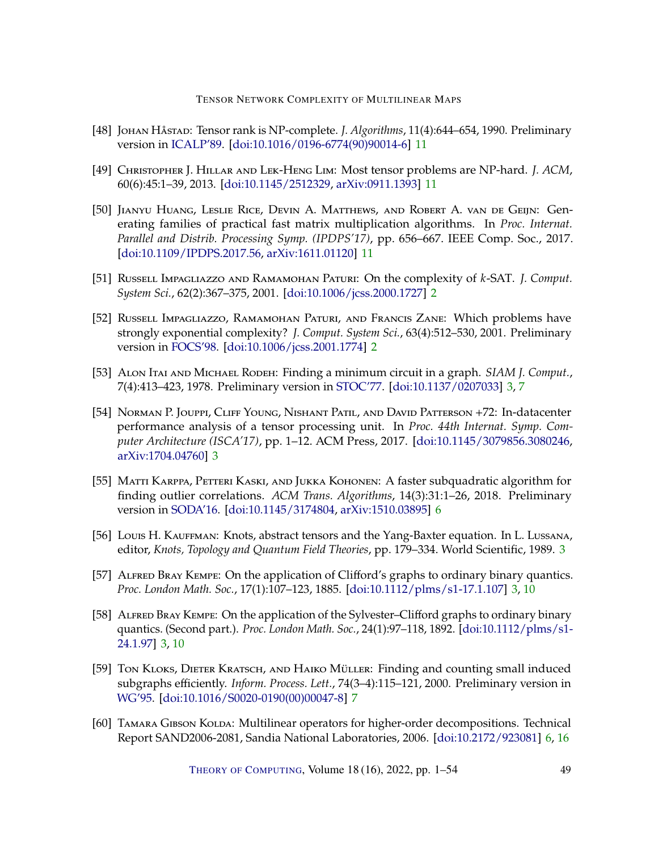- <span id="page-48-10"></span>[48] Johan Håstad: Tensor rank is NP-complete. *J. Algorithms*, 11(4):644–654, 1990. Preliminary version in [ICALP'89.](https://doi.org/10.1007/BFb0035776) [\[doi:10.1016/0196-6774\(90\)90014-6\]](http://dx.doi.org/10.1016/0196-6774(90)90014-6) [11](#page-10-0)
- <span id="page-48-11"></span>[49] Christopher J. Hillar and Lek-Heng Lim: Most tensor problems are NP-hard. *J. ACM*, 60(6):45:1–39, 2013. [\[doi:10.1145/2512329,](http://dx.doi.org/10.1145/2512329) [arXiv:0911.1393\]](http://arxiv.org/abs/0911.1393) [11](#page-10-0)
- <span id="page-48-12"></span>[50] Jianyu Huang, Leslie Rice, Devin A. Matthews, and Robert A. van de Geijn: Generating families of practical fast matrix multiplication algorithms. In *Proc. Internat. Parallel and Distrib. Processing Symp. (IPDPS'17)*, pp. 656–667. IEEE Comp. Soc., 2017. [\[doi:10.1109/IPDPS.2017.56,](http://dx.doi.org/10.1109/IPDPS.2017.56) [arXiv:1611.01120\]](http://arxiv.org/abs/1611.01120) [11](#page-10-0)
- <span id="page-48-0"></span>[51] RUSSELL IMPAGLIAZZO AND RAMAMOHAN PATURI: On the complexity of *k*-SAT. *J. Comput. System Sci.*, 62(2):367–375, 2001. [\[doi:10.1006/jcss.2000.1727\]](http://dx.doi.org/10.1006/jcss.2000.1727) [2](#page-1-0)
- <span id="page-48-1"></span>[52] RUSSELL IMPAGLIAZZO, RAMAMOHAN PATURI, AND FRANCIS ZANE: Which problems have strongly exponential complexity? *J. Comput. System Sci.*, 63(4):512–530, 2001. Preliminary version in [FOCS'98.](https://doi.org/10.1109/SFCS.1998.743516) [\[doi:10.1006/jcss.2001.1774\]](http://dx.doi.org/10.1006/jcss.2001.1774) [2](#page-1-0)
- <span id="page-48-2"></span>[53] Alon Itai and Michael Rodeh: Finding a minimum circuit in a graph. *SIAM J. Comput.*, 7(4):413–423, 1978. Preliminary version in [STOC'77.](https://doi.org/10.1145/800105.803390) [\[doi:10.1137/0207033\]](http://dx.doi.org/10.1137/0207033) [3,](#page-2-1) [7](#page-6-1)
- <span id="page-48-6"></span>[54] Norman P. Jouppi, Cliff Young, Nishant Patil, and David Patterson +72: In-datacenter performance analysis of a tensor processing unit. In *Proc. 44th Internat. Symp. Computer Architecture (ISCA'17)*, pp. 1–12. ACM Press, 2017. [\[doi:10.1145/3079856.3080246,](http://dx.doi.org/10.1145/3079856.3080246) [arXiv:1704.04760\]](http://arxiv.org/abs/1704.04760) [3](#page-2-1)
- <span id="page-48-8"></span>[55] MATTI KARPPA, PETTERI KASKI, AND JUKKA KOHONEN: A faster subquadratic algorithm for finding outlier correlations. *ACM Trans. Algorithms*, 14(3):31:1–26, 2018. Preliminary version in [SODA'16.](https://doi.org/10.1137/1.9781611974331.ch90) [\[doi:10.1145/3174804,](http://dx.doi.org/10.1145/3174804) [arXiv:1510.03895\]](http://arxiv.org/abs/1510.03895) [6](#page-5-1)
- <span id="page-48-5"></span>[56] Louis H. Kauffman: Knots, abstract tensors and the Yang-Baxter equation. In L. Lussana, editor, *Knots, Topology and Quantum Field Theories*, pp. 179–334. World Scientific, 1989. [3](#page-2-1)
- <span id="page-48-3"></span>[57] ALFRED BRAY KEMPE: On the application of Clifford's graphs to ordinary binary quantics. *Proc. London Math. Soc.*, 17(1):107–123, 1885. [\[doi:10.1112/plms/s1-17.1.107\]](http://dx.doi.org/10.1112/plms/s1-17.1.107) [3,](#page-2-1) [10](#page-9-3)
- <span id="page-48-4"></span>[58] ALFRED BRAY KEMPE: On the application of the Sylvester–Clifford graphs to ordinary binary quantics. (Second part.). *Proc. London Math. Soc.*, 24(1):97–118, 1892. [\[doi:10.1112/plms/s1-](http://dx.doi.org/10.1112/plms/s1-24.1.97) [24.1.97\]](http://dx.doi.org/10.1112/plms/s1-24.1.97) [3,](#page-2-1) [10](#page-9-3)
- <span id="page-48-9"></span>[59] Ton KLOKS, DIETER KRATSCH, AND HAIKO MÜLLER: Finding and counting small induced subgraphs efficiently. *Inform. Process. Lett.*, 74(3–4):115–121, 2000. Preliminary version in [WG'95.](https://doi.org/10.1007/3-540-60618-1_62) [\[doi:10.1016/S0020-0190\(00\)00047-8\]](http://dx.doi.org/10.1016/S0020-0190(00)00047-8) [7](#page-6-1)
- <span id="page-48-7"></span>[60] TAMARA GIBSON KOLDA: Multilinear operators for higher-order decompositions. Technical Report SAND2006-2081, Sandia National Laboratories, 2006. [\[doi:10.2172/923081\]](http://dx.doi.org/10.2172/923081) [6,](#page-5-1) [16](#page-15-5)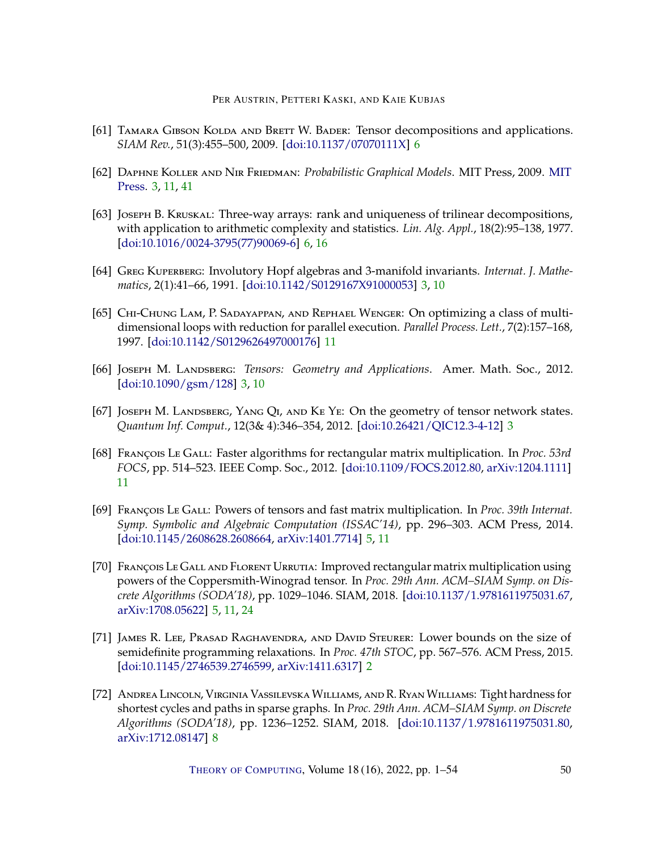- <span id="page-49-8"></span>[61] TAMARA GIBSON KOLDA AND BRETT W. BADER: Tensor decompositions and applications. *SIAM Rev.*, 51(3):455–500, 2009. [\[doi:10.1137/07070111X\]](http://dx.doi.org/10.1137/07070111X) [6](#page-5-1)
- <span id="page-49-4"></span>[62] Daphne Koller and Nir Friedman: *Probabilistic Graphical Models*. MIT Press, 2009. [MIT](https://mitpress.mit.edu/books/probabilistic-graphical-models) [Press.](https://mitpress.mit.edu/books/probabilistic-graphical-models) [3,](#page-2-1) [11,](#page-10-0) [41](#page-40-3)
- <span id="page-49-7"></span>[63] Joseph B. Kruskal: Three-way arrays: rank and uniqueness of trilinear decompositions, with application to arithmetic complexity and statistics. *Lin. Alg. Appl.*, 18(2):95–138, 1977. [\[doi:10.1016/0024-3795\(77\)90069-6\]](http://dx.doi.org/10.1016/0024-3795(77)90069-6) [6,](#page-5-1) [16](#page-15-5)
- <span id="page-49-1"></span>[64] GREG KUPERBERG: Involutory Hopf algebras and 3-manifold invariants. *Internat. J. Mathematics*, 2(1):41–66, 1991. [\[doi:10.1142/S0129167X91000053\]](http://dx.doi.org/10.1142/S0129167X91000053) [3,](#page-2-1) [10](#page-9-3)
- <span id="page-49-10"></span>[65] CHI-CHUNG LAM, P. SADAYAPPAN, AND REPHAEL WENGER: On optimizing a class of multidimensional loops with reduction for parallel execution. *Parallel Process. Lett.*, 7(2):157–168, 1997. [\[doi:10.1142/S0129626497000176\]](http://dx.doi.org/10.1142/S0129626497000176) [11](#page-10-0)
- <span id="page-49-2"></span>[66] Joseph M. Landsberg: *Tensors: Geometry and Applications*. Amer. Math. Soc., 2012. [\[doi:10.1090/gsm/128\]](http://dx.doi.org/10.1090/gsm/128) [3,](#page-2-1) [10](#page-9-3)
- <span id="page-49-3"></span>[67] JOSEPH M. LANDSBERG, YANG QI, AND KE YE: On the geometry of tensor network states. *Quantum Inf. Comput.*, 12(3& 4):346–354, 2012. [\[doi:10.26421/QIC12.3-4-12\]](http://dx.doi.org/10.26421/QIC12.3-4-12) [3](#page-2-1)
- <span id="page-49-11"></span>[68] François Le Gall: Faster algorithms for rectangular matrix multiplication. In *Proc. 53rd FOCS*, pp. 514–523. IEEE Comp. Soc., 2012. [\[doi:10.1109/FOCS.2012.80,](http://dx.doi.org/10.1109/FOCS.2012.80) [arXiv:1204.1111\]](http://arxiv.org/abs/1204.1111) [11](#page-10-0)
- <span id="page-49-5"></span>[69] François Le Gall: Powers of tensors and fast matrix multiplication. In *Proc. 39th Internat. Symp. Symbolic and Algebraic Computation (ISSAC'14)*, pp. 296–303. ACM Press, 2014. [\[doi:10.1145/2608628.2608664,](http://dx.doi.org/10.1145/2608628.2608664) [arXiv:1401.7714\]](http://arxiv.org/abs/1401.7714) [5,](#page-4-2) [11](#page-10-0)
- <span id="page-49-6"></span>[70] FRANÇOIS LE GALL AND FLORENT URRUTIA: Improved rectangular matrix multiplication using powers of the Coppersmith-Winograd tensor. In *Proc. 29th Ann. ACM–SIAM Symp. on Discrete Algorithms (SODA'18)*, pp. 1029–1046. SIAM, 2018. [\[doi:10.1137/1.9781611975031.67,](http://dx.doi.org/10.1137/1.9781611975031.67) [arXiv:1708.05622\]](http://arxiv.org/abs/1708.05622) [5,](#page-4-2) [11,](#page-10-0) [24](#page-23-4)
- <span id="page-49-0"></span>[71] James R. Lee, Prasad Raghavendra, and David Steurer: Lower bounds on the size of semidefinite programming relaxations. In *Proc. 47th STOC*, pp. 567–576. ACM Press, 2015. [\[doi:10.1145/2746539.2746599,](http://dx.doi.org/10.1145/2746539.2746599) [arXiv:1411.6317\]](http://arxiv.org/abs/1411.6317) [2](#page-1-0)
- <span id="page-49-9"></span>[72] Andrea Lincoln, Virginia Vassilevska Williams, and R. Ryan Williams: Tight hardness for shortest cycles and paths in sparse graphs. In *Proc. 29th Ann. ACM–SIAM Symp. on Discrete Algorithms (SODA'18)*, pp. 1236–1252. SIAM, 2018. [\[doi:10.1137/1.9781611975031.80,](http://dx.doi.org/10.1137/1.9781611975031.80) [arXiv:1712.08147\]](http://arxiv.org/abs/1712.08147) [8](#page-7-3)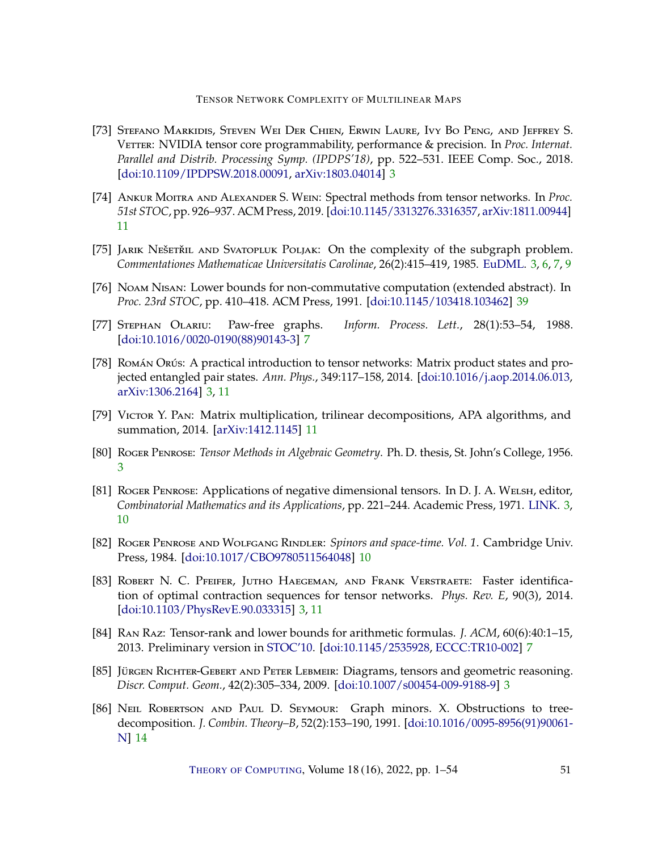- <span id="page-50-6"></span>[73] Stefano Markidis, Steven Wei Der Chien, Erwin Laure, Ivy Bo Peng, and Jeffrey S. VETTER: NVIDIA tensor core programmability, performance & precision. In *Proc. Internat. Parallel and Distrib. Processing Symp. (IPDPS'18)*, pp. 522–531. IEEE Comp. Soc., 2018. [\[doi:10.1109/IPDPSW.2018.00091,](http://dx.doi.org/10.1109/IPDPSW.2018.00091) [arXiv:1803.04014\]](http://arxiv.org/abs/1803.04014) [3](#page-2-1)
- <span id="page-50-10"></span>[74] Ankur Moitra and Alexander S. Wein: Spectral methods from tensor networks. In *Proc. 51st STOC*, pp. 926–937. ACM Press, 2019. [\[doi:10.1145/3313276.3316357,](http://dx.doi.org/10.1145/3313276.3316357) [arXiv:1811.00944\]](http://arxiv.org/abs/1811.00944) [11](#page-10-0)
- <span id="page-50-0"></span>[75] JARIK NEŠETŘIL AND SVATOPLUK POLJAK: On the complexity of the subgraph problem. *Commentationes Mathematicae Universitatis Carolinae*, 26(2):415–419, 1985. [EuDML.](https://eudml.org/doc/17394) [3,](#page-2-1) [6,](#page-5-1) [7,](#page-6-1) [9](#page-8-1)
- <span id="page-50-13"></span>[76] Noam Nisan: Lower bounds for non-commutative computation (extended abstract). In *Proc. 23rd STOC*, pp. 410–418. ACM Press, 1991. [\[doi:10.1145/103418.103462\]](http://dx.doi.org/10.1145/103418.103462) [39](#page-38-1)
- <span id="page-50-7"></span>[77] Stephan Olariu: Paw-free graphs. *Inform. Process. Lett.*, 28(1):53–54, 1988. [\[doi:10.1016/0020-0190\(88\)90143-3\]](http://dx.doi.org/10.1016/0020-0190(88)90143-3) [7](#page-6-1)
- <span id="page-50-4"></span>[78] Román Orús: A practical introduction to tensor networks: Matrix product states and projected entangled pair states. *Ann. Phys.*, 349:117–158, 2014. [\[doi:10.1016/j.aop.2014.06.013,](http://dx.doi.org/10.1016/j.aop.2014.06.013) [arXiv:1306.2164\]](http://arxiv.org/abs/1306.2164) [3,](#page-2-1) [11](#page-10-0)
- <span id="page-50-11"></span>[79] Victor Y. Pan: Matrix multiplication, trilinear decompositions, APA algorithms, and summation, 2014. [\[arXiv:1412.1145\]](http://arxiv.org/abs/1412.1145) [11](#page-10-0)
- <span id="page-50-1"></span>[80] Roger Penrose: *Tensor Methods in Algebraic Geometry*. Ph. D. thesis, St. John's College, 1956. [3](#page-2-1)
- <span id="page-50-2"></span>[81] ROGER PENROSE: Applications of negative dimensional tensors. In D. J. A. WELSH, editor, *Combinatorial Mathematics and its Applications*, pp. 221–244. Academic Press, 1971. [LINK.](https://www.mscs.dal.ca/~selinger/papers/graphical-bib/public/Penrose-applications-of-negative-dimensional-tensors.pdf) [3,](#page-2-1) [10](#page-9-3)
- <span id="page-50-9"></span>[82] ROGER PENROSE AND WOLFGANG RINDLER: Spinors and space-time. Vol. 1. Cambridge Univ. Press, 1984. [\[doi:10.1017/CBO9780511564048\]](http://dx.doi.org/10.1017/CBO9780511564048) [10](#page-9-3)
- <span id="page-50-5"></span>[83] Robert N. C. Pfeifer, Jutho Haegeman, and Frank Verstraete: Faster identification of optimal contraction sequences for tensor networks. *Phys. Rev. E*, 90(3), 2014. [\[doi:10.1103/PhysRevE.90.033315\]](http://dx.doi.org/10.1103/PhysRevE.90.033315) [3,](#page-2-1) [11](#page-10-0)
- <span id="page-50-8"></span>[84] Ran Raz: Tensor-rank and lower bounds for arithmetic formulas. *J. ACM*, 60(6):40:1–15, 2013. Preliminary version in [STOC'10.](https://doi.org/10.1145/1806689.1806780) [\[doi:10.1145/2535928,](http://dx.doi.org/10.1145/2535928) [ECCC:TR10-002\]](https://eccc.weizmann.ac.il/report/2010/002) [7](#page-6-1)
- <span id="page-50-3"></span>[85] Jürgen Richter-Gebert and Peter Lebmeir: Diagrams, tensors and geometric reasoning. *Discr. Comput. Geom.*, 42(2):305–334, 2009. [\[doi:10.1007/s00454-009-9188-9\]](http://dx.doi.org/10.1007/s00454-009-9188-9) [3](#page-2-1)
- <span id="page-50-12"></span>[86] NEIL ROBERTSON AND PAUL D. SEYMOUR: Graph minors. X. Obstructions to treedecomposition. *J. Combin. Theory–B*, 52(2):153–190, 1991. [\[doi:10.1016/0095-8956\(91\)90061-](http://dx.doi.org/10.1016/0095-8956(91)90061-N) [N\]](http://dx.doi.org/10.1016/0095-8956(91)90061-N) [14](#page-13-2)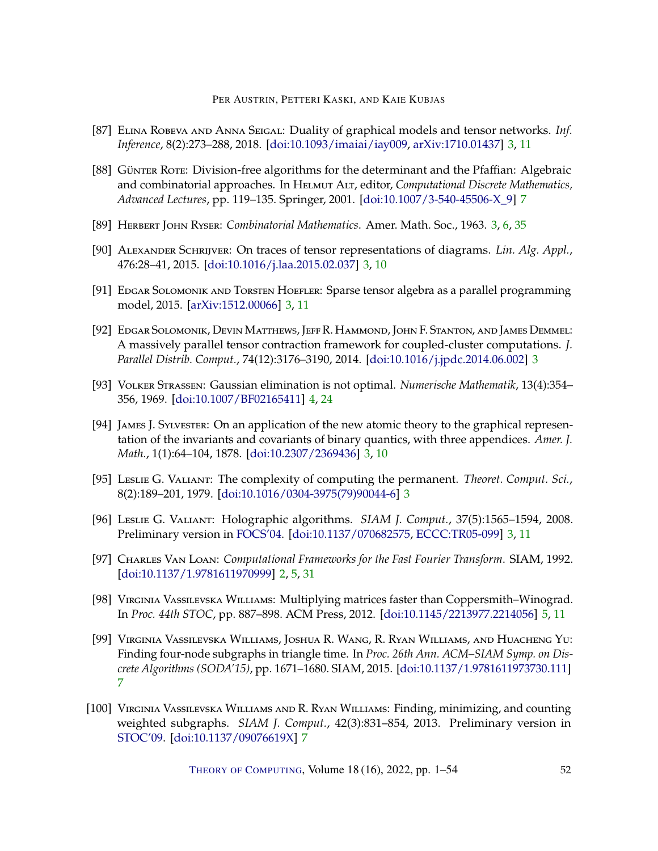- <span id="page-51-7"></span>[87] Elina Robeva and Anna Seigal: Duality of graphical models and tensor networks. *Inf. Inference*, 8(2):273–288, 2018. [\[doi:10.1093/imaiai/iay009,](http://dx.doi.org/10.1093/imaiai/iay009) [arXiv:1710.01437\]](http://arxiv.org/abs/1710.01437) [3,](#page-2-1) [11](#page-10-0)
- <span id="page-51-13"></span>[88] Günter Rote: Division-free algorithms for the determinant and the Pfaffian: Algebraic and combinatorial approaches. In Helmut Alt, editor, *Computational Discrete Mathematics, Advanced Lectures*, pp. 119–135. Springer, 2001. [\[doi:10.1007/3-540-45506-X\\_9\]](http://dx.doi.org/10.1007/3-540-45506-X_9) [7](#page-6-1)
- <span id="page-51-1"></span>[89] Herbert John Ryser: *Combinatorial Mathematics*. Amer. Math. Soc., 1963. [3,](#page-2-1) [6,](#page-5-1) [35](#page-34-1)
- <span id="page-51-4"></span>[90] Alexander Schrijver: On traces of tensor representations of diagrams. *Lin. Alg. Appl.*, 476:28–41, 2015. [\[doi:10.1016/j.laa.2015.02.037\]](http://dx.doi.org/10.1016/j.laa.2015.02.037) [3,](#page-2-1) [10](#page-9-3)
- <span id="page-51-8"></span>[91] EDGAR SOLOMONIK AND TORSTEN HOEFLER: Sparse tensor algebra as a parallel programming model, 2015. [\[arXiv:1512.00066\]](http://arxiv.org/abs/1512.00066) [3,](#page-2-1) [11](#page-10-0)
- <span id="page-51-5"></span>[92] Edgar Solomonik, Devin Matthews, Jeff R. Hammond, John F. Stanton, and James Demmel: A massively parallel tensor contraction framework for coupled-cluster computations. *J. Parallel Distrib. Comput.*, 74(12):3176–3190, 2014. [\[doi:10.1016/j.jpdc.2014.06.002\]](http://dx.doi.org/10.1016/j.jpdc.2014.06.002) [3](#page-2-1)
- <span id="page-51-9"></span>[93] Volker Strassen: Gaussian elimination is not optimal. *Numerische Mathematik*, 13(4):354– 356, 1969. [\[doi:10.1007/BF02165411\]](http://dx.doi.org/10.1007/BF02165411) [4,](#page-3-2) [24](#page-23-4)
- <span id="page-51-3"></span>[94] James J. Sylvester: On an application of the new atomic theory to the graphical representation of the invariants and covariants of binary quantics, with three appendices. *Amer. J. Math.*, 1(1):64–104, 1878. [\[doi:10.2307/2369436\]](http://dx.doi.org/10.2307/2369436) [3,](#page-2-1) [10](#page-9-3)
- <span id="page-51-2"></span>[95] Leslie G. Valiant: The complexity of computing the permanent. *Theoret. Comput. Sci.*, 8(2):189–201, 1979. [\[doi:10.1016/0304-3975\(79\)90044-6\]](http://dx.doi.org/10.1016/0304-3975(79)90044-6) [3](#page-2-1)
- <span id="page-51-6"></span>[96] Leslie G. Valiant: Holographic algorithms. *SIAM J. Comput.*, 37(5):1565–1594, 2008. Preliminary version in [FOCS'04.](https://doi.org/10.1109/FOCS.2004.34) [\[doi:10.1137/070682575,](http://dx.doi.org/10.1137/070682575) [ECCC:TR05-099\]](https://eccc.weizmann.ac.il/report/2005/099) [3,](#page-2-1) [11](#page-10-0)
- <span id="page-51-0"></span>[97] Charles Van Loan: *Computational Frameworks for the Fast Fourier Transform*. SIAM, 1992. [\[doi:10.1137/1.9781611970999\]](http://dx.doi.org/10.1137/1.9781611970999) [2,](#page-1-0) [5,](#page-4-2) [31](#page-30-3)
- <span id="page-51-10"></span>[98] Virginia Vassilevska Williams: Multiplying matrices faster than Coppersmith–Winograd. In *Proc. 44th STOC*, pp. 887–898. ACM Press, 2012. [\[doi:10.1145/2213977.2214056\]](http://dx.doi.org/10.1145/2213977.2214056) [5,](#page-4-2) [11](#page-10-0)
- <span id="page-51-11"></span>[99] Virginia Vassilevska Williams, Joshua R. Wang, R. Ryan Williams, and Huacheng Yu: Finding four-node subgraphs in triangle time. In *Proc. 26th Ann. ACM–SIAM Symp. on Discrete Algorithms (SODA'15)*, pp. 1671–1680. SIAM, 2015. [\[doi:10.1137/1.9781611973730.111\]](http://dx.doi.org/10.1137/1.9781611973730.111) [7](#page-6-1)
- <span id="page-51-12"></span>[100] Virginia Vassilevska Williams and R. Ryan Williams: Finding, minimizing, and counting weighted subgraphs. *SIAM J. Comput.*, 42(3):831–854, 2013. Preliminary version in [STOC'09.](https://doi.org/10.1145/1536414.1536477) [\[doi:10.1137/09076619X\]](http://dx.doi.org/10.1137/09076619X) [7](#page-6-1)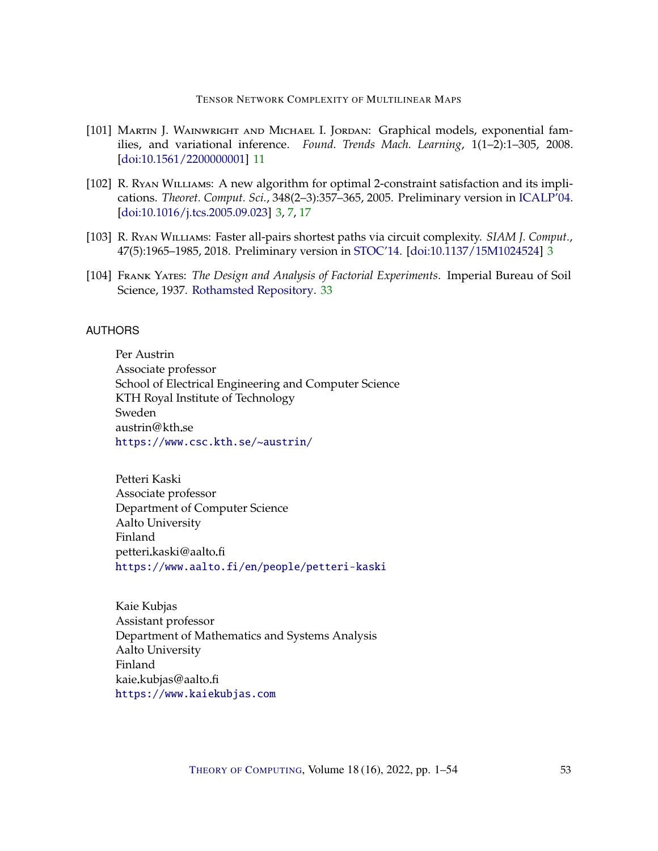- <span id="page-52-5"></span>[101] Martin J. Wainwright and Michael I. Jordan: Graphical models, exponential families, and variational inference. *Found. Trends Mach. Learning*, 1(1–2):1–305, 2008. [\[doi:10.1561/2200000001\]](http://dx.doi.org/10.1561/2200000001) [11](#page-10-0)
- <span id="page-52-3"></span>[102] R. Ryan Williams: A new algorithm for optimal 2-constraint satisfaction and its implications. *Theoret. Comput. Sci.*, 348(2–3):357–365, 2005. Preliminary version in [ICALP'04.](https://doi.org/10.1007/978-3-540-27836-8_101) [\[doi:10.1016/j.tcs.2005.09.023\]](http://dx.doi.org/10.1016/j.tcs.2005.09.023) [3,](#page-2-1) [7,](#page-6-1) [17](#page-16-6)
- <span id="page-52-4"></span>[103] R. Ryan Williams: Faster all-pairs shortest paths via circuit complexity. *SIAM J. Comput.*, 47(5):1965–1985, 2018. Preliminary version in [STOC'14.](https://doi.org/10.1145/2591796.2591811) [\[doi:10.1137/15M1024524\]](http://dx.doi.org/10.1137/15M1024524) [3](#page-2-1)
- <span id="page-52-6"></span>[104] Frank Yates: *The Design and Analysis of Factorial Experiments*. Imperial Bureau of Soil Science, 1937. [Rothamsted Repository.](https://repository.rothamsted.ac.uk/download/da923ac105983581f7731b3062a119a7e690931c120a16aad0550dd9c527e8fe/10768968/The%20Design%20and%20Analysis.pdf) [33](#page-32-1)

# <span id="page-52-0"></span>AUTHORS

Per Austrin Associate professor School of Electrical Engineering and Computer Science KTH Royal Institute of Technology Sweden austrin@kth.se <https://www.csc.kth.se/~austrin/>

<span id="page-52-1"></span>Petteri Kaski Associate professor Department of Computer Science Aalto University Finland petteri.kaski@aalto.fi <https://www.aalto.fi/en/people/petteri-kaski>

<span id="page-52-2"></span>Kaie Kubjas Assistant professor Department of Mathematics and Systems Analysis Aalto University Finland kaie.kubjas@aalto.fi <https://www.kaiekubjas.com>

THEORY OF C[OMPUTING](http://dx.doi.org/10.4086/toc), Volume 18 (16), 2022, pp. 1–54 53